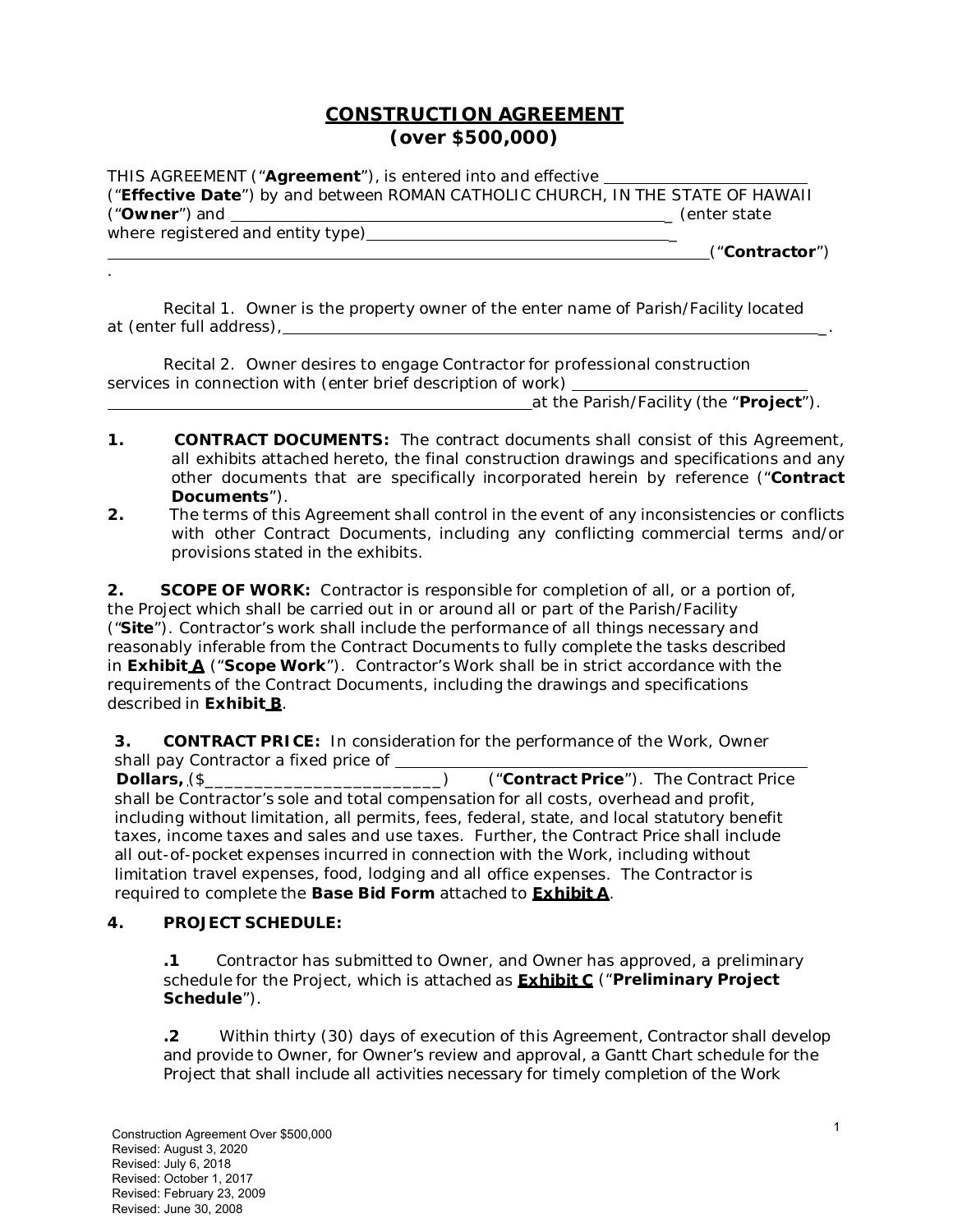## **CONSTRUCTION AGREEMENT (over \$500,000)**

THIS AGREEMENT ("**Agreement**"), is entered into and effective ("**Effective Date**") by and between ROMAN CATHOLIC CHURCH, IN THE STATE OF HAWAII ("**Owner**") and \_ *(enter state where registered and entity type)* \_ ("**Contractor**")

Recital 1. Owner is the property owner of the enter name of Parish/Facility located at *(enter full address)*, \_.

Recital 2. Owner desires to engage Contractor for professional construction services in connection with *(enter brief description of work)* 

at the Parish/Facility (the "**Project**").

- **1. CONTRACT DOCUMENTS:** The contract documents shall consist of this Agreement, all exhibits attached hereto, the final construction drawings and specifications and any other documents that are specifically incorporated herein by reference ("**Contract Documents**").
- **2.** The terms of this Agreement shall control in the event of any inconsistencies or conflicts with other Contract Documents, including any conflicting commercial terms and/or provisions stated in the exhibits.

**2.** SCOPE OF WORK: Contractor is responsible for completion of all, or a portion of, the Project which shall be carried out in or around all or part of the Parish/Facility ("**Site**"). Contractor's work shall include the performance of all things necessary and reasonably inferable from the Contract Documents to fully complete the tasks described in **Exhibit A** ("**Scope Work**"). Contractor's Work shall be in strict accordance with the requirements of the Contract Documents, including the drawings and specifications described in **Exhibit B**.

**3. CONTRACT PRICE:** In consideration for the performance of the Work, Owner shall pay Contractor a fixed price of \_\_\_\_

 **Dollars,** (\$\_\_\_\_\_\_\_\_\_\_\_\_\_\_\_\_\_\_\_\_\_\_\_\_)("**Contract Price**"). The Contract Price shall be Contractor's sole and total compensation for all costs, overhead and profit, including without limitation, all permits, fees, federal, state, and local statutory benefit taxes, income taxes and sales and use taxes. Further, the Contract Price shall include all out-of-pocket expenses incurred in connection with the Work, including without limitation travel expenses, food, lodging and all office expenses. The Contractor is required to complete the **Base Bid Form** attached to **Exhibit A**.

### **4. PROJECT SCHEDULE:**

.

**.1** Contractor has submitted to Owner, and Owner has approved, a preliminary schedule for the Project, which is attached as **Exhibit C** ("**Preliminary Project Schedule**").

**.2** Within thirty (30) days of execution of this Agreement, Contractor shall develop and provide to Owner, for Owner's review and approval, a Gantt Chart schedule for the Project that shall include all activities necessary for timely completion of the Work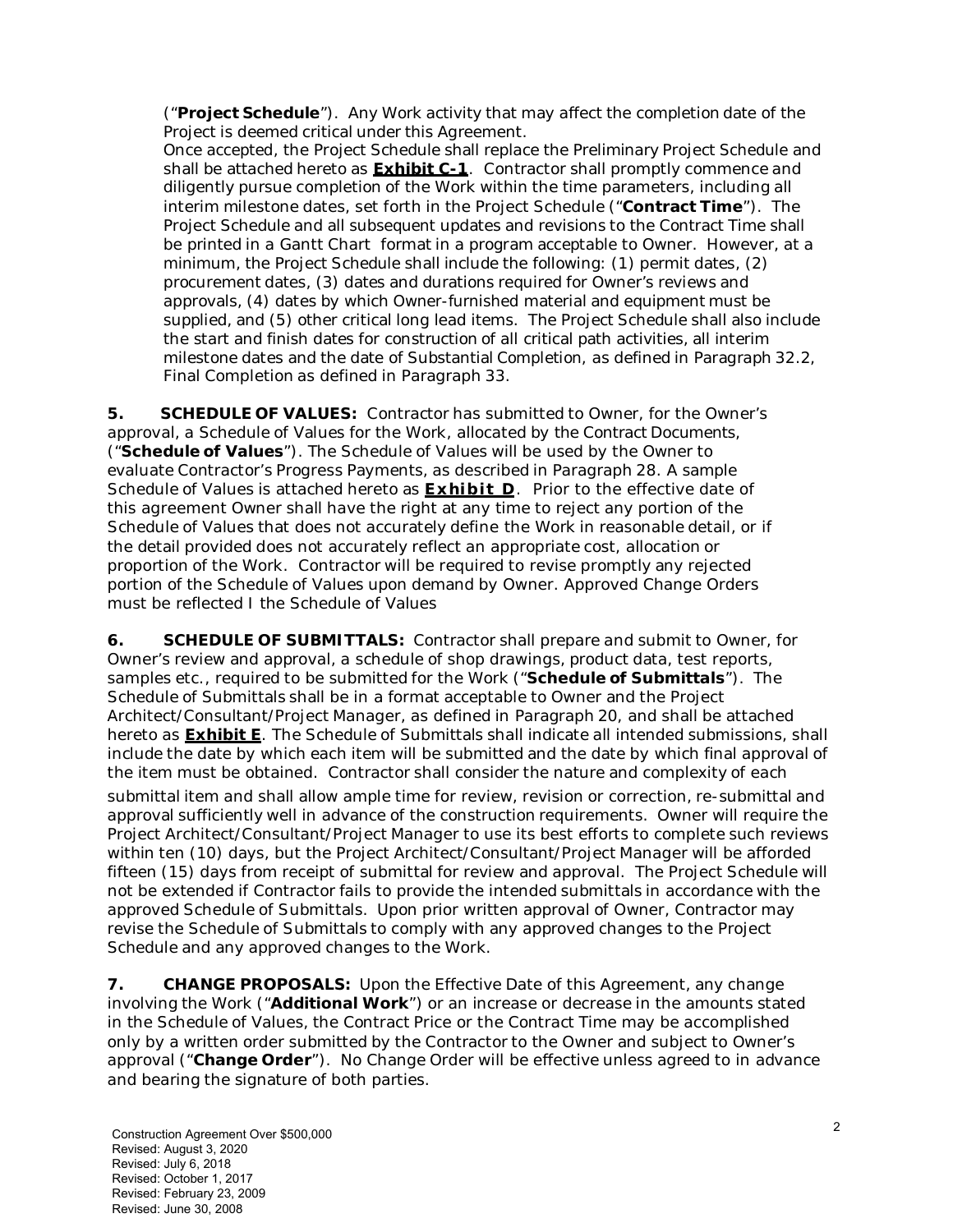("**Project Schedule**"). Any Work activity that may affect the completion date of the Project is deemed critical under this Agreement.

Once accepted, the Project Schedule shall replace the Preliminary Project Schedule and shall be attached hereto as **Exhibit C-1**. Contractor shall promptly commence and diligently pursue completion of the Work within the time parameters, including all interim milestone dates, set forth in the Project Schedule ("**Contract Time**"). The Project Schedule and all subsequent updates and revisions to the Contract Time shall be printed in a Gantt Chart format in a program acceptable to Owner. However, at a minimum, the Project Schedule shall include the following: (1) permit dates, (2) procurement dates, (3) dates and durations required for Owner's reviews and approvals, (4) dates by which Owner-furnished material and equipment must be supplied, and (5) other critical long lead items. The Project Schedule shall also include the start and finish dates for construction of all critical path activities, all interim milestone dates and the date of Substantial Completion, as defined in Paragraph 32.2, Final Completion as defined in Paragraph 33.

**5. SCHEDULE OF VALUES:** Contractor has submitted to Owner, for the Owner's approval, a Schedule of Values for the Work, allocated by the Contract Documents, ("**Schedule of Values**"). The Schedule of Values will be used by the Owner to evaluate Contractor's Progress Payments, as described in Paragraph 28. A sample Schedule of Values is attached hereto as **Exhibit D**. Prior to the effective date of this agreement Owner shall have the right at any time to reject any portion of the Schedule of Values that does not accurately define the Work in reasonable detail, or if the detail provided does not accurately reflect an appropriate cost, allocation or proportion of the Work. Contractor will be required to revise promptly any rejected portion of the Schedule of Values upon demand by Owner. Approved Change Orders must be reflected I the Schedule of Values

**6. SCHEDULE OF SUBMITTALS:** Contractor shall prepare and submit to Owner, for Owner's review and approval, a schedule of shop drawings, product data, test reports, samples etc., required to be submitted for the Work ("**Schedule of Submittals**"). The Schedule of Submittals shall be in a format acceptable to Owner and the Project Architect/Consultant/Project Manager, as defined in Paragraph 20, and shall be attached hereto as **Exhibit E**. The Schedule of Submittals shall indicate all intended submissions, shall include the date by which each item will be submitted and the date by which final approval of the item must be obtained. Contractor shall consider the nature and complexity of each

submittal item and shall allow ample time for review, revision or correction, re-submittal and approval sufficiently well in advance of the construction requirements. Owner will require the Project Architect/Consultant/Project Manager to use its best efforts to complete such reviews within ten (10) days, but the Project Architect/Consultant/Project Manager will be afforded fifteen (15) days from receipt of submittal for review and approval. The Project Schedule will not be extended if Contractor fails to provide the intended submittals in accordance with the approved Schedule of Submittals. Upon prior written approval of Owner, Contractor may revise the Schedule of Submittals to comply with any approved changes to the Project Schedule and any approved changes to the Work.

**7.** CHANGE PROPOSALS: Upon the Effective Date of this Agreement, any change involving the Work ("**Additional Work**") or an increase or decrease in the amounts stated in the Schedule of Values, the Contract Price or the Contract Time may be accomplished only by a written order submitted by the Contractor to the Owner and subject to Owner's approval ("**Change Order**"). No Change Order will be effective unless agreed to in advance and bearing the signature of both parties.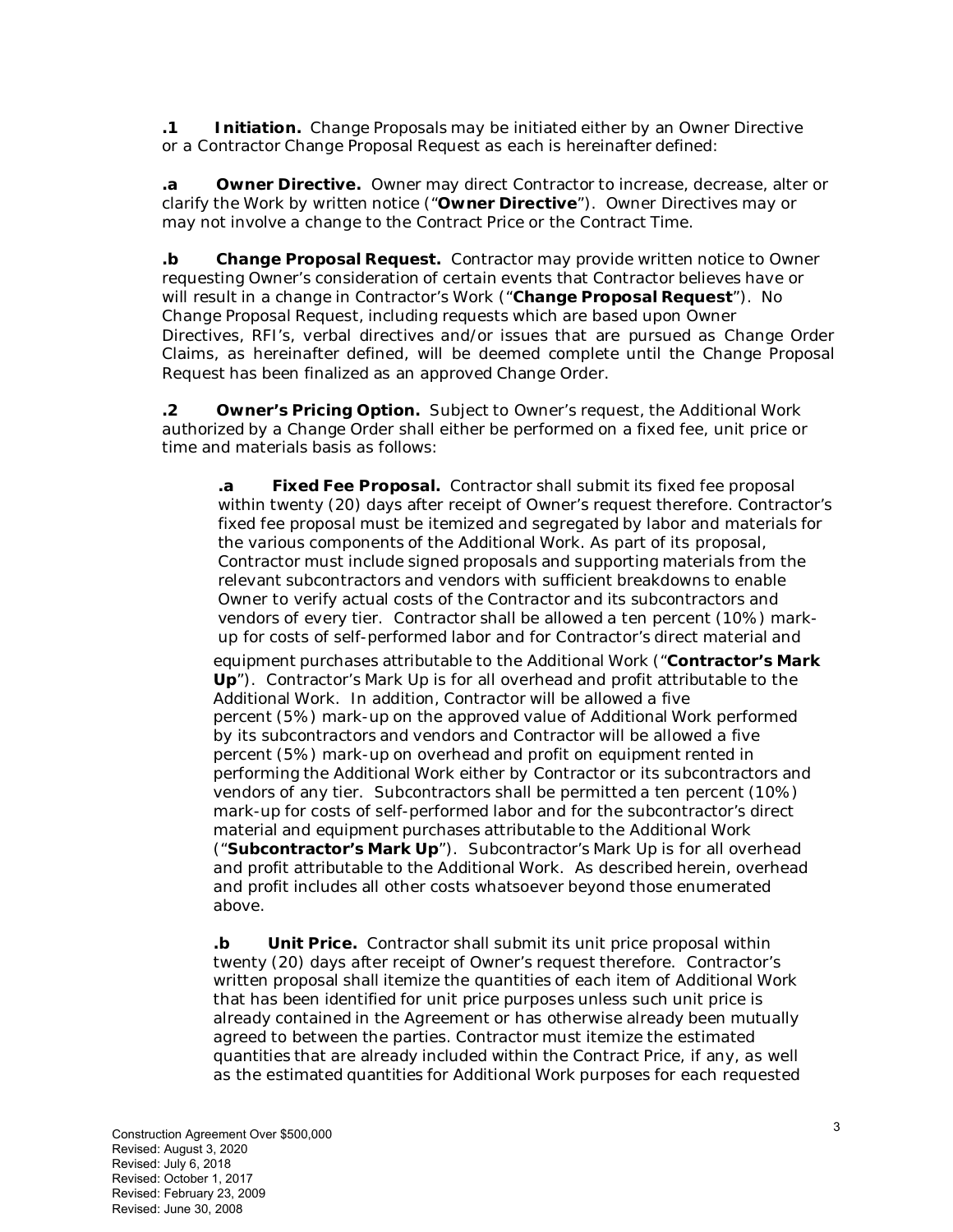**.1 Initiation.** Change Proposals may be initiated either by an Owner Directive or a Contractor Change Proposal Request as each is hereinafter defined:

**.a Owner Directive.** Owner may direct Contractor to increase, decrease, alter or clarify the Work by written notice ("**Owner Directive**"). Owner Directives may or may not involve a change to the Contract Price or the Contract Time.

**.b Change Proposal Request.** Contractor may provide written notice to Owner requesting Owner's consideration of certain events that Contractor believes have or will result in a change in Contractor's Work ("**Change Proposal Request**"). No Change Proposal Request, including requests which are based upon Owner Directives, RFI's, verbal directives and/or issues that are pursued as Change Order Claims, as hereinafter defined, will be deemed complete until the Change Proposal Request has been finalized as an approved Change Order.

**.2 Owner's Pricing Option.** Subject to Owner's request, the Additional Work authorized by a Change Order shall either be performed on a fixed fee, unit price or time and materials basis as follows:

**.a Fixed Fee Proposal.** Contractor shall submit its fixed fee proposal within twenty (20) days after receipt of Owner's request therefore. Contractor's fixed fee proposal must be itemized and segregated by labor and materials for the various components of the Additional Work. As part of its proposal, Contractor must include signed proposals and supporting materials from the relevant subcontractors and vendors with sufficient breakdowns to enable Owner to verify actual costs of the Contractor and its subcontractors and vendors of every tier. Contractor shall be allowed a ten percent (10%) markup for costs of self-performed labor and for Contractor's direct material and equipment purchases attributable to the Additional Work ("**Contractor's Mark Up**"). Contractor's Mark Up is for all overhead and profit attributable to the Additional Work. In addition, Contractor will be allowed a five percent (5%) mark-up on the approved value of Additional Work performed by its subcontractors and vendors and Contractor will be allowed a five percent (5%) mark-up on overhead and profit on equipment rented in performing the Additional Work either by Contractor or its subcontractors and vendors of any tier. Subcontractors shall be permitted a ten percent (10%) mark-up for costs of self-performed labor and for the subcontractor's direct material and equipment purchases attributable to the Additional Work ("**Subcontractor's Mark Up**"). Subcontractor's Mark Up is for all overhead and profit attributable to the Additional Work. As described herein, overhead and profit includes all other costs whatsoever beyond those enumerated above.

**.b Unit Price.** Contractor shall submit its unit price proposal within twenty (20) days after receipt of Owner's request therefore. Contractor's written proposal shall itemize the quantities of each item of Additional Work that has been identified for unit price purposes unless such unit price is already contained in the Agreement or has otherwise already been mutually agreed to between the parties. Contractor must itemize the estimated quantities that are already included within the Contract Price, if any, as well as the estimated quantities for Additional Work purposes for each requested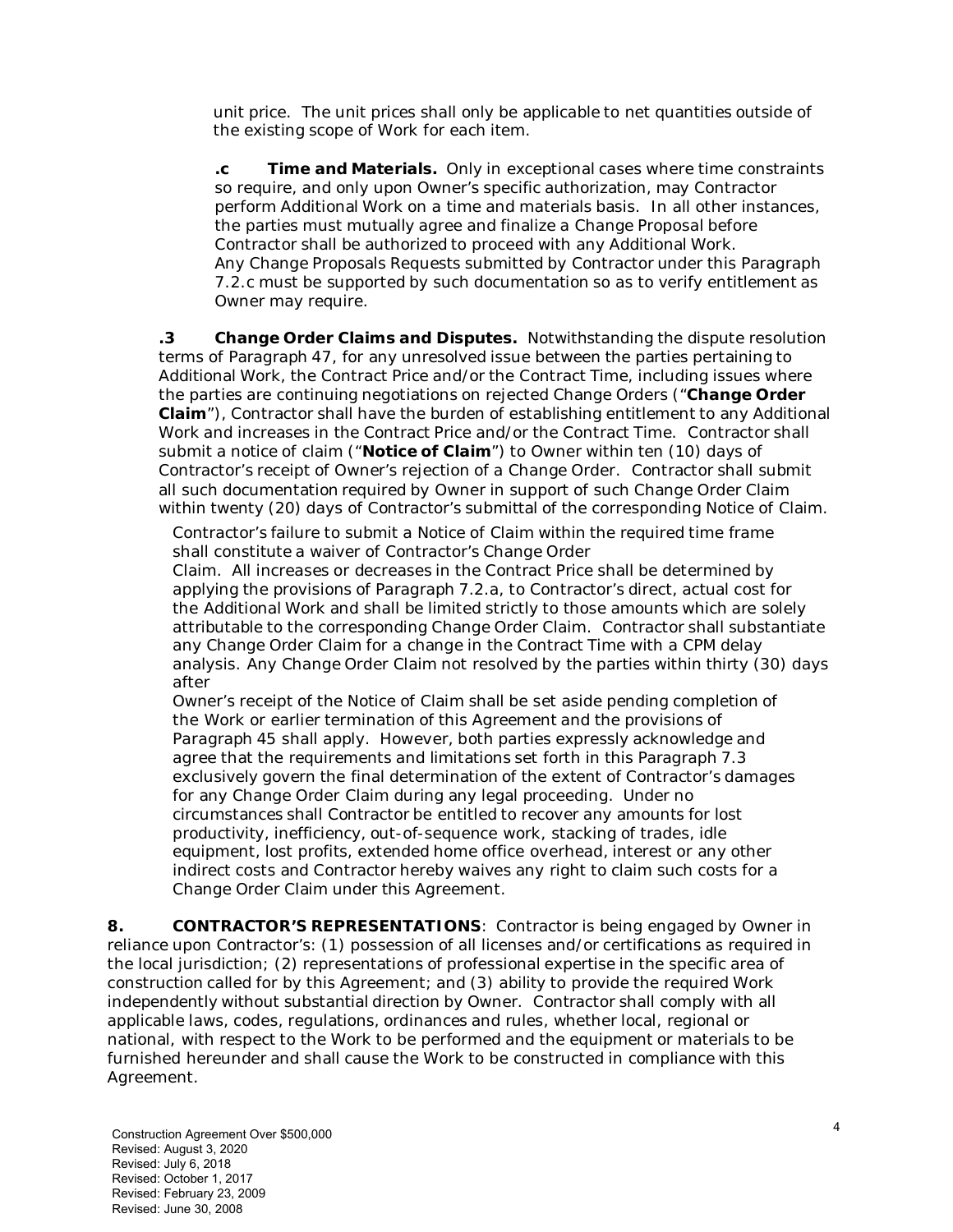unit price. The unit prices shall only be applicable to net quantities outside of the existing scope of Work for each item.

**.c Time and Materials.** Only in exceptional cases where time constraints so require, and only upon Owner's specific authorization, may Contractor perform Additional Work on a time and materials basis. In all other instances, the parties must mutually agree and finalize a Change Proposal before Contractor shall be authorized to proceed with any Additional Work. Any Change Proposals Requests submitted by Contractor under this Paragraph 7.2.c must be supported by such documentation so as to verify entitlement as Owner may require.

**.3 Change Order Claims and Disputes.** Notwithstanding the dispute resolution terms of Paragraph 47, for any unresolved issue between the parties pertaining to Additional Work, the Contract Price and/or the Contract Time, including issues where the parties are continuing negotiations on rejected Change Orders ("**Change Order Claim**"), Contractor shall have the burden of establishing entitlement to any Additional Work and increases in the Contract Price and/or the Contract Time. Contractor shall submit a notice of claim ("**Notice of Claim**") to Owner within ten (10) days of Contractor's receipt of Owner's rejection of a Change Order. Contractor shall submit all such documentation required by Owner in support of such Change Order Claim within twenty (20) days of Contractor's submittal of the corresponding Notice of Claim.

Contractor's failure to submit a Notice of Claim within the required time frame shall constitute a waiver of Contractor's Change Order

Claim. All increases or decreases in the Contract Price shall be determined by applying the provisions of Paragraph 7.2.a, to Contractor's direct, actual cost for the Additional Work and shall be limited strictly to those amounts which are solely attributable to the corresponding Change Order Claim. Contractor shall substantiate any Change Order Claim for a change in the Contract Time with a CPM delay analysis. Any Change Order Claim not resolved by the parties within thirty (30) days after

Owner's receipt of the Notice of Claim shall be set aside pending completion of the Work or earlier termination of this Agreement and the provisions of Paragraph 45 shall apply. However, both parties expressly acknowledge and agree that the requirements and limitations set forth in this Paragraph 7.3 exclusively govern the final determination of the extent of Contractor's damages for any Change Order Claim during any legal proceeding. Under no circumstances shall Contractor be entitled to recover any amounts for lost productivity, inefficiency, out-of-sequence work, stacking of trades, idle equipment, lost profits, extended home office overhead, interest or any other indirect costs and Contractor hereby waives any right to claim such costs for a Change Order Claim under this Agreement.

**8. CONTRACTOR'S REPRESENTATIONS**: Contractor is being engaged by Owner in reliance upon Contractor's: (1) possession of all licenses and/or certifications as required in the local jurisdiction; (2) representations of professional expertise in the specific area of construction called for by this Agreement; and (3) ability to provide the required Work independently without substantial direction by Owner. Contractor shall comply with all applicable laws, codes, regulations, ordinances and rules, whether local, regional or national, with respect to the Work to be performed and the equipment or materials to be furnished hereunder and shall cause the Work to be constructed in compliance with this Agreement.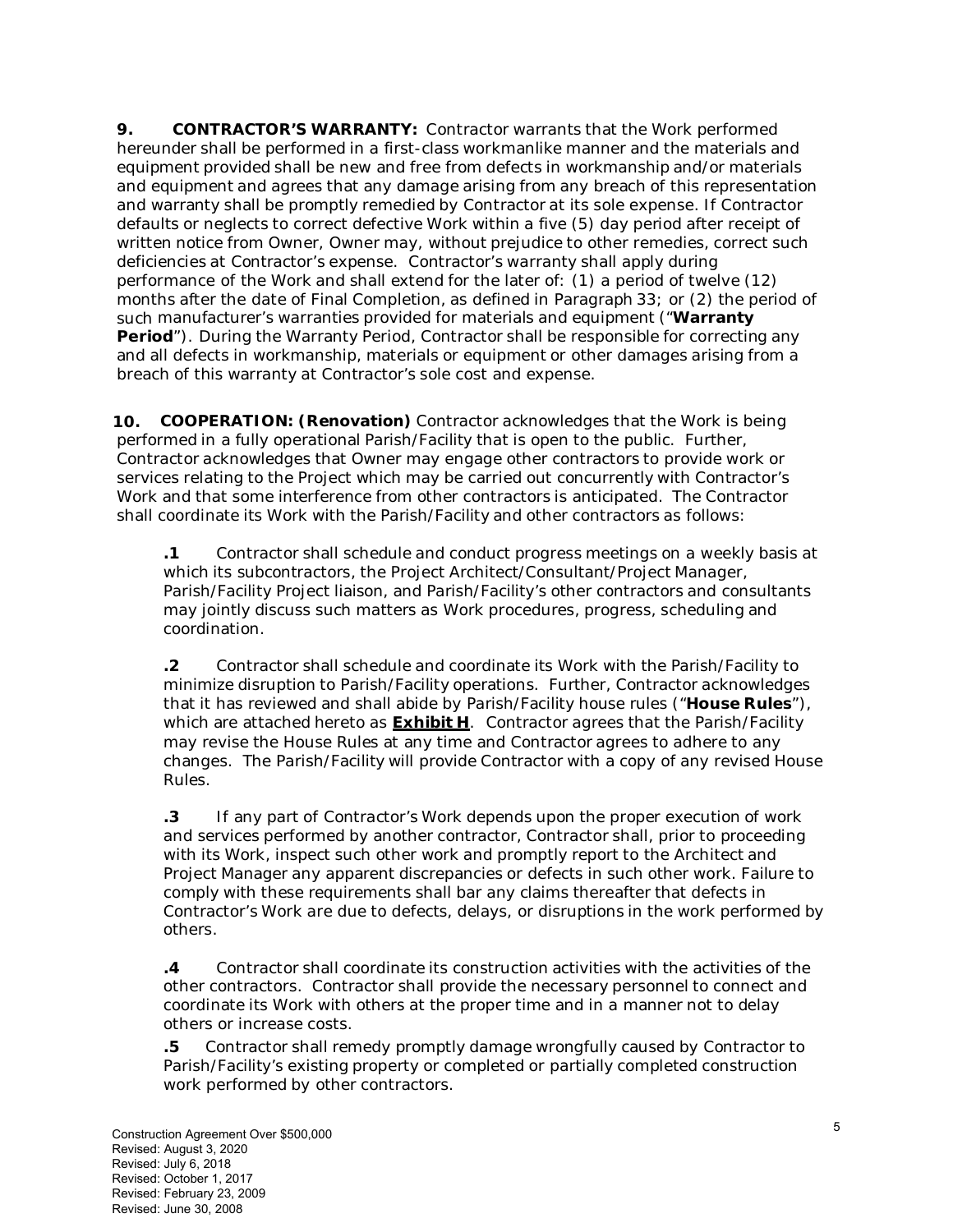**9. CONTRACTOR'S WARRANTY:** Contractor warrants that the Work performed hereunder shall be performed in a first-class workmanlike manner and the materials and equipment provided shall be new and free from defects in workmanship and/or materials and equipment and agrees that any damage arising from any breach of this representation and warranty shall be promptly remedied by Contractor at its sole expense. If Contractor defaults or neglects to correct defective Work within a five (5) day period after receipt of written notice from Owner, Owner may, without prejudice to other remedies, correct such deficiencies at Contractor's expense. Contractor's warranty shall apply during performance of the Work and shall extend for the later of: (1) a period of twelve (12) months after the date of Final Completion, as defined in Paragraph 33; or (2) the period of such manufacturer's warranties provided for materials and equipment ("**Warranty Period**"). During the Warranty Period, Contractor shall be responsible for correcting any and all defects in workmanship, materials or equipment or other damages arising from a breach of this warranty at Contractor's sole cost and expense.

 **10. COOPERATION: (Renovation)** Contractor acknowledges that the Work is being performed in a fully operational Parish/Facility that is open to the public. Further, Contractor acknowledges that Owner may engage other contractors to provide work or services relating to the Project which may be carried out concurrently with Contractor's Work and that some interference from other contractors is anticipated. The Contractor shall coordinate its Work with the Parish/Facility and other contractors as follows:

**.1** Contractor shall schedule and conduct progress meetings on a weekly basis at which its subcontractors, the Project Architect/Consultant/Project Manager, Parish/Facility Project liaison, and Parish/Facility's other contractors and consultants may jointly discuss such matters as Work procedures, progress, scheduling and coordination.

**.2** Contractor shall schedule and coordinate its Work with the Parish/Facility to minimize disruption to Parish/Facility operations. Further, Contractor acknowledges that it has reviewed and shall abide by Parish/Facility house rules ("**House Rules**"), which are attached hereto as **Exhibit H**. Contractor agrees that the Parish/Facility may revise the House Rules at any time and Contractor agrees to adhere to any changes. The Parish/Facility will provide Contractor with a copy of any revised House Rules.

**.3** If any part of Contractor's Work depends upon the proper execution of work and services performed by another contractor, Contractor shall, prior to proceeding with its Work, inspect such other work and promptly report to the Architect and Project Manager any apparent discrepancies or defects in such other work. Failure to comply with these requirements shall bar any claims thereafter that defects in Contractor's Work are due to defects, delays, or disruptions in the work performed by others.

**.4** Contractor shall coordinate its construction activities with the activities of the other contractors. Contractor shall provide the necessary personnel to connect and coordinate its Work with others at the proper time and in a manner not to delay others or increase costs.

**.5** Contractor shall remedy promptly damage wrongfully caused by Contractor to Parish/Facility's existing property or completed or partially completed construction work performed by other contractors.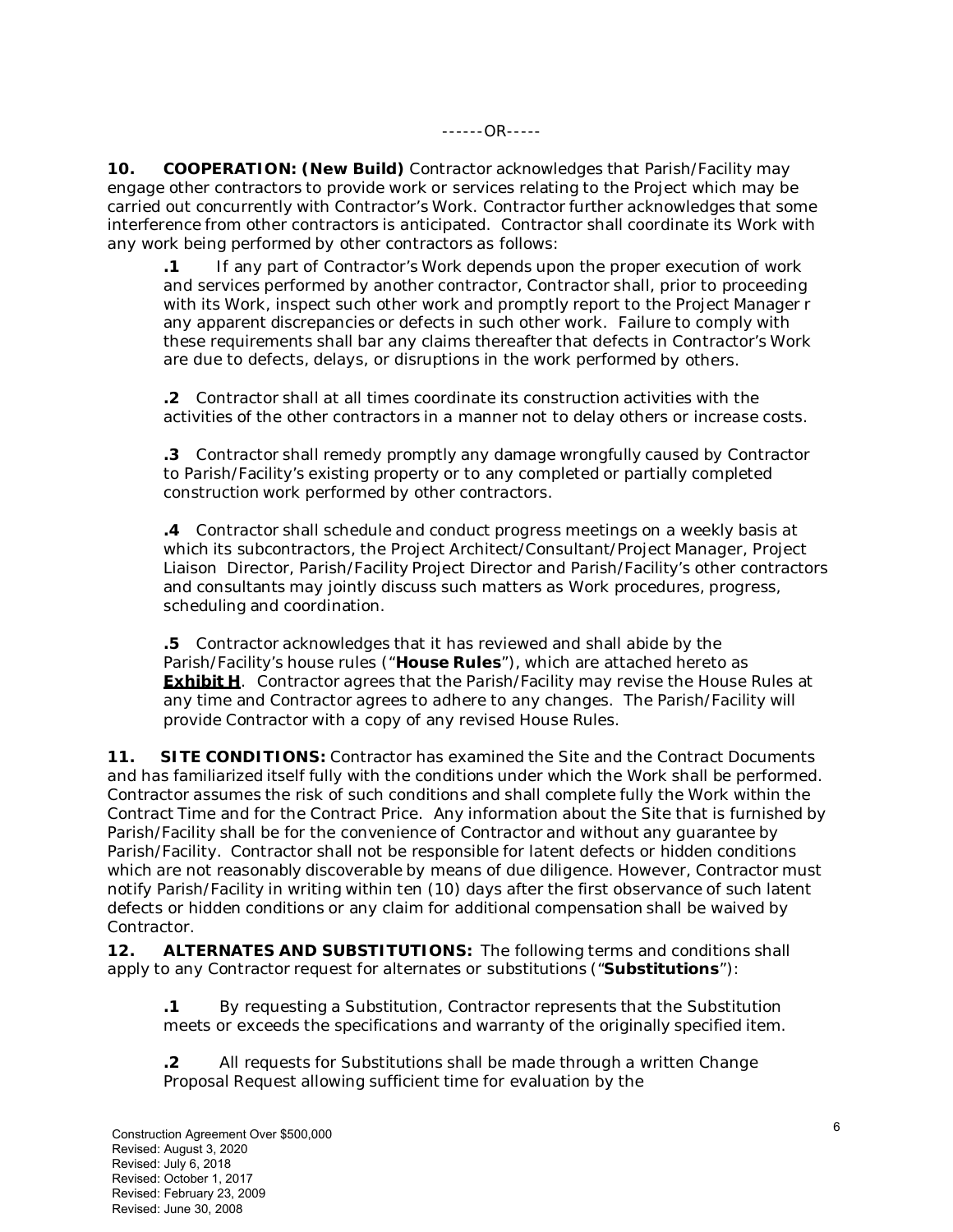**10. COOPERATION: (New Build)** Contractor acknowledges that Parish/Facility may engage other contractors to provide work or services relating to the Project which may be carried out concurrently with Contractor's Work. Contractor further acknowledges that some interference from other contractors is anticipated. Contractor shall coordinate its Work with any work being performed by other contractors as follows:

**.1** If any part of Contractor's Work depends upon the proper execution of work and services performed by another contractor, Contractor shall, prior to proceeding with its Work, inspect such other work and promptly report to the Project Manager r any apparent discrepancies or defects in such other work. Failure to comply with these requirements shall bar any claims thereafter that defects in Contractor's Work are due to defects, delays, or disruptions in the work performed by others.

**.2** Contractor shall at all times coordinate its construction activities with the activities of the other contractors in a manner not to delay others or increase costs.

**.3** Contractor shall remedy promptly any damage wrongfully caused by Contractor to Parish/Facility's existing property or to any completed or partially completed construction work performed by other contractors.

**.4** Contractor shall schedule and conduct progress meetings on a weekly basis at which its subcontractors, the Project Architect/Consultant/Project Manager, Project Liaison Director, Parish/Facility Project Director and Parish/Facility's other contractors and consultants may jointly discuss such matters as Work procedures, progress, scheduling and coordination.

**.5** Contractor acknowledges that it has reviewed and shall abide by the Parish/Facility's house rules ("**House Rules**"), which are attached hereto as **Exhibit H**. Contractor agrees that the Parish/Facility may revise the House Rules at any time and Contractor agrees to adhere to any changes. The Parish/Facility will provide Contractor with a copy of any revised House Rules.

**11. SITE CONDITIONS:** Contractor has examined the Site and the Contract Documents and has familiarized itself fully with the conditions under which the Work shall be performed. Contractor assumes the risk of such conditions and shall complete fully the Work within the Contract Time and for the Contract Price. Any information about the Site that is furnished by Parish/Facility shall be for the convenience of Contractor and without any guarantee by Parish/Facility. Contractor shall not be responsible for latent defects or hidden conditions which are not reasonably discoverable by means of due diligence. However, Contractor must notify Parish/Facility in writing within ten (10) days after the first observance of such latent defects or hidden conditions or any claim for additional compensation shall be waived by Contractor.

**12. ALTERNATES AND SUBSTITUTIONS:** The following terms and conditions shall apply to any Contractor request for alternates or substitutions ("**Substitutions**"):

**.1** By requesting a Substitution, Contractor represents that the Substitution meets or exceeds the specifications and warranty of the originally specified item.

**.2** All requests for Substitutions shall be made through a written Change Proposal Request allowing sufficient time for evaluation by the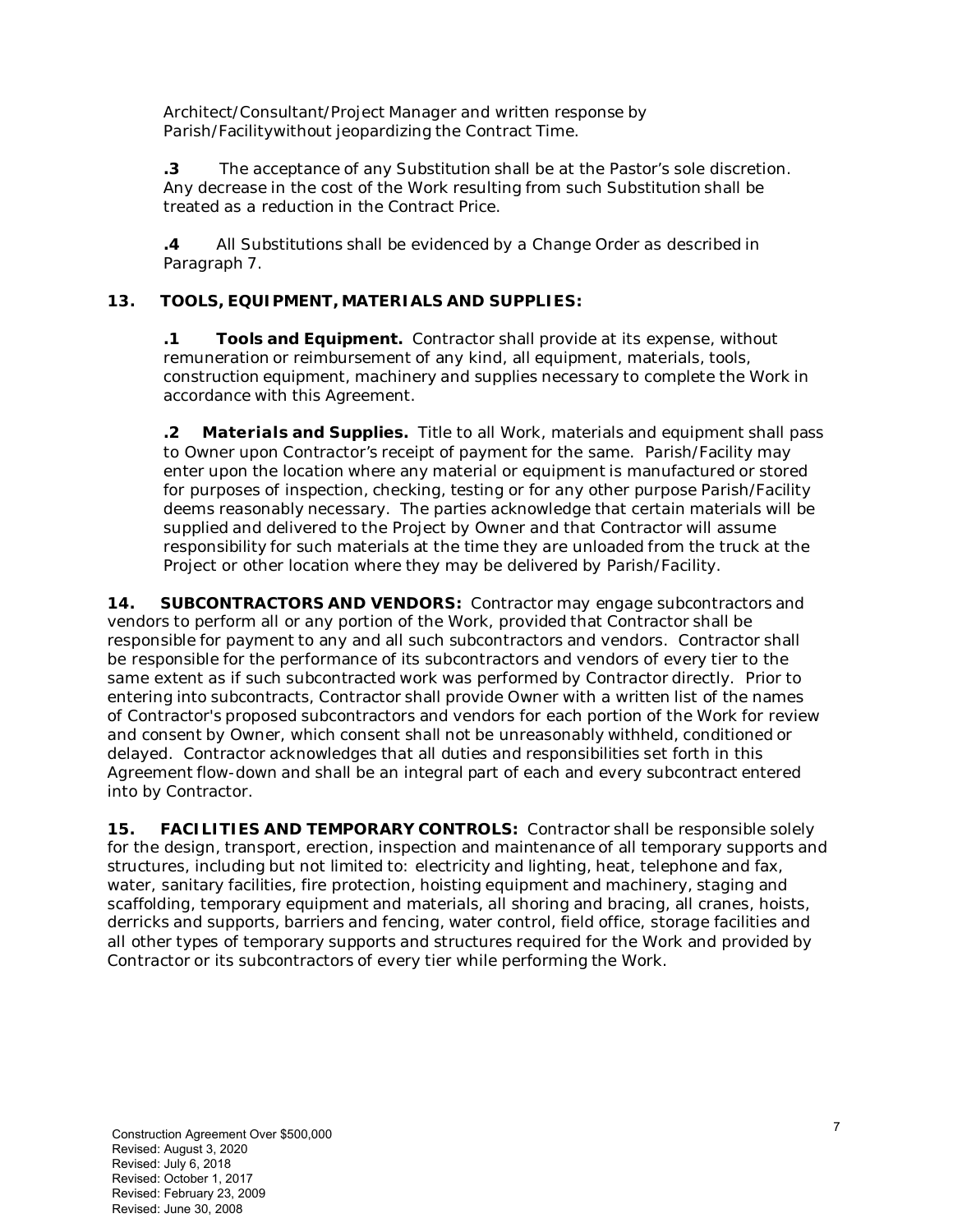Architect/Consultant/Project Manager and written response by Parish/Facilitywithout jeopardizing the Contract Time.

**.3** The acceptance of any Substitution shall be at the Pastor's sole discretion. Any decrease in the cost of the Work resulting from such Substitution shall be treated as a reduction in the Contract Price.

**.4** All Substitutions shall be evidenced by a Change Order as described in Paragraph 7.

#### **13. TOOLS, EQUIPMENT, MATERIALS AND SUPPLIES:**

**.1 Tools and Equipment.** Contractor shall provide at its expense, without remuneration or reimbursement of any kind, all equipment, materials, tools, construction equipment, machinery and supplies necessary to complete the Work in accordance with this Agreement.

**.2 Materials and Supplies.** Title to all Work, materials and equipment shall pass to Owner upon Contractor's receipt of payment for the same. Parish/Facility may enter upon the location where any material or equipment is manufactured or stored for purposes of inspection, checking, testing or for any other purpose Parish/Facility deems reasonably necessary. The parties acknowledge that certain materials will be supplied and delivered to the Project by Owner and that Contractor will assume responsibility for such materials at the time they are unloaded from the truck at the Project or other location where they may be delivered by Parish/Facility.

**14. SUBCONTRACTORS AND VENDORS: Contractor may engage subcontractors and** vendors to perform all or any portion of the Work, provided that Contractor shall be responsible for payment to any and all such subcontractors and vendors. Contractor shall be responsible for the performance of its subcontractors and vendors of every tier to the same extent as if such subcontracted work was performed by Contractor directly. Prior to entering into subcontracts, Contractor shall provide Owner with a written list of the names of Contractor's proposed subcontractors and vendors for each portion of the Work for review and consent by Owner, which consent shall not be unreasonably withheld, conditioned or delayed. Contractor acknowledges that all duties and responsibilities set forth in this Agreement flow-down and shall be an integral part of each and every subcontract entered into by Contractor.

**15. FACILITIES AND TEMPORARY CONTROLS:** Contractor shall be responsible solely for the design, transport, erection, inspection and maintenance of all temporary supports and structures, including but not limited to: electricity and lighting, heat, telephone and fax, water, sanitary facilities, fire protection, hoisting equipment and machinery, staging and scaffolding, temporary equipment and materials, all shoring and bracing, all cranes, hoists, derricks and supports, barriers and fencing, water control, field office, storage facilities and all other types of temporary supports and structures required for the Work and provided by Contractor or its subcontractors of every tier while performing the Work.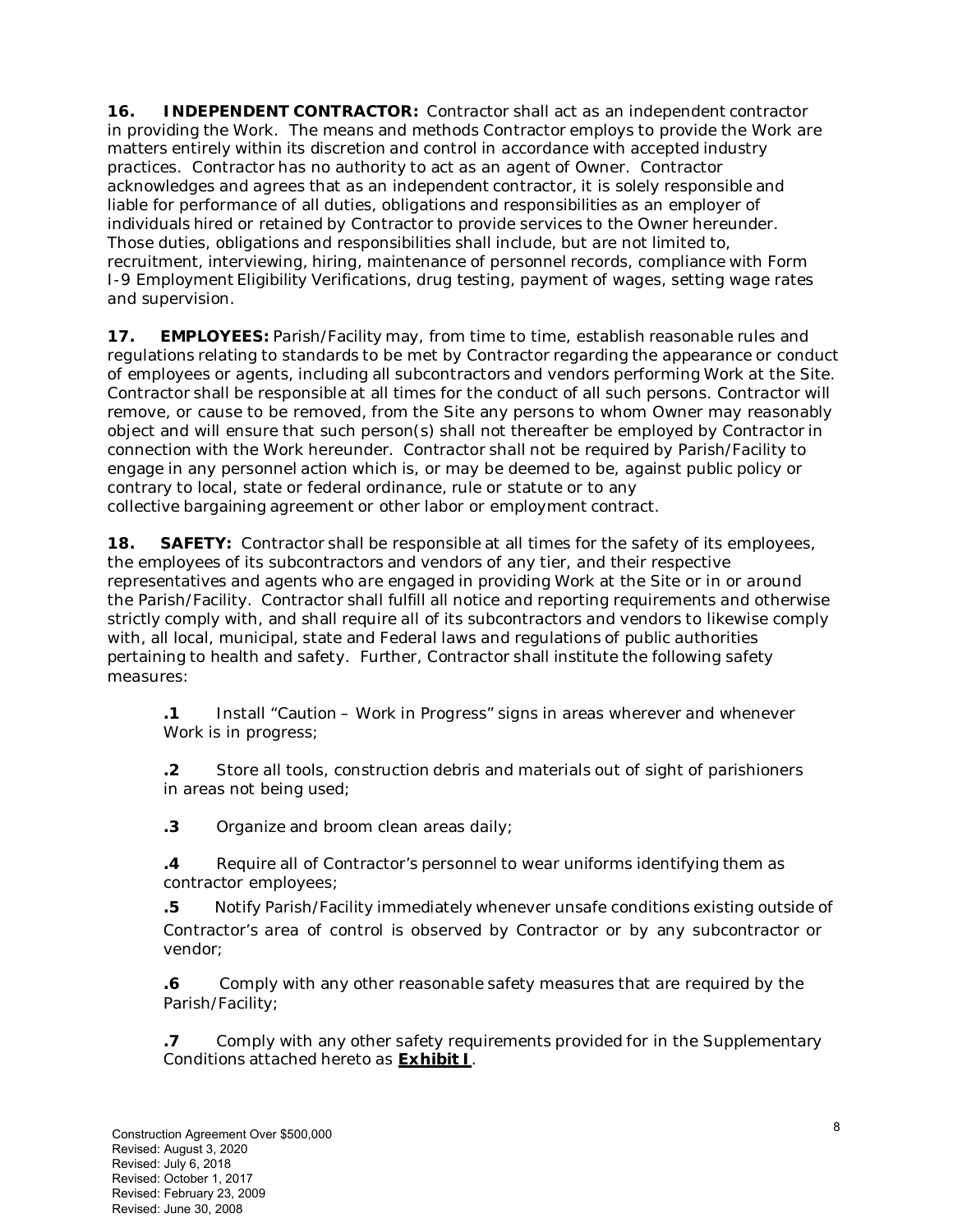**16. INDEPENDENT CONTRACTOR:** Contractor shall act as an independent contractor in providing the Work. The means and methods Contractor employs to provide the Work are matters entirely within its discretion and control in accordance with accepted industry practices. Contractor has no authority to act as an agent of Owner. Contractor acknowledges and agrees that as an independent contractor, it is solely responsible and liable for performance of all duties, obligations and responsibilities as an employer of individuals hired or retained by Contractor to provide services to the Owner hereunder. Those duties, obligations and responsibilities shall include, but are not limited to, recruitment, interviewing, hiring, maintenance of personnel records, compliance with Form I-9 Employment Eligibility Verifications, drug testing, payment of wages, setting wage rates and supervision.

**17. EMPLOYEES:** Parish/Facility may, from time to time, establish reasonable rules and regulations relating to standards to be met by Contractor regarding the appearance or conduct of employees or agents, including all subcontractors and vendors performing Work at the Site. Contractor shall be responsible at all times for the conduct of all such persons. Contractor will remove, or cause to be removed, from the Site any persons to whom Owner may reasonably object and will ensure that such person(s) shall not thereafter be employed by Contractor in connection with the Work hereunder. Contractor shall not be required by Parish/Facility to engage in any personnel action which is, or may be deemed to be, against public policy or contrary to local, state or federal ordinance, rule or statute or to any collective bargaining agreement or other labor or employment contract.

**18. SAFETY:** Contractor shall be responsible at all times for the safety of its employees, the employees of its subcontractors and vendors of any tier, and their respective representatives and agents who are engaged in providing Work at the Site or in or around the Parish/Facility. Contractor shall fulfill all notice and reporting requirements and otherwise strictly comply with, and shall require all of its subcontractors and vendors to likewise comply with, all local, municipal, state and Federal laws and regulations of public authorities pertaining to health and safety. Further, Contractor shall institute the following safety measures:

**.1** Install "*Caution – Work in Progress*" signs in areas wherever and whenever Work is in progress;

**.2** Store all tools, construction debris and materials out of sight of parishioners in areas not being used;

**.3** Organize and broom clean areas daily;

**.4** Require all of Contractor's personnel to wear uniforms identifying them as contractor employees;

**.5** Notify Parish/Facility immediately whenever unsafe conditions existing outside of Contractor's area of control is observed by Contractor or by any subcontractor or vendor;

**.6** Comply with any other reasonable safety measures that are required by the Parish/Facility;

**.7** Comply with any other safety requirements provided for in the Supplementary Conditions attached hereto as **Exhibit I**.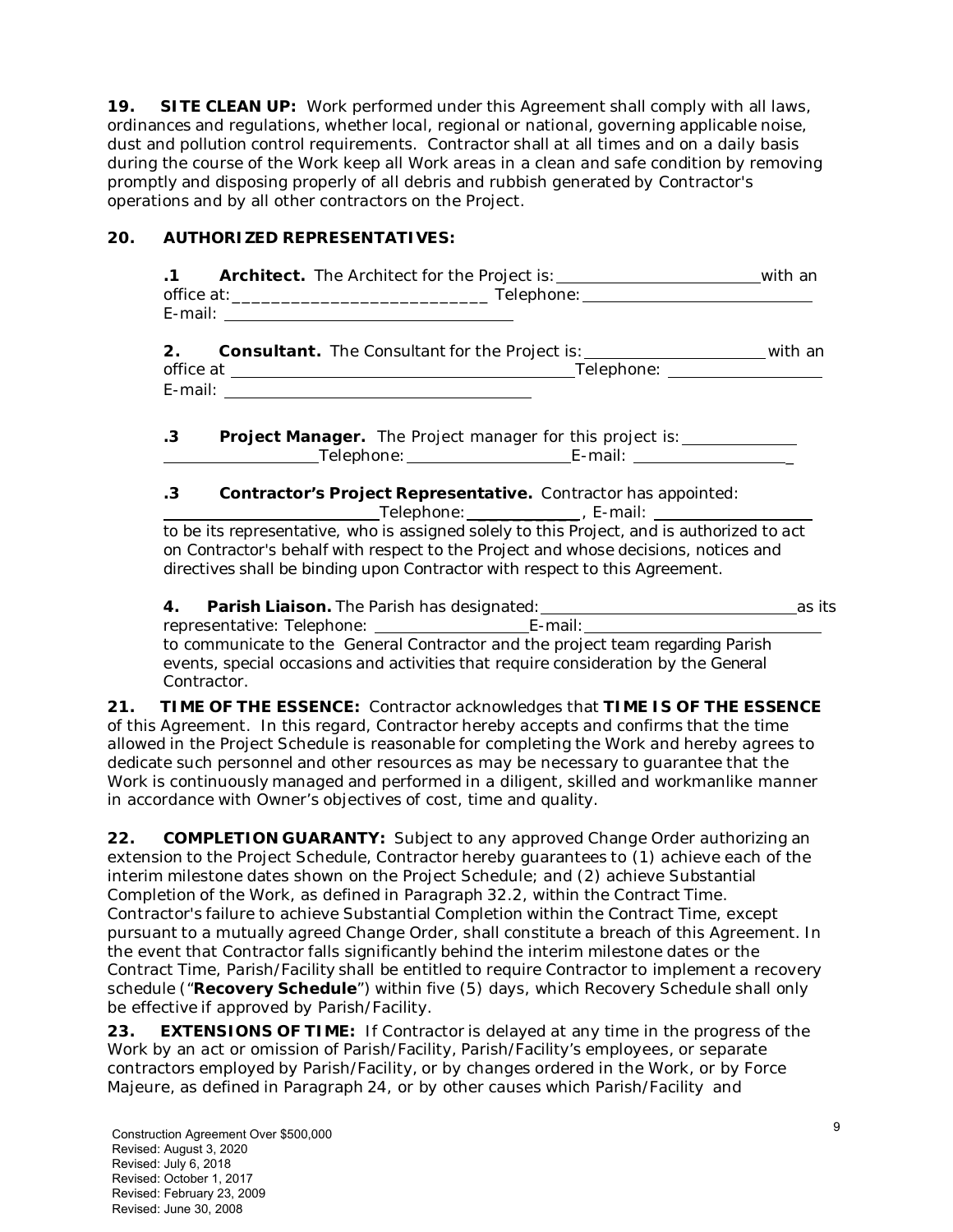**19. SITE CLEAN UP:** Work performed under this Agreement shall comply with all laws, ordinances and regulations, whether local, regional or national, governing applicable noise, dust and pollution control requirements. Contractor shall at all times and on a daily basis during the course of the Work keep all Work areas in a clean and safe condition by removing promptly and disposing properly of all debris and rubbish generated by Contractor's operations and by all other contractors on the Project.

### **20. AUTHORIZED REPRESENTATIVES:**

| $\mathbf{.1}$ |             | Architect. The Architect for the Project is: ______________________________with an                                                                                                                                                                               |  |
|---------------|-------------|------------------------------------------------------------------------------------------------------------------------------------------------------------------------------------------------------------------------------------------------------------------|--|
|               |             |                                                                                                                                                                                                                                                                  |  |
| 2.            |             | <b>Consultant.</b> The Consultant for the Project is: __________________________with an                                                                                                                                                                          |  |
|               |             |                                                                                                                                                                                                                                                                  |  |
| $\cdot$ 3     |             | <b>Project Manager.</b> The Project manager for this project is:                                                                                                                                                                                                 |  |
|               |             |                                                                                                                                                                                                                                                                  |  |
| $\cdot$ 3     |             | Contractor's Project Representative. Contractor has appointed:                                                                                                                                                                                                   |  |
|               |             | to be its representative, who is assigned solely to this Project, and is authorized to act<br>on Contractor's behalf with respect to the Project and whose decisions, notices and<br>directives shall be binding upon Contractor with respect to this Agreement. |  |
|               |             | representative: Telephone: ___________________________E-mail: ___________________                                                                                                                                                                                |  |
|               | Contractor. | to communicate to the General Contractor and the project team regarding Parish<br>events, special occasions and activities that require consideration by the General                                                                                             |  |
|               |             | TIME OF THE ESSENCE: Contractor acknowledges that TIME IS OF THE ESSENCE<br>of this Agreement. In this regard, Contractor hereby accepts and confirms that the time                                                                                              |  |

of this Agreement. In this regard, Contractor hereby accepts and confirms that the time allowed in the Project Schedule is reasonable for completing the Work and hereby agrees to dedicate such personnel and other resources as may be necessary to guarantee that the Work is continuously managed and performed in a diligent, skilled and workmanlike manner in accordance with Owner's objectives of cost, time and quality.

**22. COMPLETION GUARANTY:** Subject to any approved Change Order authorizing an extension to the Project Schedule, Contractor hereby guarantees to (1) achieve each of the interim milestone dates shown on the Project Schedule; and (2) achieve Substantial Completion of the Work, as defined in Paragraph 32.2, within the Contract Time. Contractor's failure to achieve Substantial Completion within the Contract Time, except pursuant to a mutually agreed Change Order, shall constitute a breach of this Agreement. In the event that Contractor falls significantly behind the interim milestone dates or the Contract Time, Parish/Facility shall be entitled to require Contractor to implement a recovery schedule ("**Recovery Schedule**") within five (5) days, which Recovery Schedule shall only be effective if approved by Parish/Facility.

**23. EXTENSIONS OF TIME:** If Contractor is delayed at any time in the progress of the Work by an act or omission of Parish/Facility, Parish/Facility's employees, or separate contractors employed by Parish/Facility, or by changes ordered in the Work, or by Force Majeure, as defined in Paragraph 24, or by other causes which Parish/Facility and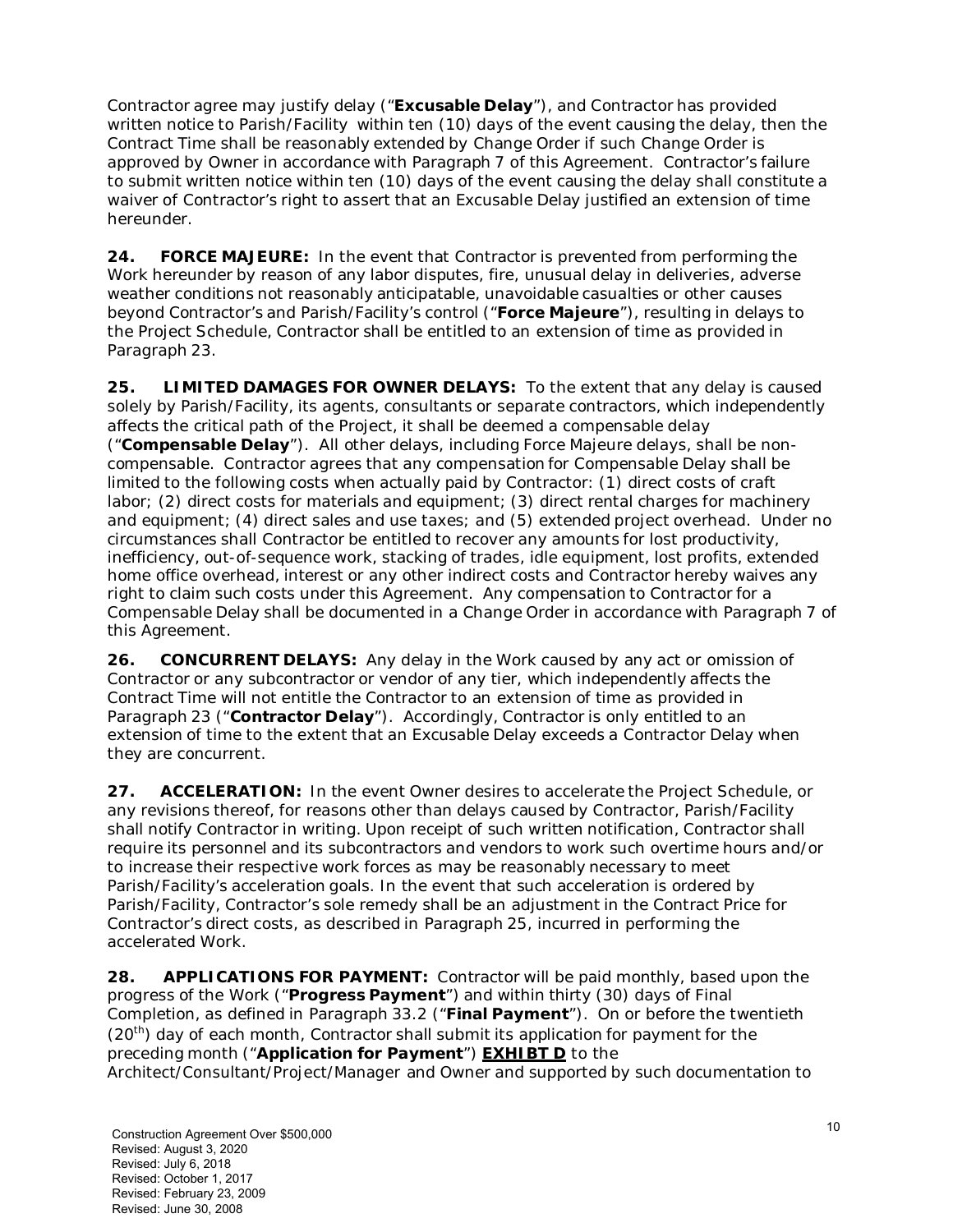Contractor agree may justify delay ("**Excusable Delay**"), and Contractor has provided written notice to Parish/Facility within ten (10) days of the event causing the delay, then the Contract Time shall be reasonably extended by Change Order if such Change Order is approved by Owner in accordance with Paragraph 7 of this Agreement. Contractor's failure to submit written notice within ten (10) days of the event causing the delay shall constitute a waiver of Contractor's right to assert that an Excusable Delay justified an extension of time hereunder.

**24. FORCE MAJEURE:** In the event that Contractor is prevented from performing the Work hereunder by reason of any labor disputes, fire, unusual delay in deliveries, adverse weather conditions not reasonably anticipatable, unavoidable casualties or other causes beyond Contractor's and Parish/Facility's control ("**Force Majeure**"), resulting in delays to the Project Schedule, Contractor shall be entitled to an extension of time as provided in Paragraph 23.

**25. LIMITED DAMAGES FOR OWNER DELAYS:** To the extent that any delay is caused solely by Parish/Facility, its agents, consultants or separate contractors, which independently affects the critical path of the Project, it shall be deemed a compensable delay ("**Compensable Delay**"). All other delays, including Force Majeure delays, shall be noncompensable. Contractor agrees that any compensation for Compensable Delay shall be limited to the following costs when actually paid by Contractor: (1) direct costs of craft labor; (2) direct costs for materials and equipment; (3) direct rental charges for machinery and equipment; (4) direct sales and use taxes; and (5) extended project overhead. Under no circumstances shall Contractor be entitled to recover any amounts for lost productivity, inefficiency, out-of-sequence work, stacking of trades, idle equipment, lost profits, extended home office overhead, interest or any other indirect costs and Contractor hereby waives any right to claim such costs under this Agreement. Any compensation to Contractor for a Compensable Delay shall be documented in a Change Order in accordance with Paragraph 7 of this Agreement.

**26. CONCURRENT DELAYS:** Any delay in the Work caused by any act or omission of Contractor or any subcontractor or vendor of any tier, which independently affects the Contract Time will not entitle the Contractor to an extension of time as provided in Paragraph 23 ("**Contractor Delay**"). Accordingly, Contractor is only entitled to an extension of time to the extent that an Excusable Delay exceeds a Contractor Delay when they are concurrent.

**27. ACCELERATION:** In the event Owner desires to accelerate the Project Schedule, or any revisions thereof, for reasons other than delays caused by Contractor, Parish/Facility shall notify Contractor in writing. Upon receipt of such written notification, Contractor shall require its personnel and its subcontractors and vendors to work such overtime hours and/or to increase their respective work forces as may be reasonably necessary to meet Parish/Facility's acceleration goals. In the event that such acceleration is ordered by Parish/Facility, Contractor's sole remedy shall be an adjustment in the Contract Price for Contractor's direct costs, as described in Paragraph 25, incurred in performing the accelerated Work.

**28. APPLICATIONS FOR PAYMENT:** Contractor will be paid monthly, based upon the progress of the Work ("**Progress Payment**") and within thirty (30) days of Final Completion, as defined in Paragraph 33.2 ("**Final Payment**"). On or before the twentieth  $(20<sup>th</sup>)$  day of each month, Contractor shall submit its application for payment for the preceding month ("**Application for Payment**") **EXHIBT D** to the Architect/Consultant/Project/Manager and Owner and supported by such documentation to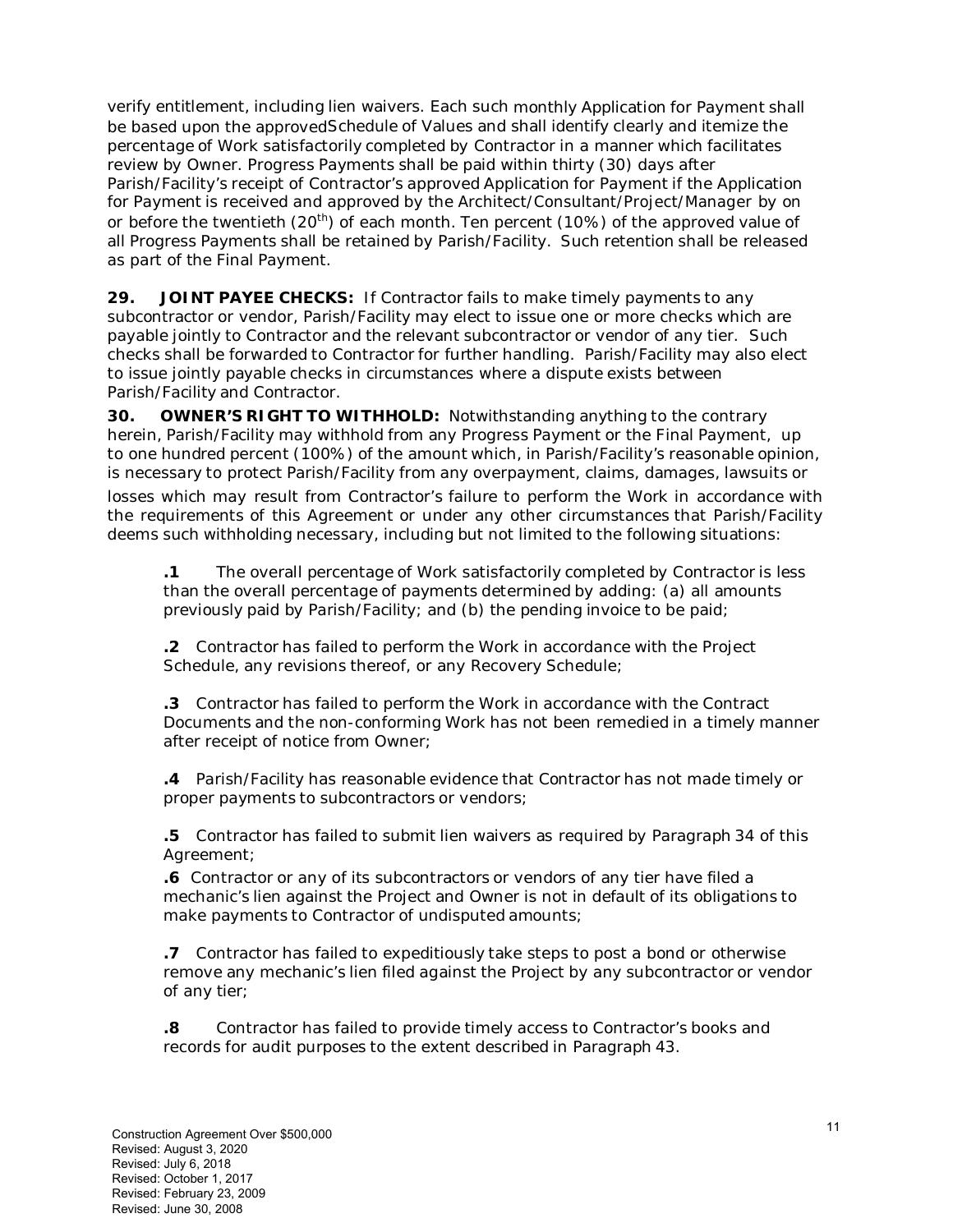verify entitlement, including lien waivers. Each such monthly Application for Payment shall be based upon the approvedSchedule of Values and shall identify clearly and itemize the percentage of Work satisfactorily completed by Contractor in a manner which facilitates review by Owner. Progress Payments shall be paid within thirty (30) days after Parish/Facility's receipt of Contractor's approved Application for Payment if the Application for Payment is received and approved by the Architect/Consultant/Project/Manager by on or before the twentieth (20<sup>th</sup>) of each month. Ten percent (10%) of the approved value of all Progress Payments shall be retained by Parish/Facility. Such retention shall be released as part of the Final Payment.

**29. JOINT PAYEE CHECKS:** If Contractor fails to make timely payments to any subcontractor or vendor, Parish/Facility may elect to issue one or more checks which are payable jointly to Contractor and the relevant subcontractor or vendor of any tier. Such checks shall be forwarded to Contractor for further handling. Parish/Facility may also elect to issue jointly payable checks in circumstances where a dispute exists between Parish/Facility and Contractor.

**30. OWNER'S RIGHT TO WITHHOLD:** Notwithstanding anything to the contrary herein, Parish/Facility may withhold from any Progress Payment or the Final Payment, up to one hundred percent (100%) of the amount which, in Parish/Facility's reasonable opinion, is necessary to protect Parish/Facility from any overpayment, claims, damages, lawsuits or losses which may result from Contractor's failure to perform the Work in accordance with the requirements of this Agreement or under any other circumstances that Parish/Facility deems such withholding necessary, including but not limited to the following situations:

**.1** The overall percentage of Work satisfactorily completed by Contractor is less than the overall percentage of payments determined by adding: (a) all amounts previously paid by Parish/Facility; and (b) the pending invoice to be paid;

**.2** Contractor has failed to perform the Work in accordance with the Project Schedule, any revisions thereof, or any Recovery Schedule;

**.3** Contractor has failed to perform the Work in accordance with the Contract Documents and the non-conforming Work has not been remedied in a timely manner after receipt of notice from Owner;

**.4** Parish/Facility has reasonable evidence that Contractor has not made timely or proper payments to subcontractors or vendors;

**.5** Contractor has failed to submit lien waivers as required by Paragraph 34 of this Agreement;

**.6** Contractor or any of its subcontractors or vendors of any tier have filed a mechanic's lien against the Project and Owner is not in default of its obligations to make payments to Contractor of undisputed amounts;

**.7** Contractor has failed to expeditiously take steps to post a bond or otherwise remove any mechanic's lien filed against the Project by any subcontractor or vendor of any tier;

**.8** Contractor has failed to provide timely access to Contractor's books and records for audit purposes to the extent described in Paragraph 43.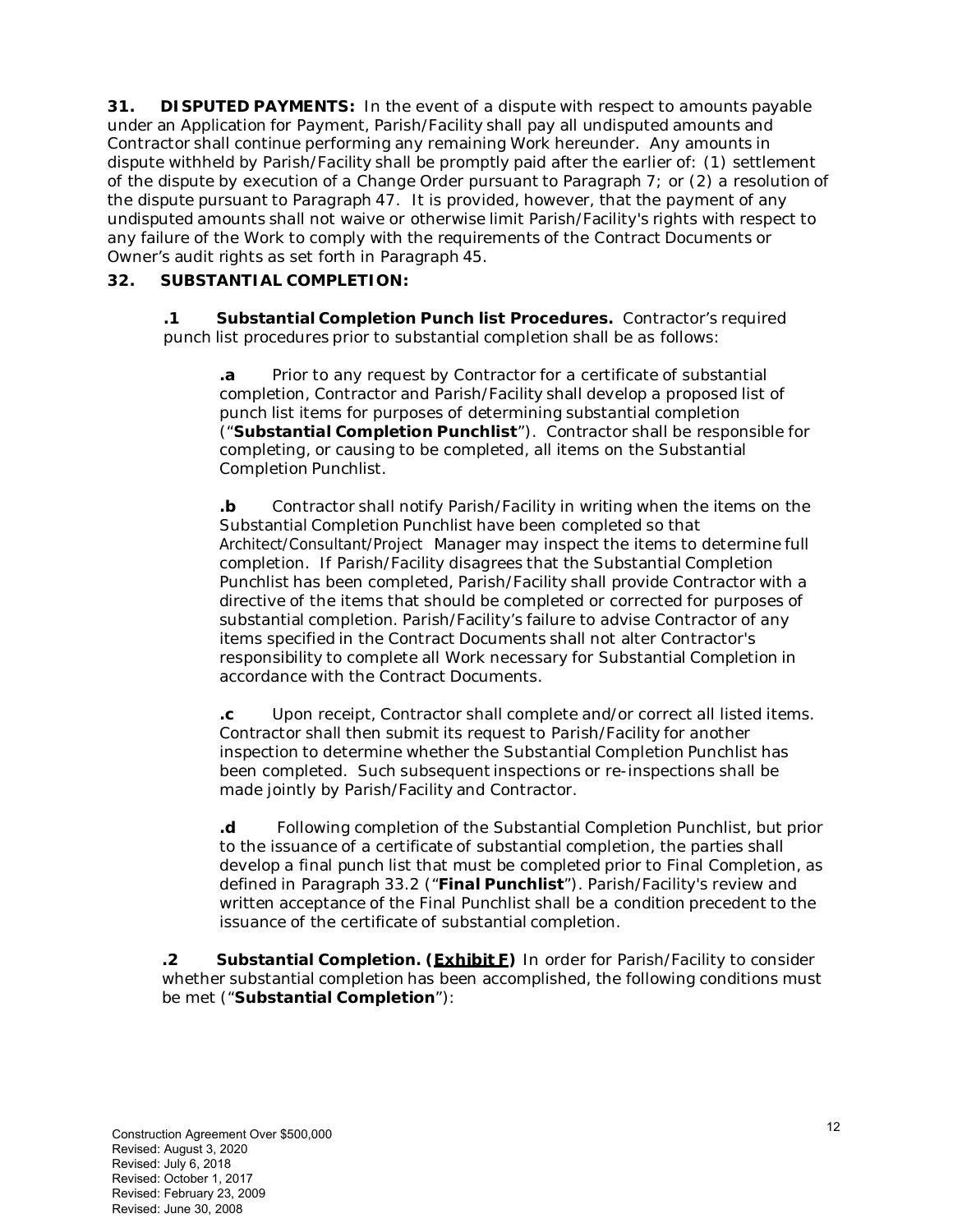**31. DISPUTED PAYMENTS:** In the event of a dispute with respect to amounts payable under an Application for Payment, Parish/Facility shall pay all undisputed amounts and Contractor shall continue performing any remaining Work hereunder. Any amounts in dispute withheld by Parish/Facility shall be promptly paid after the earlier of: (1) settlement of the dispute by execution of a Change Order pursuant to Paragraph 7; or (2) a resolution of the dispute pursuant to Paragraph 47. It is provided, however, that the payment of any undisputed amounts shall not waive or otherwise limit Parish/Facility's rights with respect to any failure of the Work to comply with the requirements of the Contract Documents or Owner's audit rights as set forth in Paragraph 45.

### **32. SUBSTANTIAL COMPLETION:**

**.1 Substantial Completion Punch list Procedures.** Contractor's required punch list procedures prior to substantial completion shall be as follows:

**.a** Prior to any request by Contractor for a certificate of substantial completion, Contractor and Parish/Facility shall develop a proposed list of punch list items for purposes of determining substantial completion ("**Substantial Completion Punchlist**"). Contractor shall be responsible for completing, or causing to be completed, all items on the Substantial Completion Punchlist.

**.b** Contractor shall notify Parish/Facility in writing when the items on the Substantial Completion Punchlist have been completed so that Architect/Consultant/Project Manager may inspect the items to determine full completion. If Parish/Facility disagrees that the Substantial Completion Punchlist has been completed, Parish/Facility shall provide Contractor with a directive of the items that should be completed or corrected for purposes of substantial completion. Parish/Facility's failure to advise Contractor of any items specified in the Contract Documents shall not alter Contractor's responsibility to complete all Work necessary for Substantial Completion in accordance with the Contract Documents.

**.c** Upon receipt, Contractor shall complete and/or correct all listed items. Contractor shall then submit its request to Parish/Facility for another inspection to determine whether the Substantial Completion Punchlist has been completed. Such subsequent inspections or re-inspections shall be made jointly by Parish/Facility and Contractor.

**.d** Following completion of the Substantial Completion Punchlist, but prior to the issuance of a certificate of substantial completion, the parties shall develop a final punch list that must be completed prior to Final Completion, as defined in Paragraph 33.2 ("**Final Punchlist**"). Parish/Facility's review and written acceptance of the Final Punchlist shall be a condition precedent to the issuance of the certificate of substantial completion.

**.2 Substantial Completion. (Exhibit F)** In order for Parish/Facility to consider whether substantial completion has been accomplished, the following conditions must be met ("**Substantial Completion**"):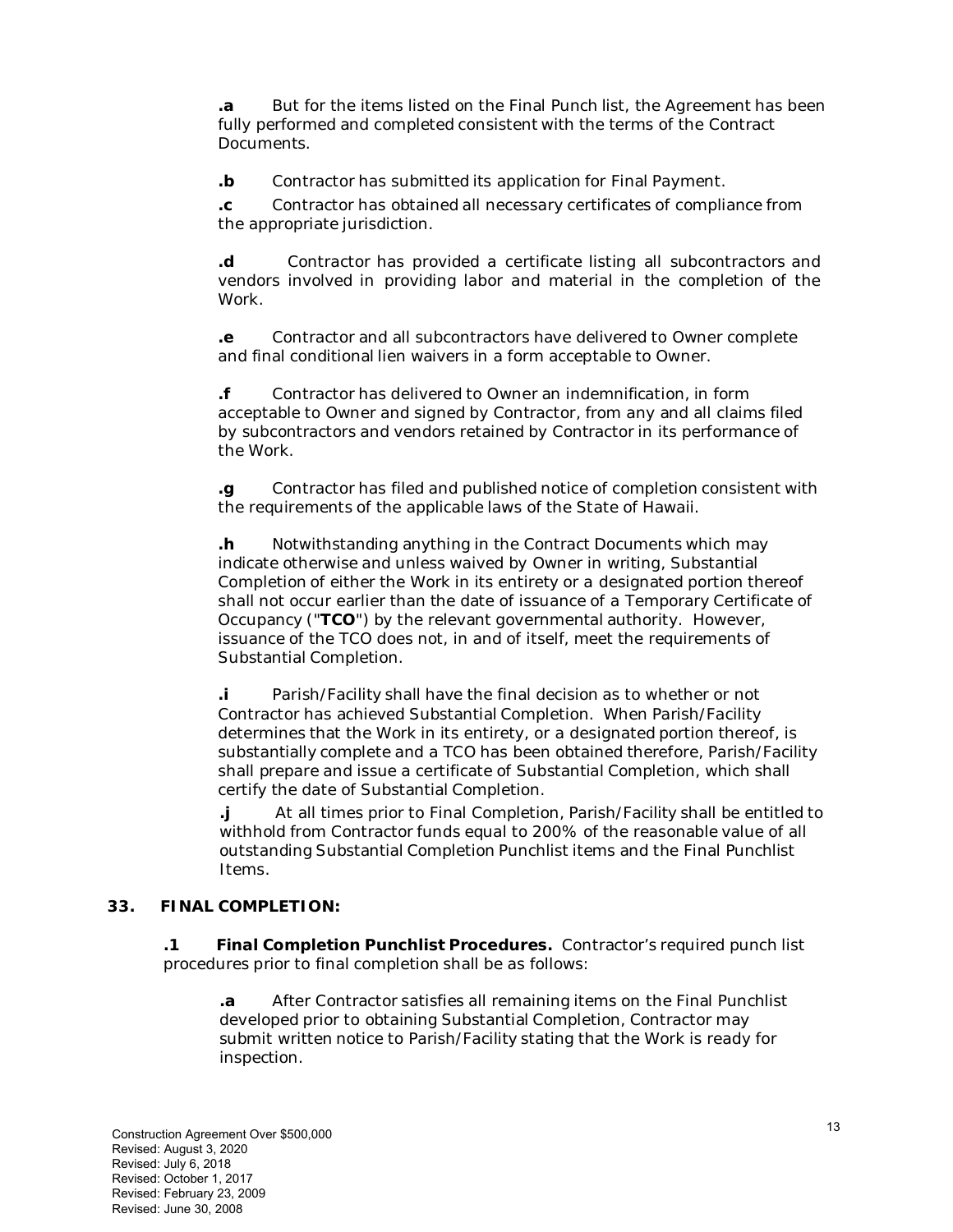**.a** But for the items listed on the Final Punch list, the Agreement has been fully performed and completed consistent with the terms of the Contract Documents.

**.b** Contractor has submitted its application for Final Payment.

**.c** Contractor has obtained all necessary certificates of compliance from the appropriate jurisdiction.

**.d** Contractor has provided a certificate listing all subcontractors and vendors involved in providing labor and material in the completion of the Work.

**.e** Contractor and all subcontractors have delivered to Owner complete and final conditional lien waivers in a form acceptable to Owner.

**.f** Contractor has delivered to Owner an indemnification, in form acceptable to Owner and signed by Contractor, from any and all claims filed by subcontractors and vendors retained by Contractor in its performance of the Work.

**.g** Contractor has filed and published notice of completion consistent with the requirements of the applicable laws of the State of Hawaii.

**.h** Notwithstanding anything in the Contract Documents which may indicate otherwise and unless waived by Owner in writing, Substantial Completion of either the Work in its entirety or a designated portion thereof shall not occur earlier than the date of issuance of a Temporary Certificate of Occupancy ("**TCO**") by the relevant governmental authority. However, issuance of the TCO does not, in and of itself, meet the requirements of Substantial Completion.

**.i** Parish/Facility shall have the final decision as to whether or not Contractor has achieved Substantial Completion. When Parish/Facility determines that the Work in its entirety, or a designated portion thereof, is substantially complete and a TCO has been obtained therefore, Parish/Facility shall prepare and issue a certificate of Substantial Completion, which shall certify the date of Substantial Completion.

**.j** At all times prior to Final Completion, Parish/Facility shall be entitled to withhold from Contractor funds equal to 200% of the reasonable value of all outstanding Substantial Completion Punchlist items and the Final Punchlist Items.

#### **33. FINAL COMPLETION:**

**.1 Final Completion Punchlist Procedures.** Contractor's required punch list procedures prior to final completion shall be as follows:

**.a** After Contractor satisfies all remaining items on the Final Punchlist developed prior to obtaining Substantial Completion, Contractor may submit written notice to Parish/Facility stating that the Work is ready for inspection.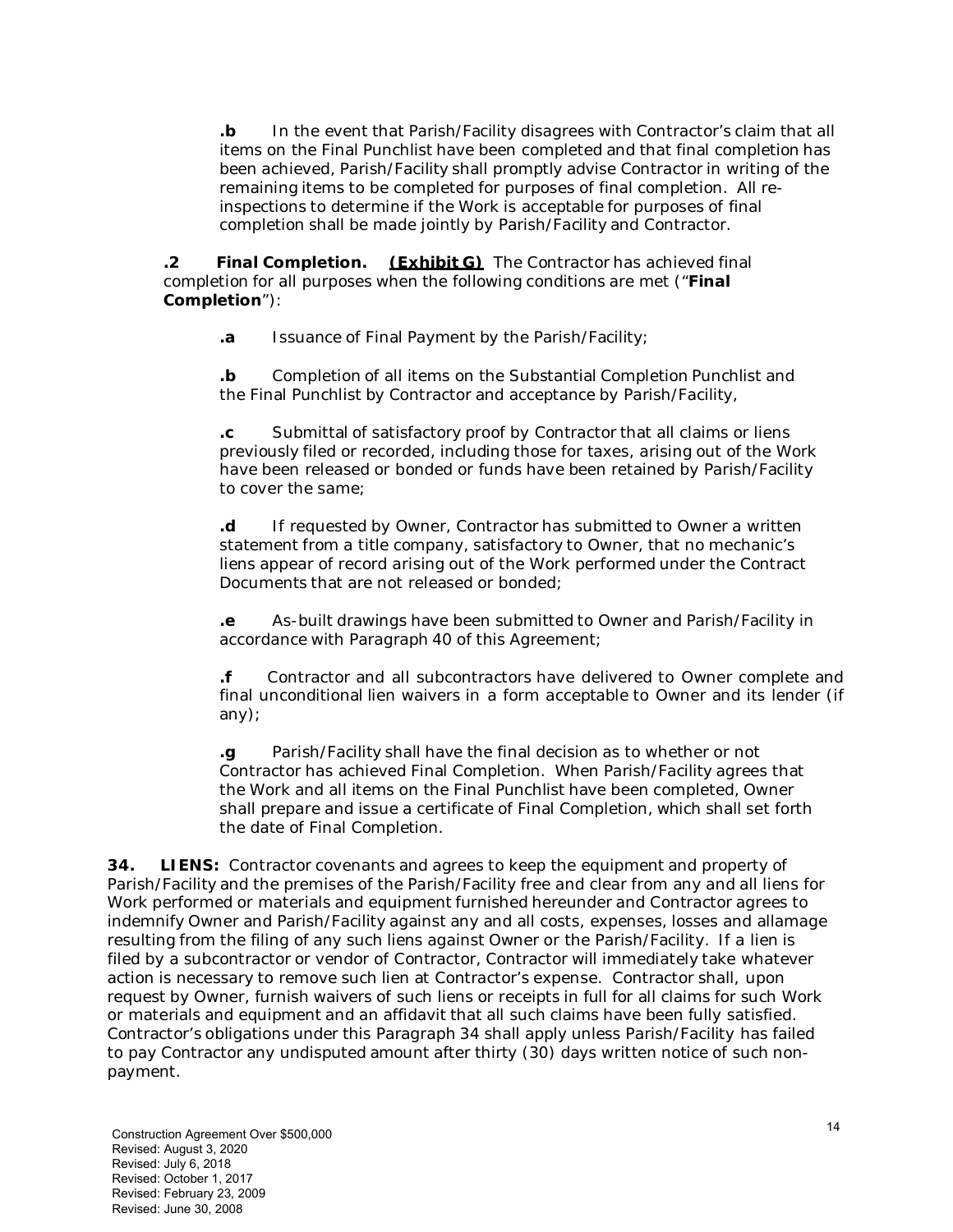**.b** In the event that Parish/Facility disagrees with Contractor's claim that all items on the Final Punchlist have been completed and that final completion has been achieved, Parish/Facility shall promptly advise Contractor in writing of the remaining items to be completed for purposes of final completion. All reinspections to determine if the Work is acceptable for purposes of final completion shall be made jointly by Parish/Facility and Contractor.

**.2 Final Completion. (Exhibit G)** The Contractor has achieved final completion for all purposes when the following conditions are met ("**Final Completion**"):

**.a** Issuance of Final Payment by the Parish/Facility;

**.b** Completion of all items on the Substantial Completion Punchlist and the Final Punchlist by Contractor and acceptance by Parish/Facility,

**.c** Submittal of satisfactory proof by Contractor that all claims or liens previously filed or recorded, including those for taxes, arising out of the Work have been released or bonded or funds have been retained by Parish/Facility to cover the same;

**.d** If requested by Owner, Contractor has submitted to Owner a written statement from a title company, satisfactory to Owner, that no mechanic's liens appear of record arising out of the Work performed under the Contract Documents that are not released or bonded;

**.e** As-built drawings have been submitted to Owner and Parish/Facility in accordance with Paragraph 40 of this Agreement;

**.f** Contractor and all subcontractors have delivered to Owner complete and final unconditional lien waivers in a form acceptable to Owner and its lender (if any);

**.g** Parish/Facility shall have the final decision as to whether or not Contractor has achieved Final Completion. When Parish/Facility agrees that the Work and all items on the Final Punchlist have been completed, Owner shall prepare and issue a certificate of Final Completion, which shall set forth the date of Final Completion.

**34. LIENS:** Contractor covenants and agrees to keep the equipment and property of Parish/Facility and the premises of the Parish/Facility free and clear from any and all liens for Work performed or materials and equipment furnished hereunder and Contractor agrees to indemnify Owner and Parish/Facility against any and all costs, expenses, losses and allamage resulting from the filing of any such liens against Owner or the Parish/Facility. If a lien is filed by a subcontractor or vendor of Contractor, Contractor will immediately take whatever action is necessary to remove such lien at Contractor's expense. Contractor shall, upon request by Owner, furnish waivers of such liens or receipts in full for all claims for such Work or materials and equipment and an affidavit that all such claims have been fully satisfied. Contractor's obligations under this Paragraph 34 shall apply unless Parish/Facility has failed to pay Contractor any undisputed amount after thirty (30) days written notice of such nonpayment.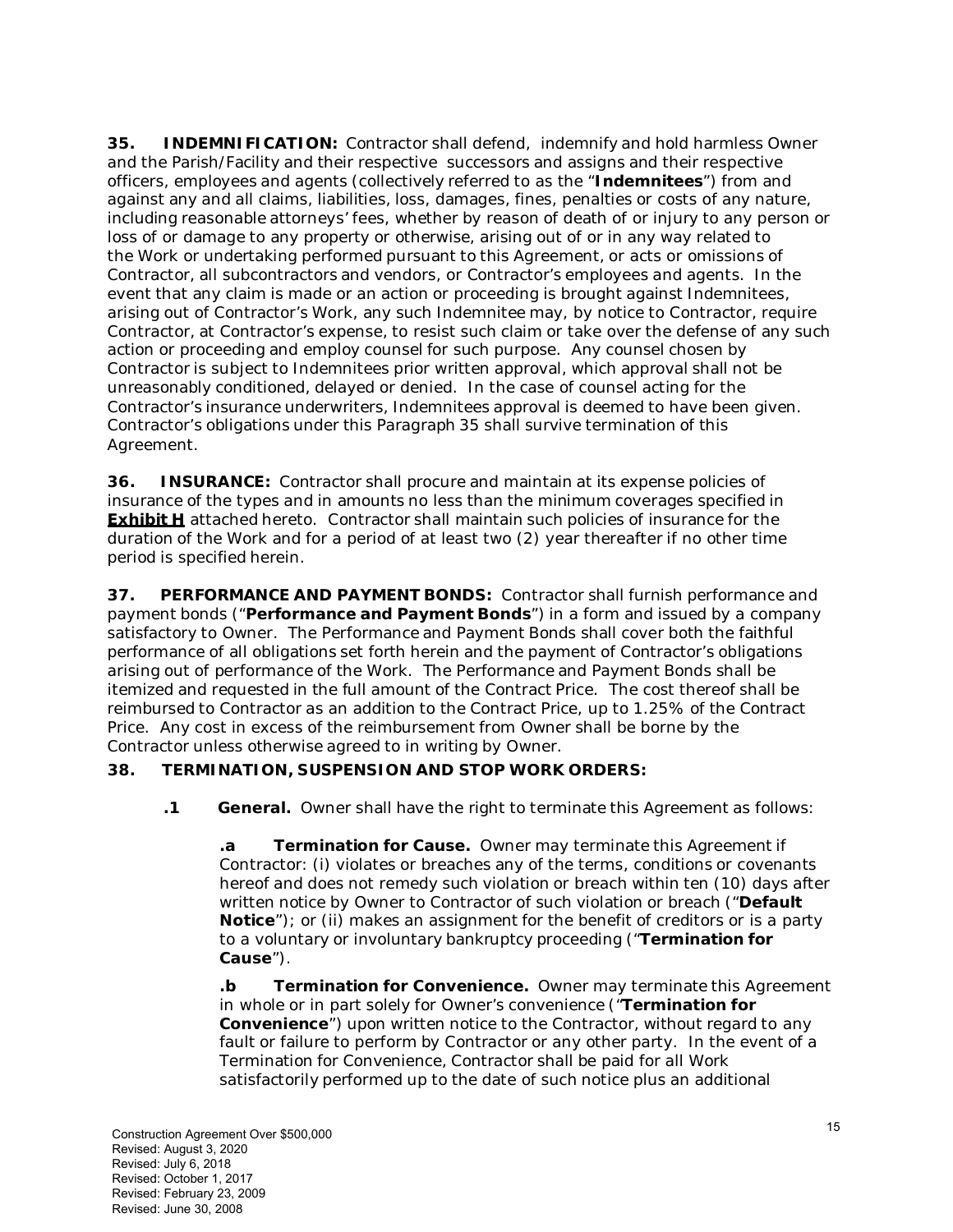**35. INDEMNIFICATION:** Contractor shall defend, indemnify and hold harmless Owner and the Parish/Facility and their respective successors and assigns and their respective officers, employees and agents (collectively referred to as the "**Indemnitees**") from and against any and all claims, liabilities, loss, damages, fines, penalties or costs of any nature, including reasonable attorneys' fees, whether by reason of death of or injury to any person or loss of or damage to any property or otherwise, arising out of or in any way related to the Work or undertaking performed pursuant to this Agreement, or acts or omissions of Contractor, all subcontractors and vendors, or Contractor's employees and agents. In the event that any claim is made or an action or proceeding is brought against Indemnitees, arising out of Contractor's Work, any such Indemnitee may, by notice to Contractor, require Contractor, at Contractor's expense, to resist such claim or take over the defense of any such action or proceeding and employ counsel for such purpose. Any counsel chosen by Contractor is subject to Indemnitees prior written approval, which approval shall not be unreasonably conditioned, delayed or denied. In the case of counsel acting for the Contractor's insurance underwriters, Indemnitees approval is deemed to have been given. Contractor's obligations under this Paragraph 35 shall survive termination of this Agreement.

**36. INSURANCE:** Contractor shall procure and maintain at its expense policies of insurance of the types and in amounts no less than the minimum coverages specified in **Exhibit H** attached hereto. Contractor shall maintain such policies of insurance for the duration of the Work and for a period of at least two (2) year thereafter if no other time period is specified herein.

**37. PERFORMANCE AND PAYMENT BONDS:** Contractor shall furnish performance and payment bonds ("**Performance and Payment Bonds**") in a form and issued by a company satisfactory to Owner. The Performance and Payment Bonds shall cover both the faithful performance of all obligations set forth herein and the payment of Contractor's obligations arising out of performance of the Work. The Performance and Payment Bonds shall be itemized and requested in the full amount of the Contract Price. The cost thereof shall be reimbursed to Contractor as an addition to the Contract Price, up to 1.25% of the Contract Price. Any cost in excess of the reimbursement from Owner shall be borne by the Contractor unless otherwise agreed to in writing by Owner.

### **38. TERMINATION, SUSPENSION AND STOP WORK ORDERS:**

**.1 General.** Owner shall have the right to terminate this Agreement as follows:

**.a Termination for Cause.** Owner may terminate this Agreement if Contractor: (i) violates or breaches any of the terms, conditions or covenants hereof and does not remedy such violation or breach within ten (10) days after written notice by Owner to Contractor of such violation or breach ("**Default Notice**"); or (ii) makes an assignment for the benefit of creditors or is a party to a voluntary or involuntary bankruptcy proceeding ("**Termination for Cause**").

**.b Termination for Convenience.** Owner may terminate this Agreement in whole or in part solely for Owner's convenience ("**Termination for Convenience**") upon written notice to the Contractor, without regard to any fault or failure to perform by Contractor or any other party. In the event of a Termination for Convenience, Contractor shall be paid for all Work satisfactorily performed up to the date of such notice plus an additional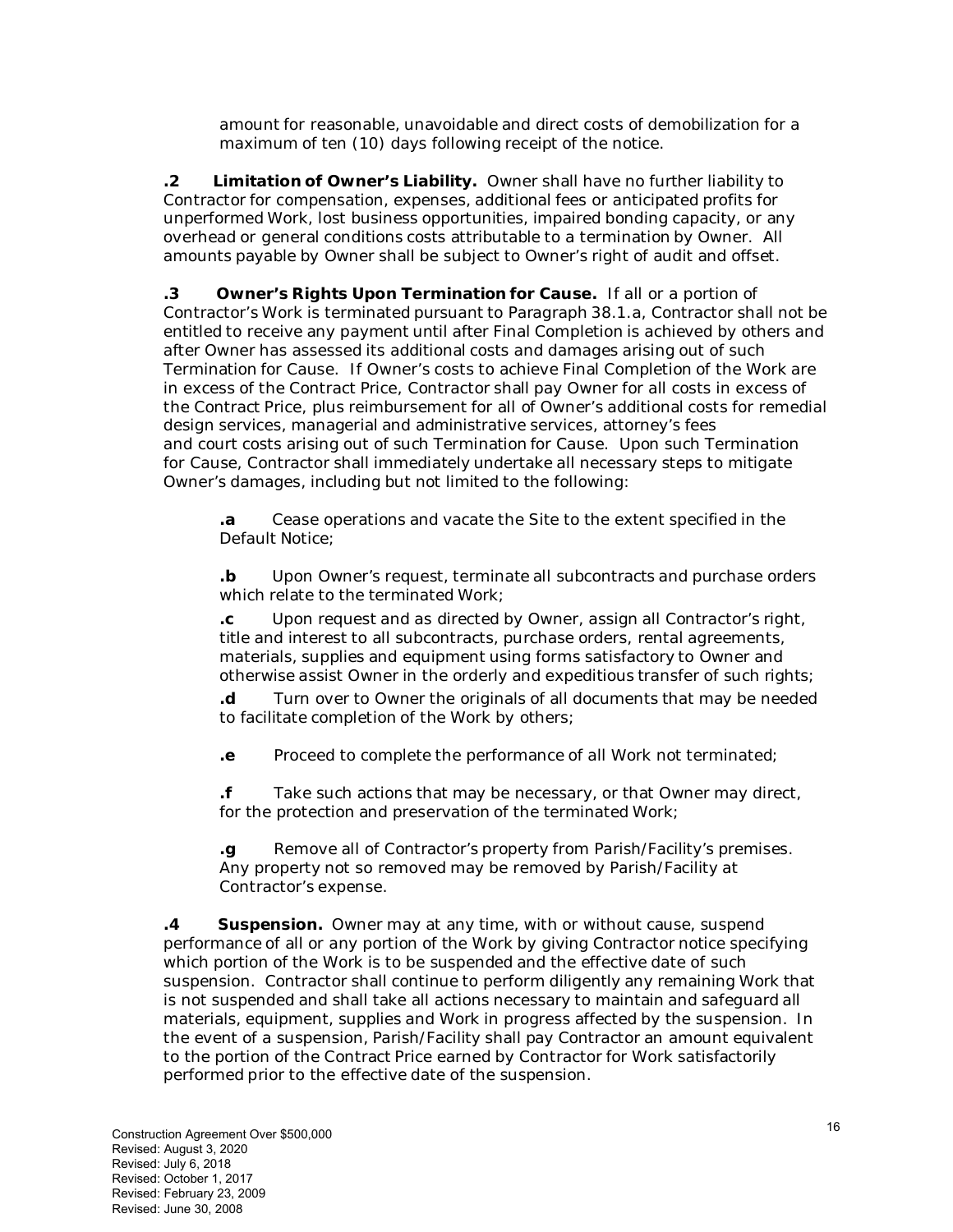amount for reasonable, unavoidable and direct costs of demobilization for a maximum of ten (10) days following receipt of the notice.

**.2 Limitation of Owner's Liability.** Owner shall have no further liability to Contractor for compensation, expenses, additional fees or anticipated profits for unperformed Work, lost business opportunities, impaired bonding capacity, or any overhead or general conditions costs attributable to a termination by Owner. All amounts payable by Owner shall be subject to Owner's right of audit and offset.

**.3 Owner's Rights Upon Termination for Cause.** If all or a portion of Contractor's Work is terminated pursuant to Paragraph 38.1.a, Contractor shall not be entitled to receive any payment until after Final Completion is achieved by others and after Owner has assessed its additional costs and damages arising out of such Termination for Cause. If Owner's costs to achieve Final Completion of the Work are in excess of the Contract Price, Contractor shall pay Owner for all costs in excess of the Contract Price, plus reimbursement for all of Owner's additional costs for remedial design services, managerial and administrative services, attorney's fees and court costs arising out of such Termination for Cause. Upon such Termination for Cause, Contractor shall immediately undertake all necessary steps to mitigate Owner's damages, including but not limited to the following:

**.a** Cease operations and vacate the Site to the extent specified in the Default Notice;

**.b** Upon Owner's request, terminate all subcontracts and purchase orders which relate to the terminated Work;

**.c** Upon request and as directed by Owner, assign all Contractor's right, title and interest to all subcontracts, purchase orders, rental agreements, materials, supplies and equipment using forms satisfactory to Owner and otherwise assist Owner in the orderly and expeditious transfer of such rights;

**.d** Turn over to Owner the originals of all documents that may be needed to facilitate completion of the Work by others;

**.e** Proceed to complete the performance of all Work not terminated;

**.f** Take such actions that may be necessary, or that Owner may direct, for the protection and preservation of the terminated Work;

**.g** Remove all of Contractor's property from Parish/Facility's premises. Any property not so removed may be removed by Parish/Facility at Contractor's expense.

**.4 Suspension.** Owner may at any time, with or without cause, suspend performance of all or any portion of the Work by giving Contractor notice specifying which portion of the Work is to be suspended and the effective date of such suspension. Contractor shall continue to perform diligently any remaining Work that is not suspended and shall take all actions necessary to maintain and safeguard all materials, equipment, supplies and Work in progress affected by the suspension. In the event of a suspension, Parish/Facility shall pay Contractor an amount equivalent to the portion of the Contract Price earned by Contractor for Work satisfactorily performed prior to the effective date of the suspension.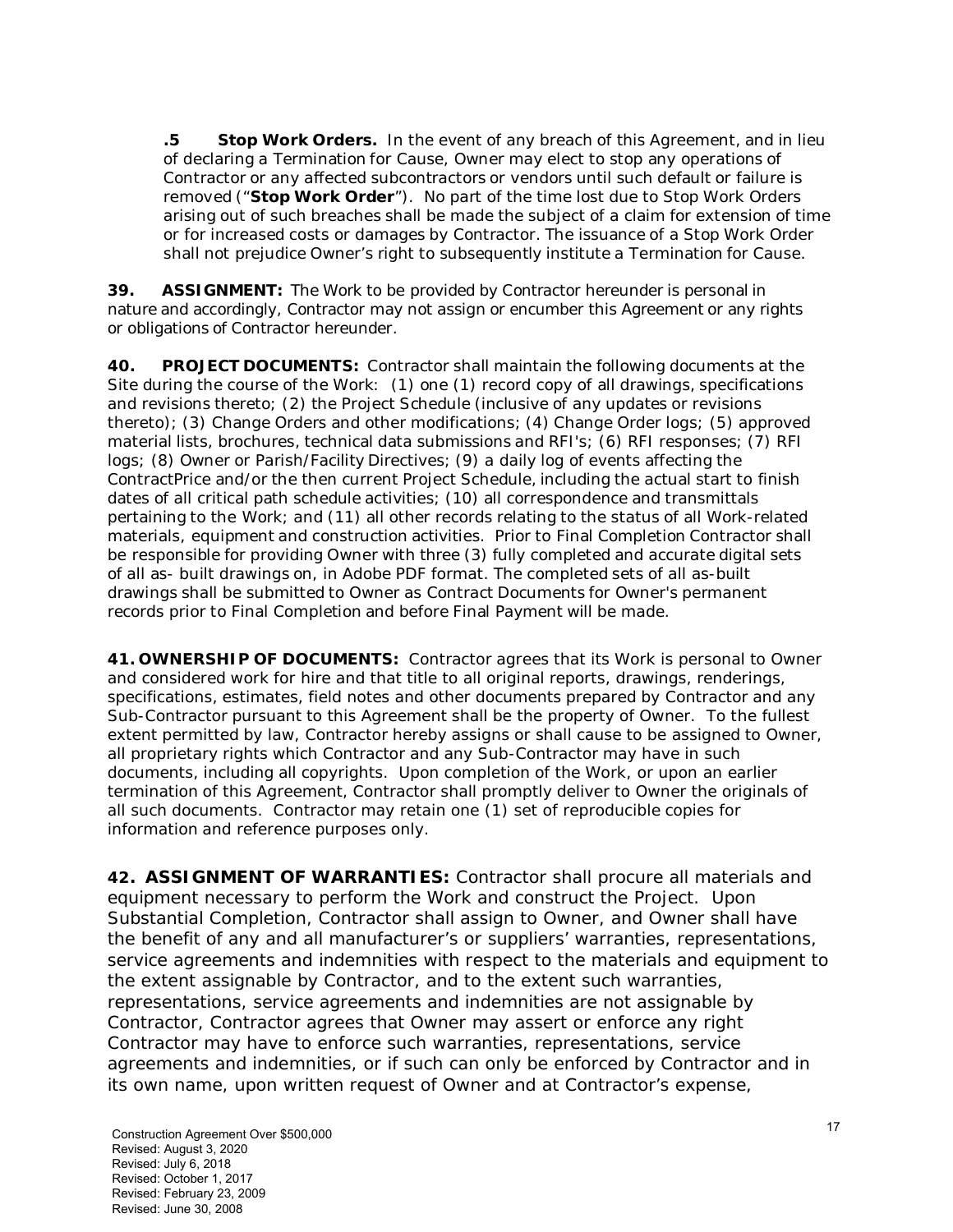**.5 Stop Work Orders.** In the event of any breach of this Agreement, and in lieu of declaring a Termination for Cause, Owner may elect to stop any operations of Contractor or any affected subcontractors or vendors until such default or failure is removed ("**Stop Work Order**"). No part of the time lost due to Stop Work Orders arising out of such breaches shall be made the subject of a claim for extension of time or for increased costs or damages by Contractor. The issuance of a Stop Work Order shall not prejudice Owner's right to subsequently institute a Termination for Cause.

**39. ASSIGNMENT:** The Work to be provided by Contractor hereunder is personal in nature and accordingly, Contractor may not assign or encumber this Agreement or any rights or obligations of Contractor hereunder.

**40. PROJECT DOCUMENTS:** Contractor shall maintain the following documents at the Site during the course of the Work: (1) one (1) record copy of all drawings, specifications and revisions thereto; (2) the Project Schedule (inclusive of any updates or revisions thereto); (3) Change Orders and other modifications; (4) Change Order logs; (5) approved material lists, brochures, technical data submissions and RFI's; (6) RFI responses; (7) RFI logs; (8) Owner or Parish/Facility Directives; (9) a daily log of events affecting the ContractPrice and/or the then current Project Schedule, including the actual start to finish dates of all critical path schedule activities; (10) all correspondence and transmittals pertaining to the Work; and (11) all other records relating to the status of all Work-related materials, equipment and construction activities. Prior to Final Completion Contractor shall be responsible for providing Owner with three (3) fully completed and accurate digital sets of all as- built drawings on, in Adobe PDF format. The completed sets of all as-built drawings shall be submitted to Owner as Contract Documents for Owner's permanent records prior to Final Completion and before Final Payment will be made.

**41. OWNERSHIP OF DOCUMENTS:** Contractor agrees that its Work is personal to Owner and considered work for hire and that title to all original reports, drawings, renderings, specifications, estimates, field notes and other documents prepared by Contractor and any Sub-Contractor pursuant to this Agreement shall be the property of Owner. To the fullest extent permitted by law, Contractor hereby assigns or shall cause to be assigned to Owner, all proprietary rights which Contractor and any Sub-Contractor may have in such documents, including all copyrights. Upon completion of the Work, or upon an earlier termination of this Agreement, Contractor shall promptly deliver to Owner the originals of all such documents. Contractor may retain one (1) set of reproducible copies for information and reference purposes only.

**42. ASSIGNMENT OF WARRANTIES:** Contractor shall procure all materials and equipment necessary to perform the Work and construct the Project. Upon Substantial Completion, Contractor shall assign to Owner, and Owner shall have the benefit of any and all manufacturer's or suppliers' warranties, representations, service agreements and indemnities with respect to the materials and equipment to the extent assignable by Contractor, and to the extent such warranties, representations, service agreements and indemnities are not assignable by Contractor, Contractor agrees that Owner may assert or enforce any right Contractor may have to enforce such warranties, representations, service agreements and indemnities, or if such can only be enforced by Contractor and in its own name, upon written request of Owner and at Contractor's expense,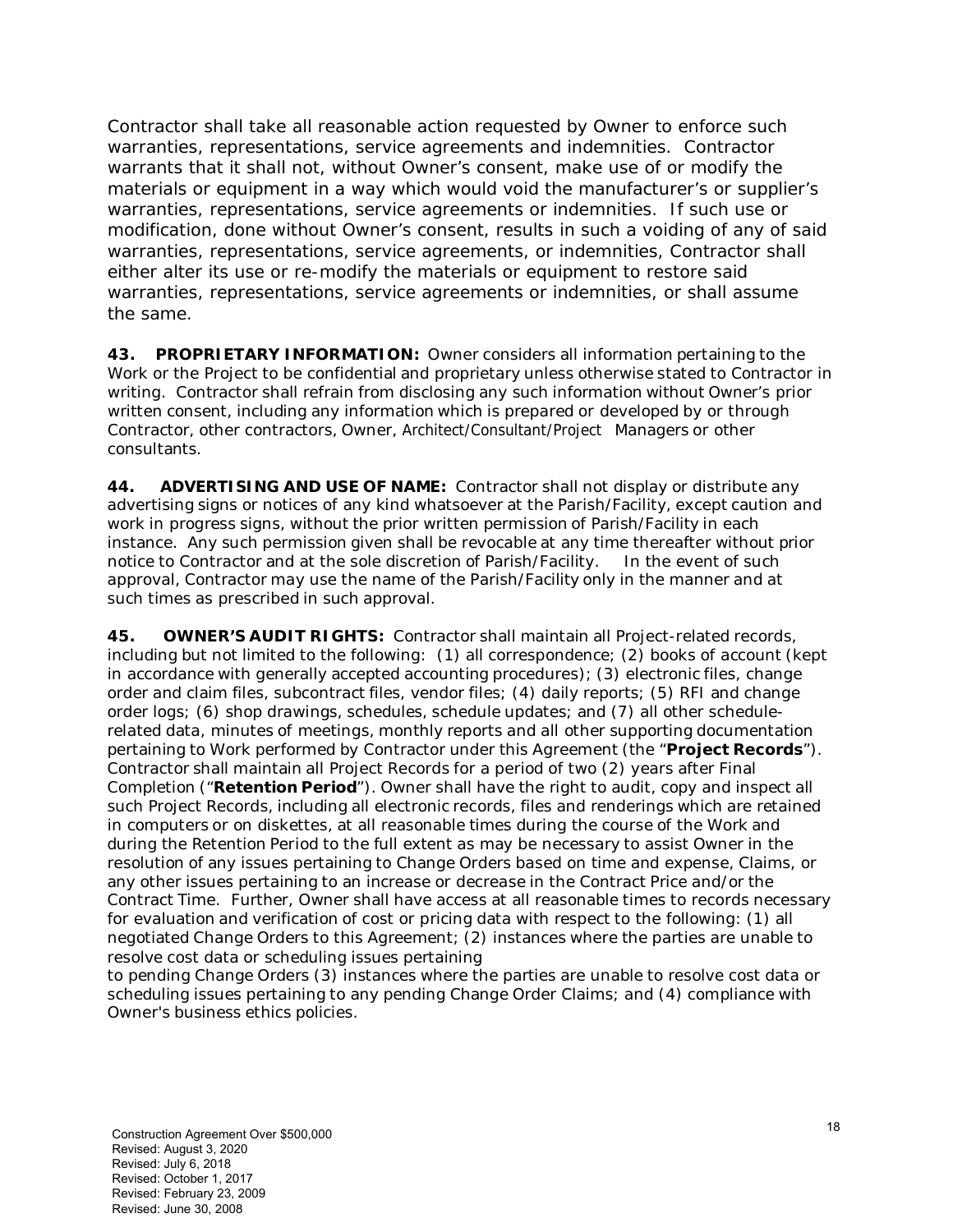Contractor shall take all reasonable action requested by Owner to enforce such warranties, representations, service agreements and indemnities. Contractor warrants that it shall not, without Owner's consent, make use of or modify the materials or equipment in a way which would void the manufacturer's or supplier's warranties, representations, service agreements or indemnities. If such use or modification, done without Owner's consent, results in such a voiding of any of said warranties, representations, service agreements, or indemnities, Contractor shall either alter its use or re-modify the materials or equipment to restore said warranties, representations, service agreements or indemnities, or shall assume the same.

**43. PROPRIETARY INFORMATION:** Owner considers all information pertaining to the Work or the Project to be confidential and proprietary unless otherwise stated to Contractor in writing. Contractor shall refrain from disclosing any such information without Owner's prior written consent, including any information which is prepared or developed by or through Contractor, other contractors, Owner, Architect/Consultant/Project Managers or other consultants.

**44. ADVERTISING AND USE OF NAME:** Contractor shall not display or distribute any advertising signs or notices of any kind whatsoever at the Parish/Facility, except caution and work in progress signs, without the prior written permission of Parish/Facility in each instance. Any such permission given shall be revocable at any time thereafter without prior notice to Contractor and at the sole discretion of Parish/Facility. In the event of such approval, Contractor may use the name of the Parish/Facility only in the manner and at such times as prescribed in such approval.

**45. OWNER'S AUDIT RIGHTS:** Contractor shall maintain all Project-related records, including but not limited to the following: (1) all correspondence; (2) books of account (kept in accordance with generally accepted accounting procedures); (3) electronic files, change order and claim files, subcontract files, vendor files; (4) daily reports; (5) RFI and change order logs; (6) shop drawings, schedules, schedule updates; and (7) all other schedulerelated data, minutes of meetings, monthly reports and all other supporting documentation pertaining to Work performed by Contractor under this Agreement (the "**Project Records**"). Contractor shall maintain all Project Records for a period of two (2) years after Final Completion ("**Retention Period**"). Owner shall have the right to audit, copy and inspect all such Project Records, including all electronic records, files and renderings which are retained in computers or on diskettes, at all reasonable times during the course of the Work and during the Retention Period to the full extent as may be necessary to assist Owner in the resolution of any issues pertaining to Change Orders based on time and expense, Claims, or any other issues pertaining to an increase or decrease in the Contract Price and/or the Contract Time. Further, Owner shall have access at all reasonable times to records necessary for evaluation and verification of cost or pricing data with respect to the following: (1) all negotiated Change Orders to this Agreement; (2) instances where the parties are unable to resolve cost data or scheduling issues pertaining

to pending Change Orders (3) instances where the parties are unable to resolve cost data or scheduling issues pertaining to any pending Change Order Claims; and (4) compliance with Owner's business ethics policies.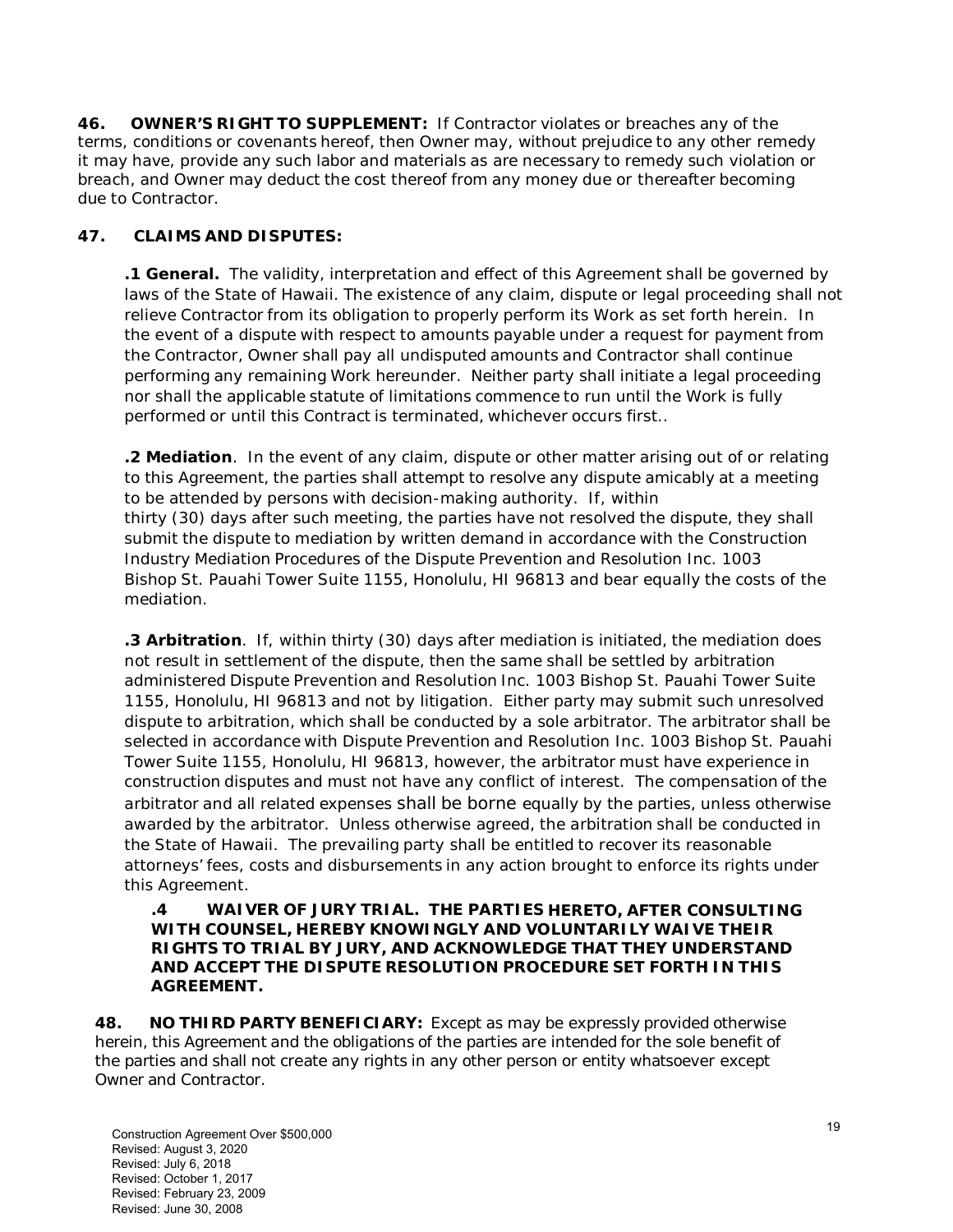**46. OWNER'S RIGHT TO SUPPLEMENT:** If Contractor violates or breaches any of the terms, conditions or covenants hereof, then Owner may, without prejudice to any other remedy it may have, provide any such labor and materials as are necessary to remedy such violation or breach, and Owner may deduct the cost thereof from any money due or thereafter becoming due to Contractor.

### **47. CLAIMS AND DISPUTES:**

**.1 General.** The validity, interpretation and effect of this Agreement shall be governed by laws of the State of Hawaii. The existence of any claim, dispute or legal proceeding shall not relieve Contractor from its obligation to properly perform its Work as set forth herein. In the event of a dispute with respect to amounts payable under a request for payment from the Contractor, Owner shall pay all undisputed amounts and Contractor shall continue performing any remaining Work hereunder. Neither party shall initiate a legal proceeding nor shall the applicable statute of limitations commence to run until the Work is fully performed or until this Contract is terminated, whichever occurs first..

**.2 Mediation**. In the event of any claim, dispute or other matter arising out of or relating to this Agreement, the parties shall attempt to resolve any dispute amicably at a meeting to be attended by persons with decision-making authority. If, within thirty (30) days after such meeting, the parties have not resolved the dispute, they shall submit the dispute to mediation by written demand in accordance with the Construction Industry Mediation Procedures of the Dispute Prevention and Resolution Inc. 1003 Bishop St. Pauahi Tower Suite 1155, Honolulu, HI 96813 and bear equally the costs of the mediation.

**.3 Arbitration**. If, within thirty (30) days after mediation is initiated, the mediation does not result in settlement of the dispute, then the same shall be settled by arbitration administered Dispute Prevention and Resolution Inc. 1003 Bishop St. Pauahi Tower Suite 1155, Honolulu, HI 96813 and not by litigation. Either party may submit such unresolved dispute to arbitration, which shall be conducted by a sole arbitrator. The arbitrator shall be selected in accordance with Dispute Prevention and Resolution Inc. 1003 Bishop St. Pauahi Tower Suite 1155, Honolulu, HI 96813, however, the arbitrator must have experience in construction disputes and must not have any conflict of interest. The compensation of the arbitrator and all related expenses shall be borne equally by the parties, unless otherwise awarded by the arbitrator. Unless otherwise agreed, the arbitration shall be conducted in the State of Hawaii. The prevailing party shall be entitled to recover its reasonable attorneys' fees, costs and disbursements in any action brought to enforce its rights under this Agreement.

#### **.4 WAIVER OF JURY TRIAL. THE PARTIES HERETO, AFTER CONSULTING WITH COUNSEL, HEREBY KNOWINGLY AND VOLUNTARILY WAIVE THEIR RIGHTS TO TRIAL BY JURY, AND ACKNOWLEDGE THAT THEY UNDERSTAND AND ACCEPT THE DISPUTE RESOLUTION PROCEDURE SET FORTH IN THIS AGREEMENT.**

**48. NO THIRD PARTY BENEFICIARY:** Except as may be expressly provided otherwise herein, this Agreement and the obligations of the parties are intended for the sole benefit of the parties and shall not create any rights in any other person or entity whatsoever except Owner and Contractor.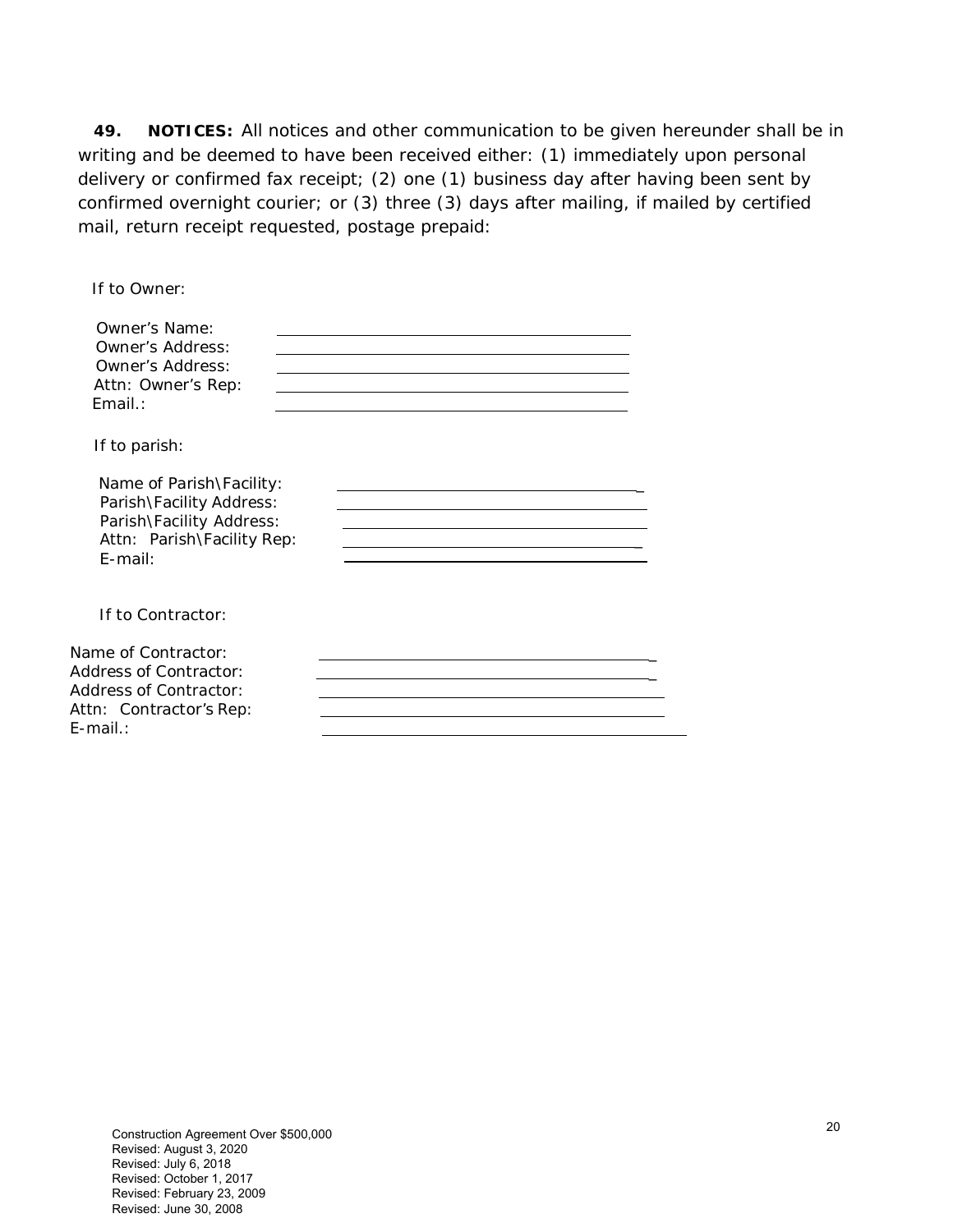**49. NOTICES:** All notices and other communication to be given hereunder shall be in writing and be deemed to have been received either: (1) immediately upon personal delivery or confirmed fax receipt; (2) one (1) business day after having been sent by confirmed overnight courier; or (3) three (3) days after mailing, if mailed by certified mail, return receipt requested, postage prepaid:

| If to Owner:                                                                                                                 |  |
|------------------------------------------------------------------------------------------------------------------------------|--|
| Owner's Name:<br>Owner's Address:<br>Owner's Address:<br>Attn: Owner's Rep:<br>$Fmail.$ :                                    |  |
| If to parish:                                                                                                                |  |
| Name of Parish\Facility:<br>Parish\Facility Address:<br>Parish\Facility Address:<br>Attn: Parish\Facility Rep:<br>$F$ -mail: |  |
| If to Contractor:                                                                                                            |  |
| Name of Contractor:<br><b>Address of Contractor:</b><br><b>Address of Contractor:</b><br>Attn: Contractor's Rep:<br>F-mail.: |  |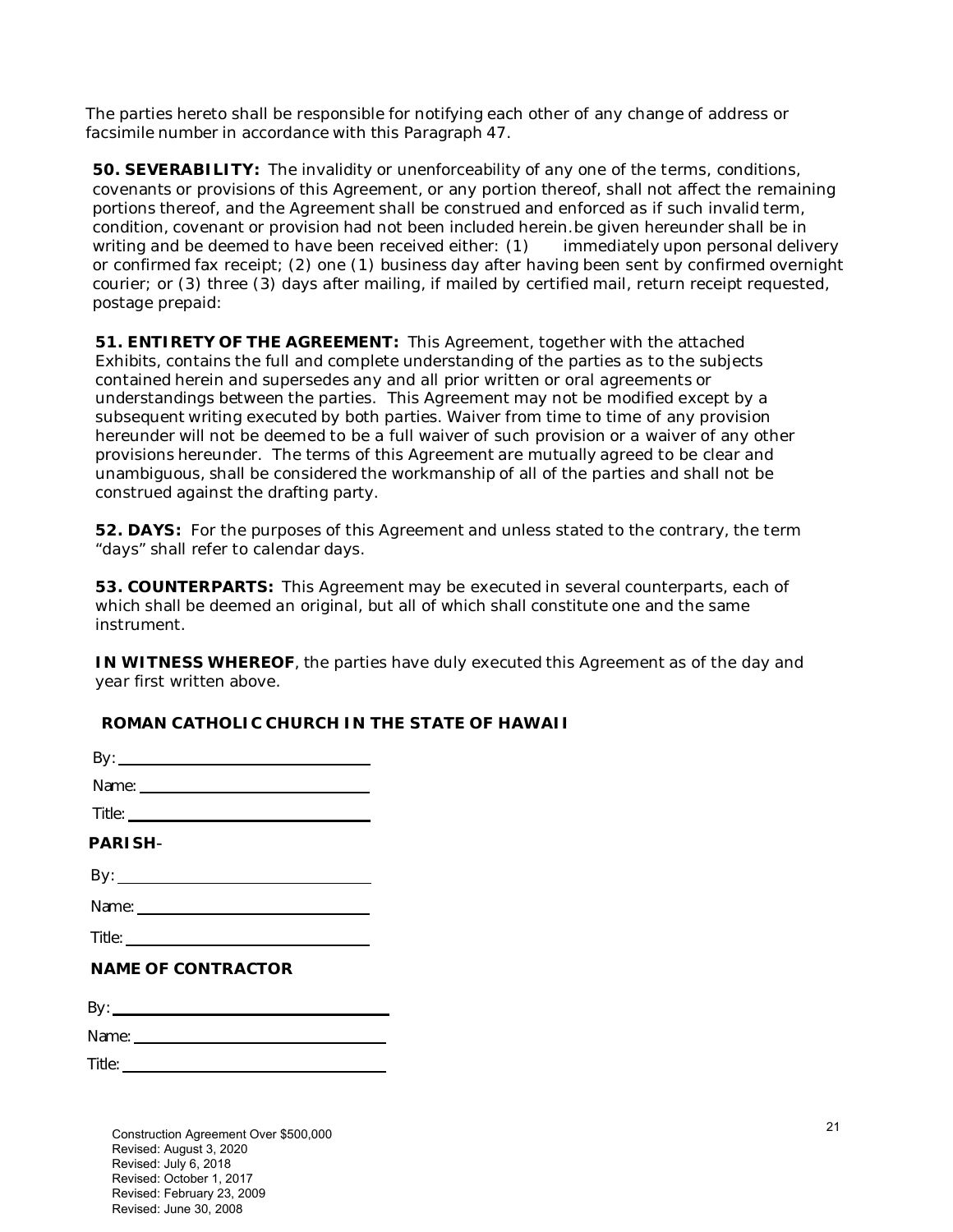The parties hereto shall be responsible for notifying each other of any change of address or facsimile number in accordance with this Paragraph 47.

**50. SEVERABILITY:** The invalidity or unenforceability of any one of the terms, conditions, covenants or provisions of this Agreement, or any portion thereof, shall not affect the remaining portions thereof, and the Agreement shall be construed and enforced as if such invalid term, condition, covenant or provision had not been included herein.be given hereunder shall be in writing and be deemed to have been received either: (1) immediately upon personal delivery or confirmed fax receipt; (2) one (1) business day after having been sent by confirmed overnight courier; or (3) three (3) days after mailing, if mailed by certified mail, return receipt requested, postage prepaid:

**51. ENTIRETY OF THE AGREEMENT:** This Agreement, together with the attached Exhibits, contains the full and complete understanding of the parties as to the subjects contained herein and supersedes any and all prior written or oral agreements or understandings between the parties. This Agreement may not be modified except by a subsequent writing executed by both parties. Waiver from time to time of any provision hereunder will not be deemed to be a full waiver of such provision or a waiver of any other provisions hereunder. The terms of this Agreement are mutually agreed to be clear and unambiguous, shall be considered the workmanship of all of the parties and shall not be construed against the drafting party.

**52. DAYS:** For the purposes of this Agreement and unless stated to the contrary, the term "days" shall refer to calendar days.

**53. COUNTERPARTS:** This Agreement may be executed in several counterparts, each of which shall be deemed an original, but all of which shall constitute one and the same instrument.

**IN WITNESS WHEREOF**, the parties have duly executed this Agreement as of the day and year first written above.

### **ROMAN CATHOLIC CHURCH IN THE STATE OF HAWAII**

| <b>PARISH-</b>            |  |
|---------------------------|--|
|                           |  |
|                           |  |
|                           |  |
| <b>NAME OF CONTRACTOR</b> |  |
|                           |  |
|                           |  |
|                           |  |

Construction Agreement Over \$500,000 Revised: August 3, 2020 Revised: July 6, 2018 Revised: October 1, 2017 Revised: February 23, 2009 Revised: June 30, 2008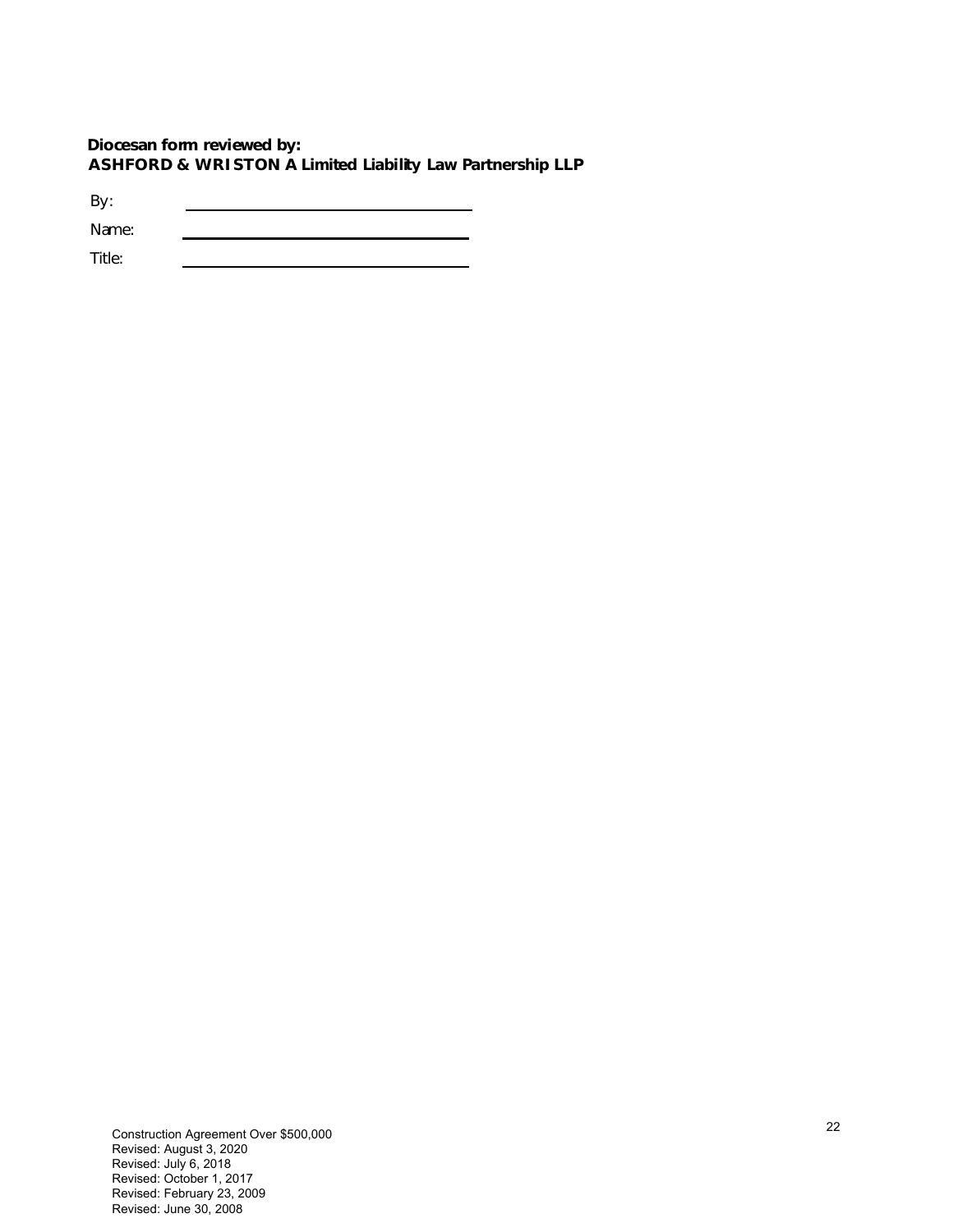#### **Diocesan form reviewed by: ASHFORD & WRISTON A Limited Liability Law Partnership LLP**

By: Name: 

Title: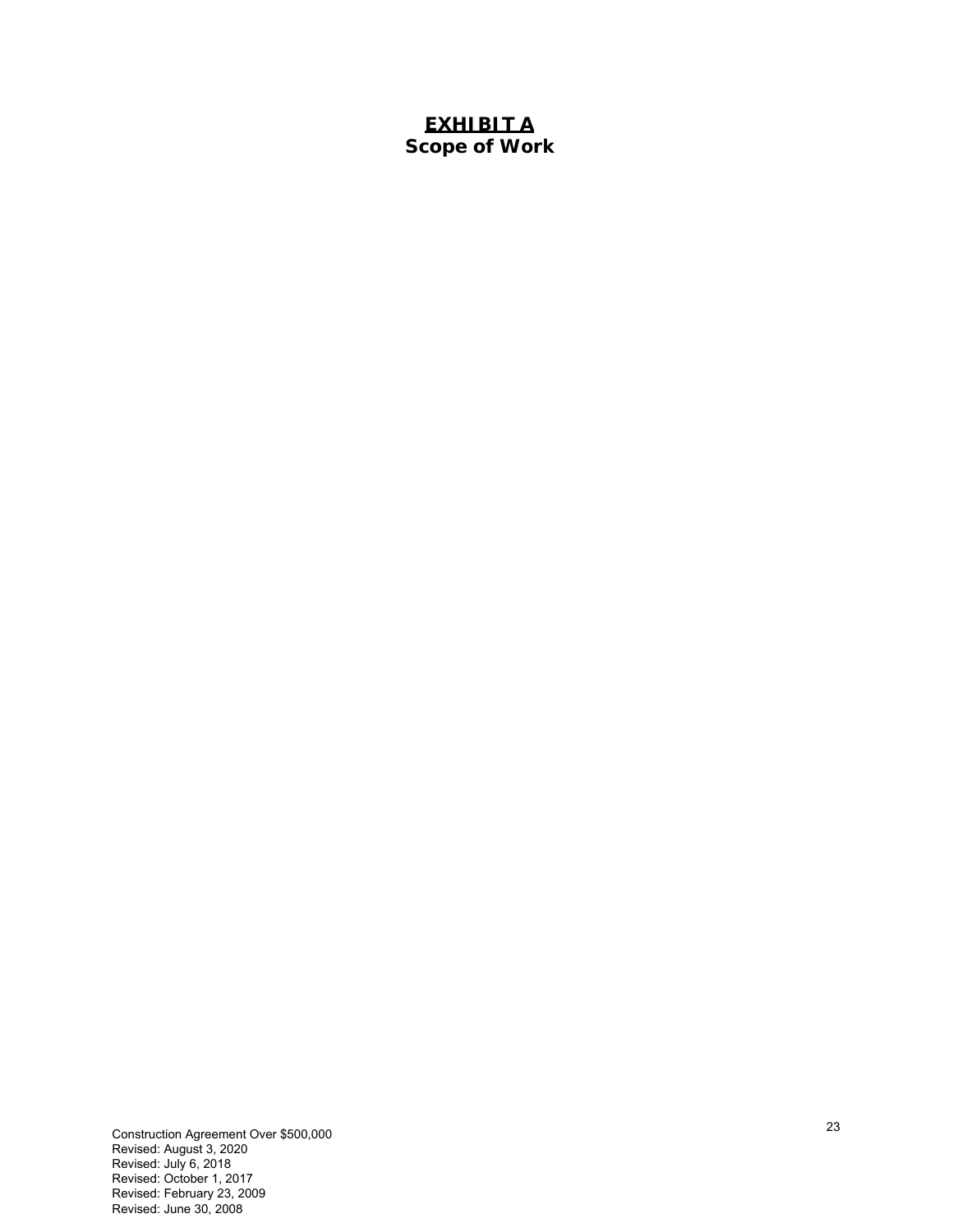## **EXHIBIT A Scope of Work**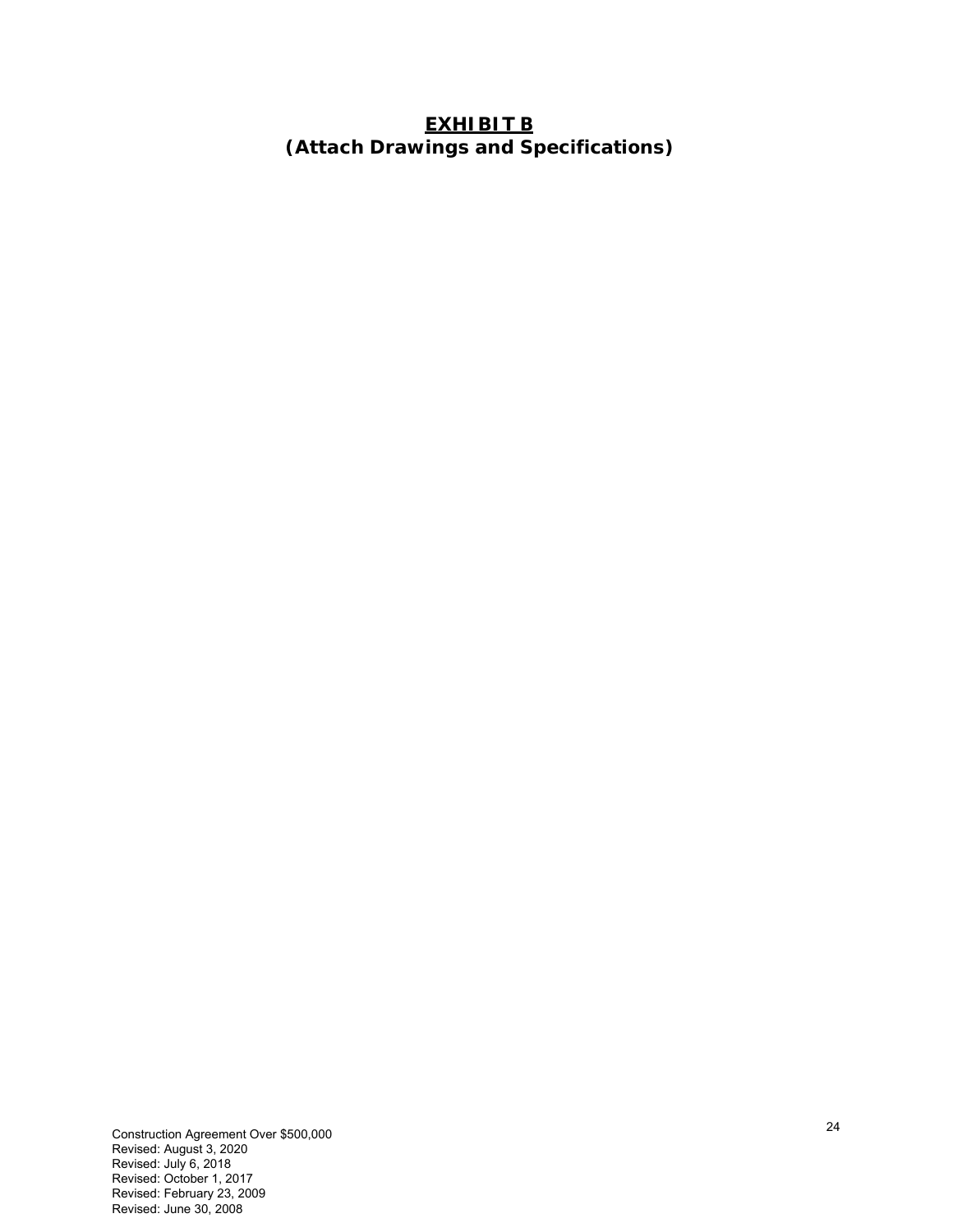# **EXHIBIT B (Attach Drawings and Specifications)**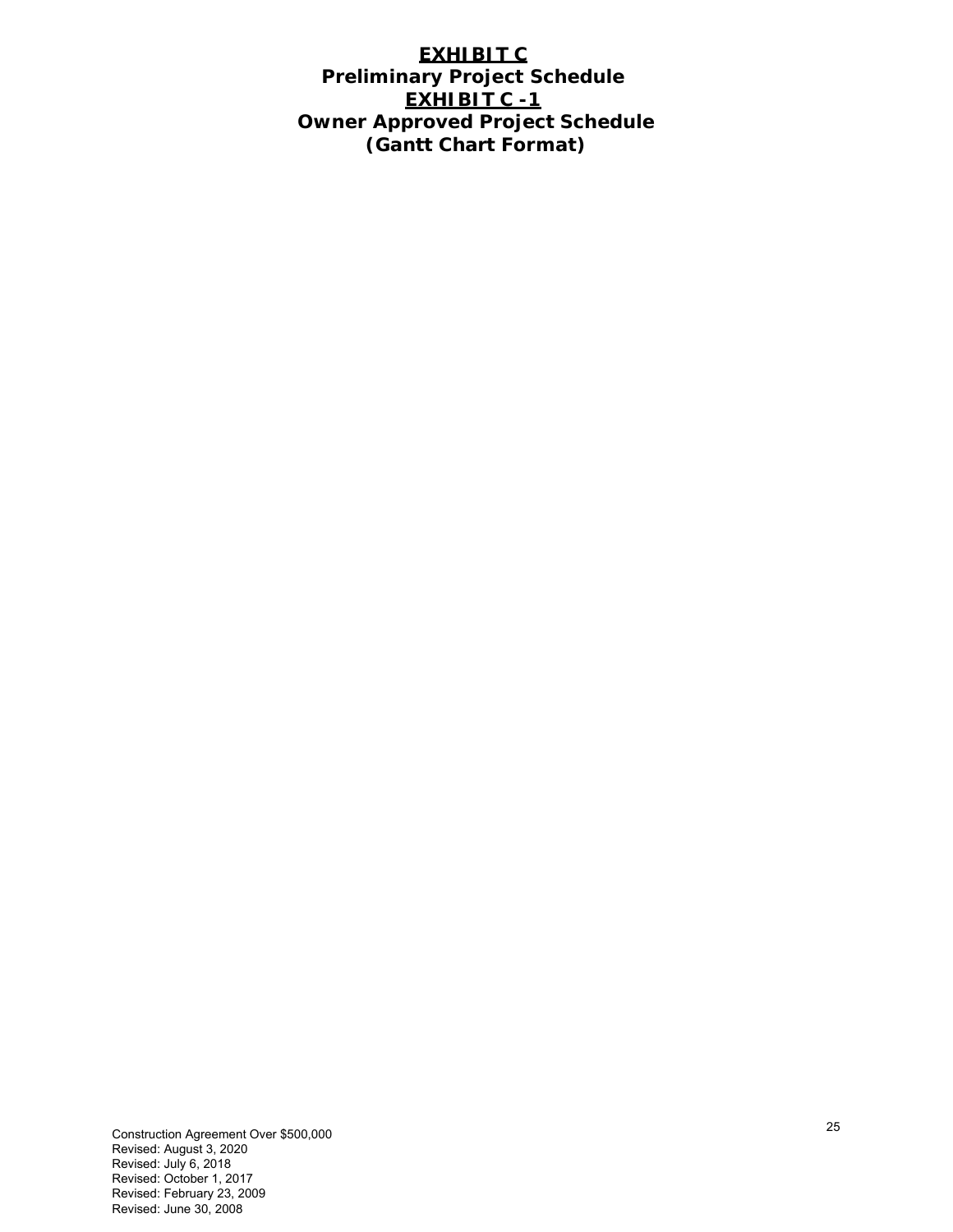## **EXHIBIT C Preliminary Project Schedule EXHIBIT C -1 Owner Approved Project Schedule (Gantt Chart Format)**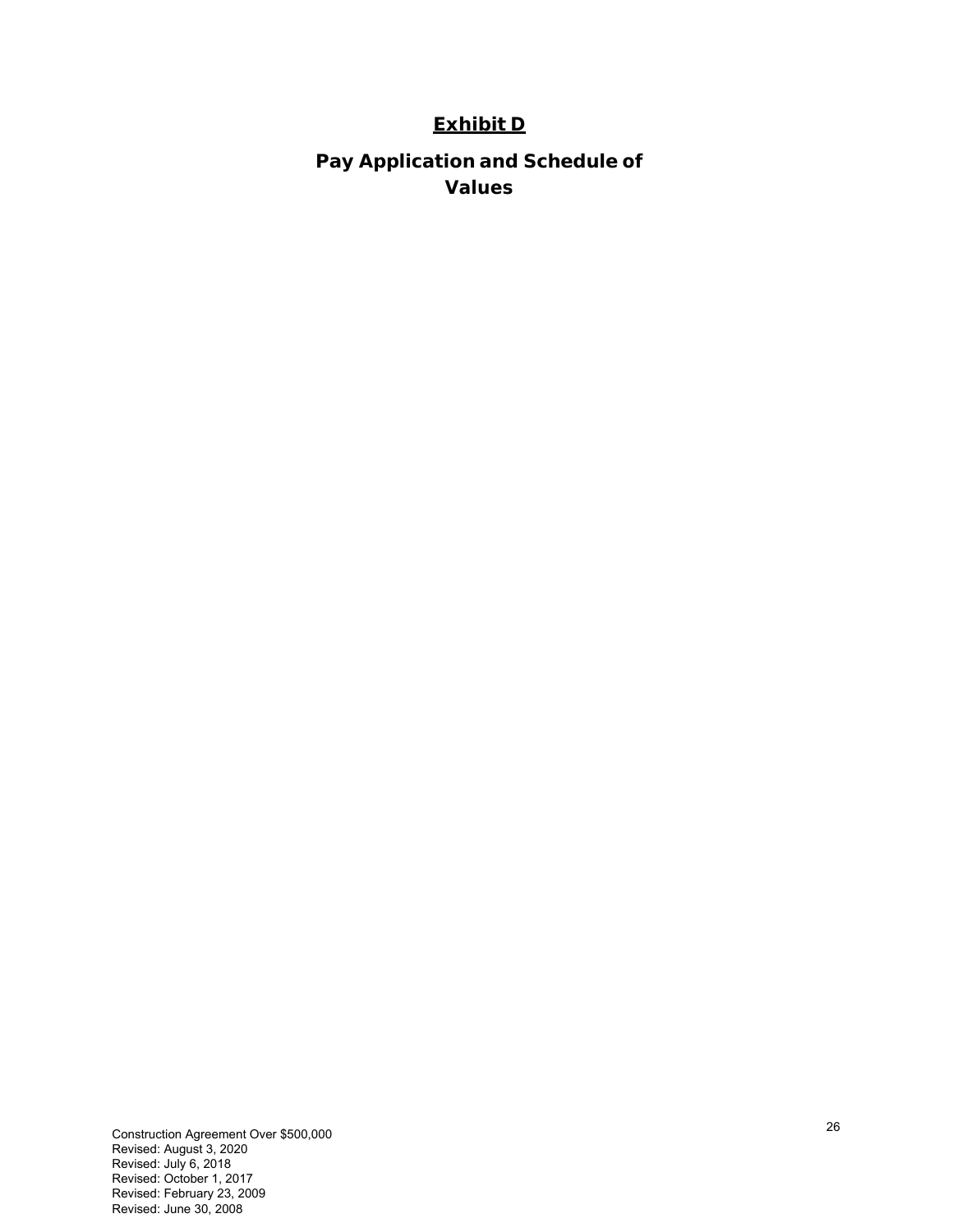# **Exhibit D**

**Pay Application and Schedule of Values**

Construction Agreement Over \$500,000 Revised: August 3, 2020 Revised: July 6, 2018 Revised: October 1, 2017 Revised: February 23, 2009 Revised: June 30, 2008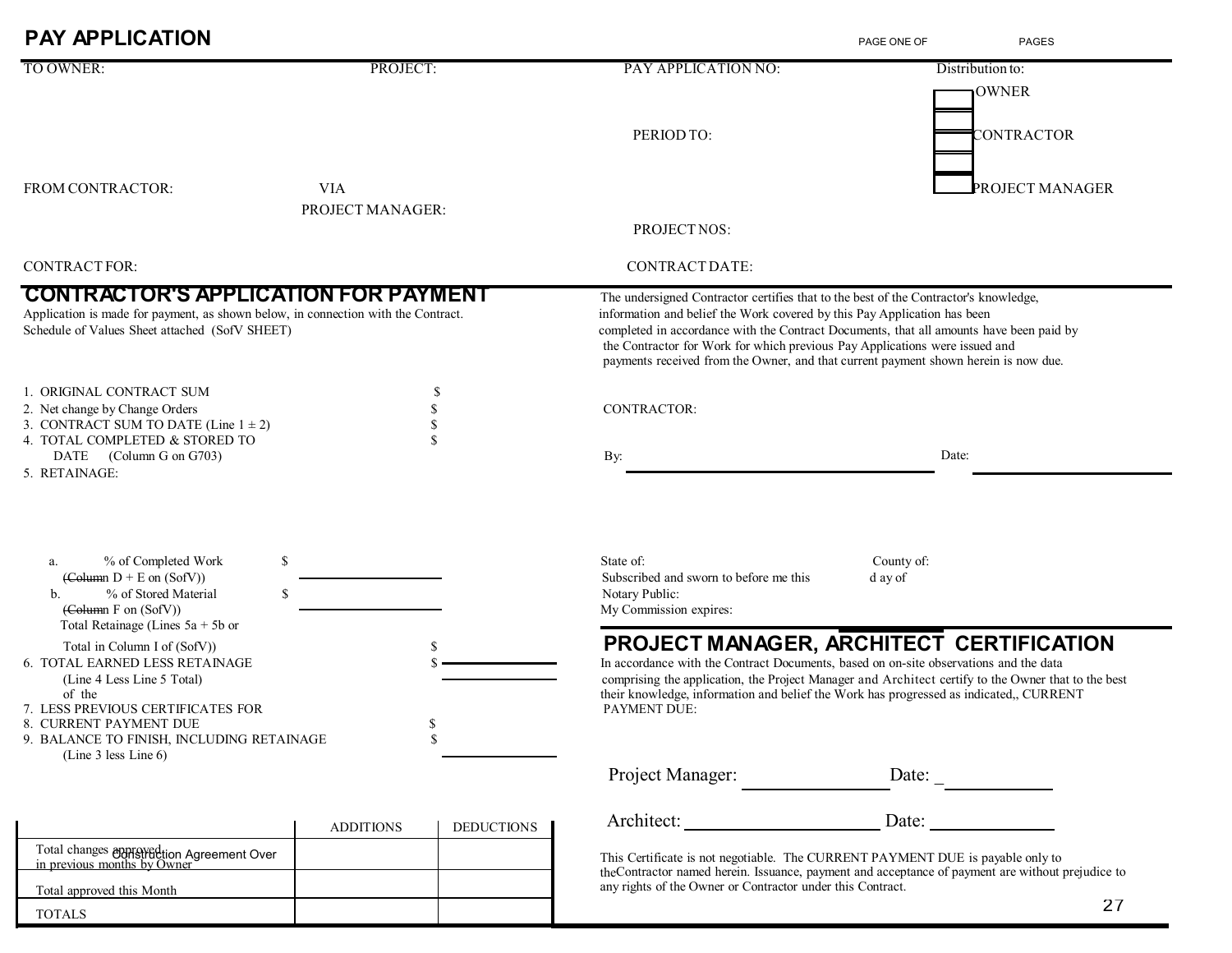| <b>PAY APPLICATION</b>                                                                                                                                                                                                                                                                                                     |                                       |                                                                                                                                                                                                                                                                                                                                                                                                                                   | PAGE ONE OF<br><b>PAGES</b>      |  |
|----------------------------------------------------------------------------------------------------------------------------------------------------------------------------------------------------------------------------------------------------------------------------------------------------------------------------|---------------------------------------|-----------------------------------------------------------------------------------------------------------------------------------------------------------------------------------------------------------------------------------------------------------------------------------------------------------------------------------------------------------------------------------------------------------------------------------|----------------------------------|--|
| TO OWNER:                                                                                                                                                                                                                                                                                                                  | PROJECT:                              | PAY APPLICATION NO:                                                                                                                                                                                                                                                                                                                                                                                                               | Distribution to:<br><b>OWNER</b> |  |
|                                                                                                                                                                                                                                                                                                                            |                                       | PERIOD TO:                                                                                                                                                                                                                                                                                                                                                                                                                        | CONTRACTOR                       |  |
| FROM CONTRACTOR:                                                                                                                                                                                                                                                                                                           | <b>VIA</b><br>PROJECT MANAGER:        |                                                                                                                                                                                                                                                                                                                                                                                                                                   | PROJECT MANAGER                  |  |
|                                                                                                                                                                                                                                                                                                                            |                                       | PROJECT NOS:                                                                                                                                                                                                                                                                                                                                                                                                                      |                                  |  |
| <b>CONTRACT FOR:</b>                                                                                                                                                                                                                                                                                                       |                                       | CONTRACT DATE:                                                                                                                                                                                                                                                                                                                                                                                                                    |                                  |  |
| <b>CONTRACTOR'S APPLICATION FOR PAYMENT</b><br>Application is made for payment, as shown below, in connection with the Contract.<br>Schedule of Values Sheet attached (SofV SHEET)                                                                                                                                         |                                       | The undersigned Contractor certifies that to the best of the Contractor's knowledge,<br>information and belief the Work covered by this Pay Application has been<br>completed in accordance with the Contract Documents, that all amounts have been paid by<br>the Contractor for Work for which previous Pay Applications were issued and<br>payments received from the Owner, and that current payment shown herein is now due. |                                  |  |
| 1. ORIGINAL CONTRACT SUM<br>2. Net change by Change Orders<br>3. CONTRACT SUM TO DATE (Line $1 \pm 2$ )<br>4. TOTAL COMPLETED & STORED TO<br>DATE (Column G on G703)                                                                                                                                                       | S<br>\$<br>\$<br>\$                   | <b>CONTRACTOR:</b><br>By:                                                                                                                                                                                                                                                                                                                                                                                                         | Date:                            |  |
| \$<br>% of Completed Work<br>a.<br>$\left(\text{Column } D + E \text{ on } (SofV)\right)$<br>% of Stored Material<br>\$<br>b.                                                                                                                                                                                              |                                       | State of:<br>Subscribed and sworn to before me this<br>Notary Public:                                                                                                                                                                                                                                                                                                                                                             | County of:<br>d ay of            |  |
| $\left(\text{Column } F \text{ on } (\text{Soft})\right)$<br>Total Retainage (Lines $5a + 5b$ or<br>Total in Column I of (SofV))<br><b>6. TOTAL EARNED LESS RETAINAGE</b><br>(Line 4 Less Line 5 Total)<br>of the<br>7. LESS PREVIOUS CERTIFICATES FOR<br>CURRENT PAYMENT DUE<br>9. BALANCE TO FINISH, INCLUDING RETAINAGE | \$<br>S.<br>S                         | My Commission expires:<br>PROJECT MANAGER, ARCHITECT CERTIFICATION<br>In accordance with the Contract Documents, based on on-site observations and the data<br>comprising the application, the Project Manager and Architect certify to the Owner that to the best<br>their knowledge, information and belief the Work has progressed as indicated,, CURRENT<br>PAYMENT DUE:                                                      |                                  |  |
| (Line 3 less Line $6$ )                                                                                                                                                                                                                                                                                                    |                                       | Project Manager:                                                                                                                                                                                                                                                                                                                                                                                                                  | Date:                            |  |
|                                                                                                                                                                                                                                                                                                                            | <b>DEDUCTIONS</b><br><b>ADDITIONS</b> | Architect:                                                                                                                                                                                                                                                                                                                                                                                                                        | Date:                            |  |
| Total changes approved tion Agreement Over<br>in previous months by Owner                                                                                                                                                                                                                                                  |                                       | This Certificate is not negotiable. The CURRENT PAYMENT DUE is payable only to<br>theContractor named herein. Issuance, payment and acceptance of payment are without prejudice to                                                                                                                                                                                                                                                |                                  |  |

Total approved this Month

TOTALS

any rights of the Owner or Contractor under this Contract.

27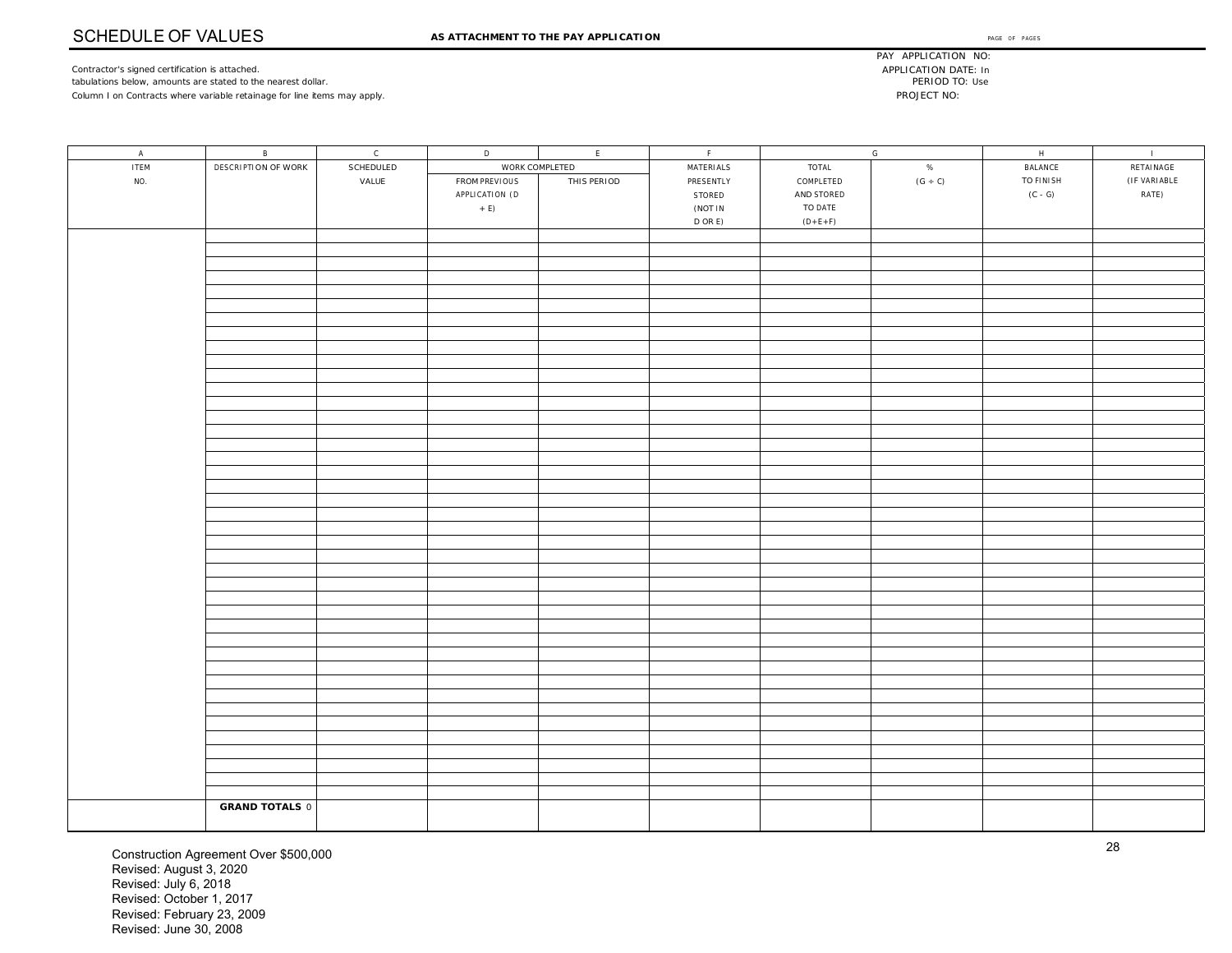Contractor's signed certification is attached. tabulations below, amounts are stated to the nearest dollar. Column I on Contracts where variable retainage for line items may apply.

PAY APPLICATION NO: APPLICATION DATE: In PERIOD TO: Use PROJECT NO:

| $\,$ A $\,$ | B                     | $\mathsf{C}$ | $\mathsf D$    | $\mathsf{E}^-$ | F         |            | ${\mathsf G}$ | $\mathsf H$ | $\sim 1$ .   |
|-------------|-----------------------|--------------|----------------|----------------|-----------|------------|---------------|-------------|--------------|
| <b>ITEM</b> | DESCRIPTION OF WORK   | SCHEDULED    | WORK COMPLETED |                | MATERIALS | TOTAL      | $\%$          | BALANCE     | RETAINAGE    |
| NO.         |                       | VALUE        | FROM PREVIOUS  | THIS PERIOD    | PRESENTLY | COMPLETED  | $(G \div C)$  | TO FINISH   | (IF VARIABLE |
|             |                       |              | APPLICATION (D |                | STORED    | AND STORED |               | $(C - G)$   | RATE)        |
|             |                       |              | $+ E$          |                | (NOT IN   | TO DATE    |               |             |              |
|             |                       |              |                |                | $D$ OR E) | $(D+E+F)$  |               |             |              |
|             |                       |              |                |                |           |            |               |             |              |
|             |                       |              |                |                |           |            |               |             |              |
|             |                       |              |                |                |           |            |               |             |              |
|             |                       |              |                |                |           |            |               |             |              |
|             |                       |              |                |                |           |            |               |             |              |
|             |                       |              |                |                |           |            |               |             |              |
|             |                       |              |                |                |           |            |               |             |              |
|             |                       |              |                |                |           |            |               |             |              |
|             |                       |              |                |                |           |            |               |             |              |
|             |                       |              |                |                |           |            |               |             |              |
|             |                       |              |                |                |           |            |               |             |              |
|             |                       |              |                |                |           |            |               |             |              |
|             |                       |              |                |                |           |            |               |             |              |
|             |                       |              |                |                |           |            |               |             |              |
|             |                       |              |                |                |           |            |               |             |              |
|             |                       |              |                |                |           |            |               |             |              |
|             |                       |              |                |                |           |            |               |             |              |
|             |                       |              |                |                |           |            |               |             |              |
|             |                       |              |                |                |           |            |               |             |              |
|             |                       |              |                |                |           |            |               |             |              |
|             |                       |              |                |                |           |            |               |             |              |
|             |                       |              |                |                |           |            |               |             |              |
|             |                       |              |                |                |           |            |               |             |              |
|             |                       |              |                |                |           |            |               |             |              |
|             |                       |              |                |                |           |            |               |             |              |
|             |                       |              |                |                |           |            |               |             |              |
|             |                       |              |                |                |           |            |               |             |              |
|             |                       |              |                |                |           |            |               |             |              |
|             |                       |              |                |                |           |            |               |             |              |
|             |                       |              |                |                |           |            |               |             |              |
|             |                       |              |                |                |           |            |               |             |              |
|             |                       |              |                |                |           |            |               |             |              |
|             |                       |              |                |                |           |            |               |             |              |
|             |                       |              |                |                |           |            |               |             |              |
|             |                       |              |                |                |           |            |               |             |              |
|             |                       |              |                |                |           |            |               |             |              |
|             |                       |              |                |                |           |            |               |             |              |
|             |                       |              |                |                |           |            |               |             |              |
|             |                       |              |                |                |           |            |               |             |              |
|             |                       |              |                |                |           |            |               |             |              |
|             |                       |              |                |                |           |            |               |             |              |
|             | <b>GRAND TOTALS 0</b> |              |                |                |           |            |               |             |              |
|             |                       |              |                |                |           |            |               |             |              |

Construction Agreement Over \$500,000 Revised: August 3, 2020 Revised: July 6, 2018 Revised: October 1, 2017 Revised: February 23, 2009 Revised: June 30, 2008

28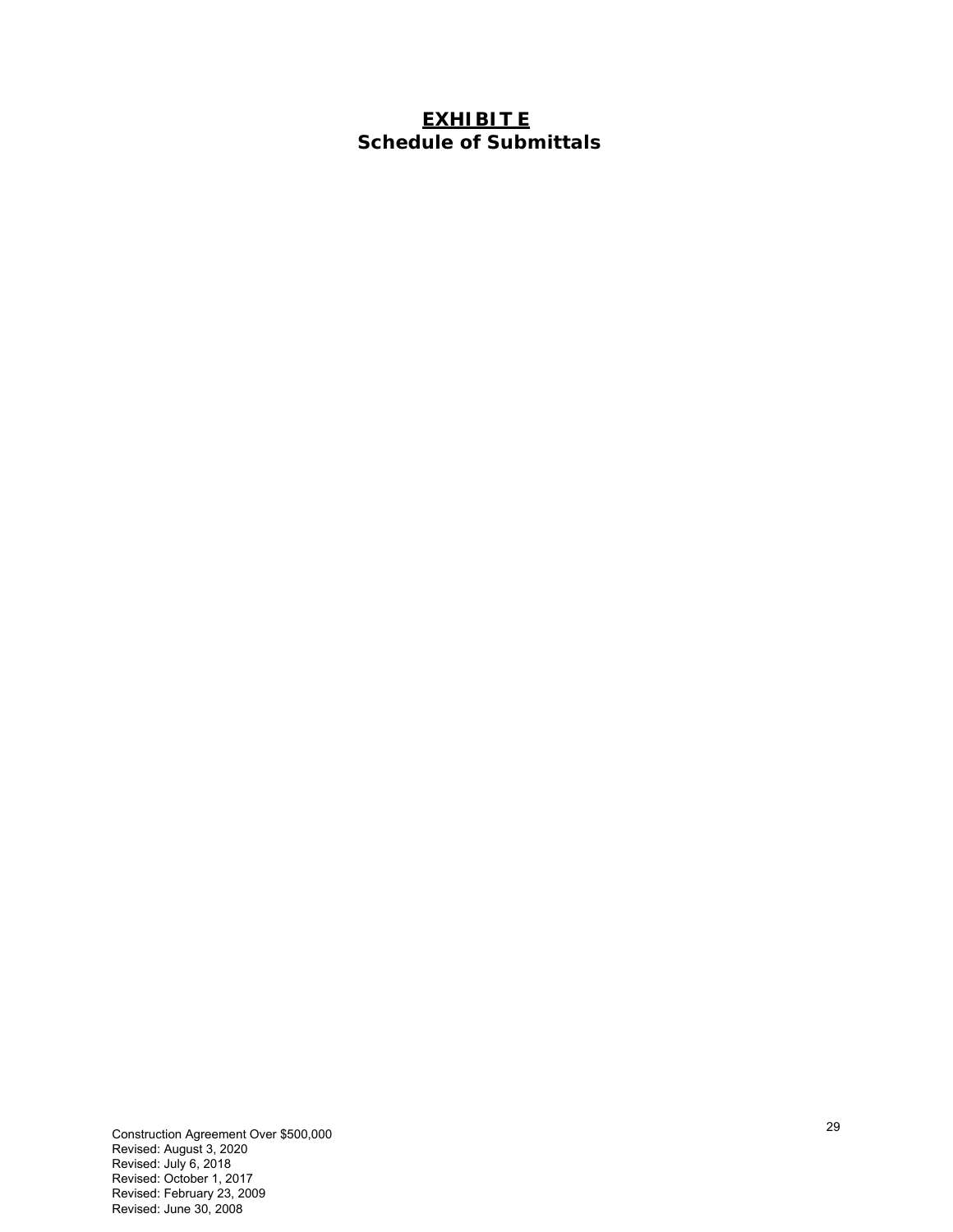## **EXHIBIT E Schedule of Submittals**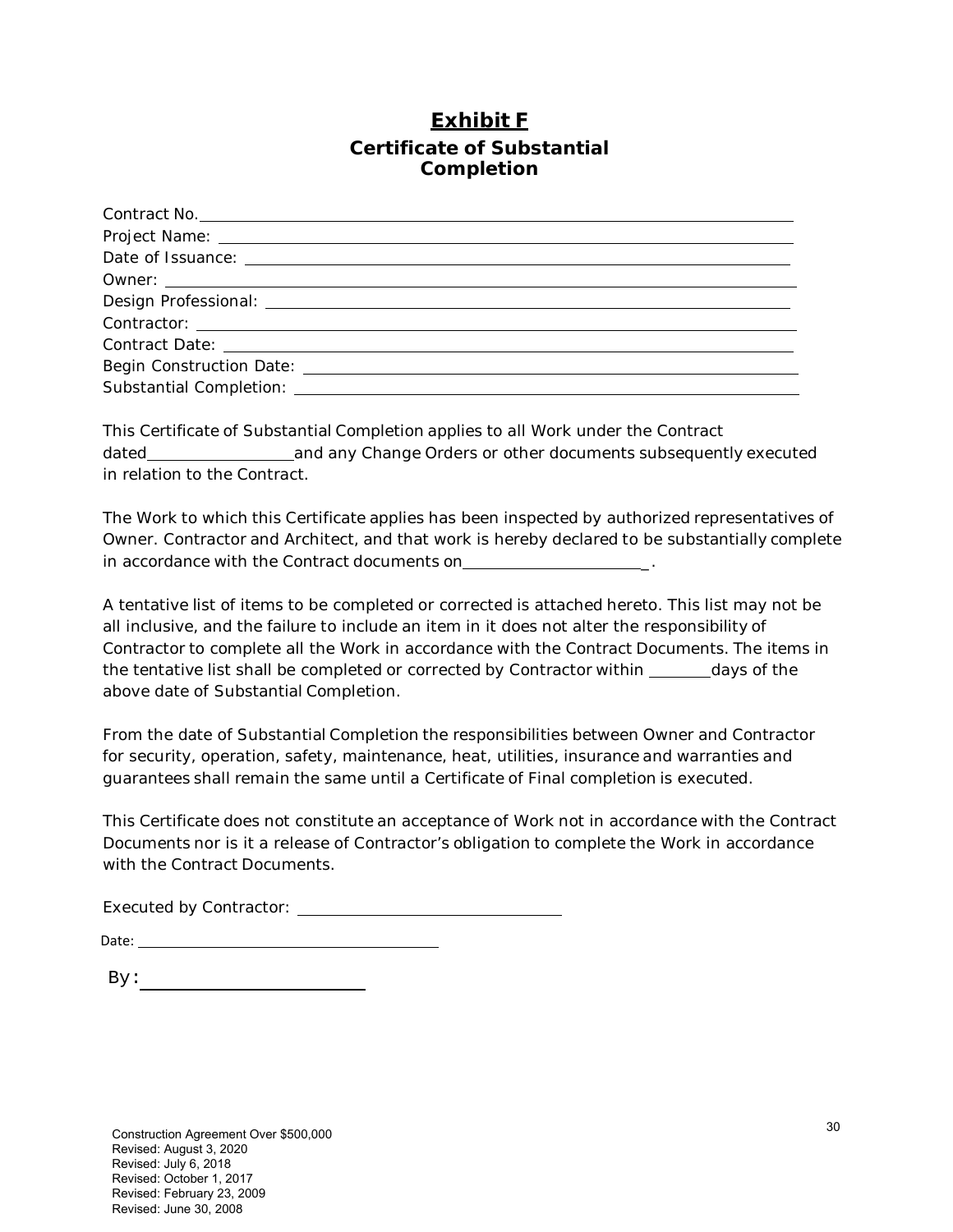# **Exhibit F Certificate of Substantial Completion**

| Contract No.                                                                                                                                                                                                                        |
|-------------------------------------------------------------------------------------------------------------------------------------------------------------------------------------------------------------------------------------|
|                                                                                                                                                                                                                                     |
|                                                                                                                                                                                                                                     |
|                                                                                                                                                                                                                                     |
|                                                                                                                                                                                                                                     |
|                                                                                                                                                                                                                                     |
|                                                                                                                                                                                                                                     |
| Substantial Completion: <u>[11]</u> Completion: [11] Completion: [11] Completion: [11] Completion: [11] Completion: [11] Completion: [11] Completion: [11] Completion: [11] Completion: [11] Completion: [11] Completion: [11] Comp |

This Certificate of Substantial Completion applies to all Work under the Contract dated and any Change Orders or other documents subsequently executed in relation to the Contract.

The Work to which this Certificate applies has been inspected by authorized representatives of Owner. Contractor and Architect, and that work is hereby declared to be substantially complete in accordance with the Contract documents on

A tentative list of items to be completed or corrected is attached hereto. This list may not be all inclusive, and the failure to include an item in it does not alter the responsibility of Contractor to complete all the Work in accordance with the Contract Documents. The items in the tentative list shall be completed or corrected by Contractor within days of the above date of Substantial Completion.

From the date of Substantial Completion the responsibilities between Owner and Contractor for security, operation, safety, maintenance, heat, utilities, insurance and warranties and guarantees shall remain the same until a Certificate of Final completion is executed.

This Certificate does not constitute an acceptance of Work not in accordance with the Contract Documents nor is it a release of Contractor's obligation to complete the Work in accordance with the Contract Documents.

Executed by Contractor: Executed by Contractor:

By: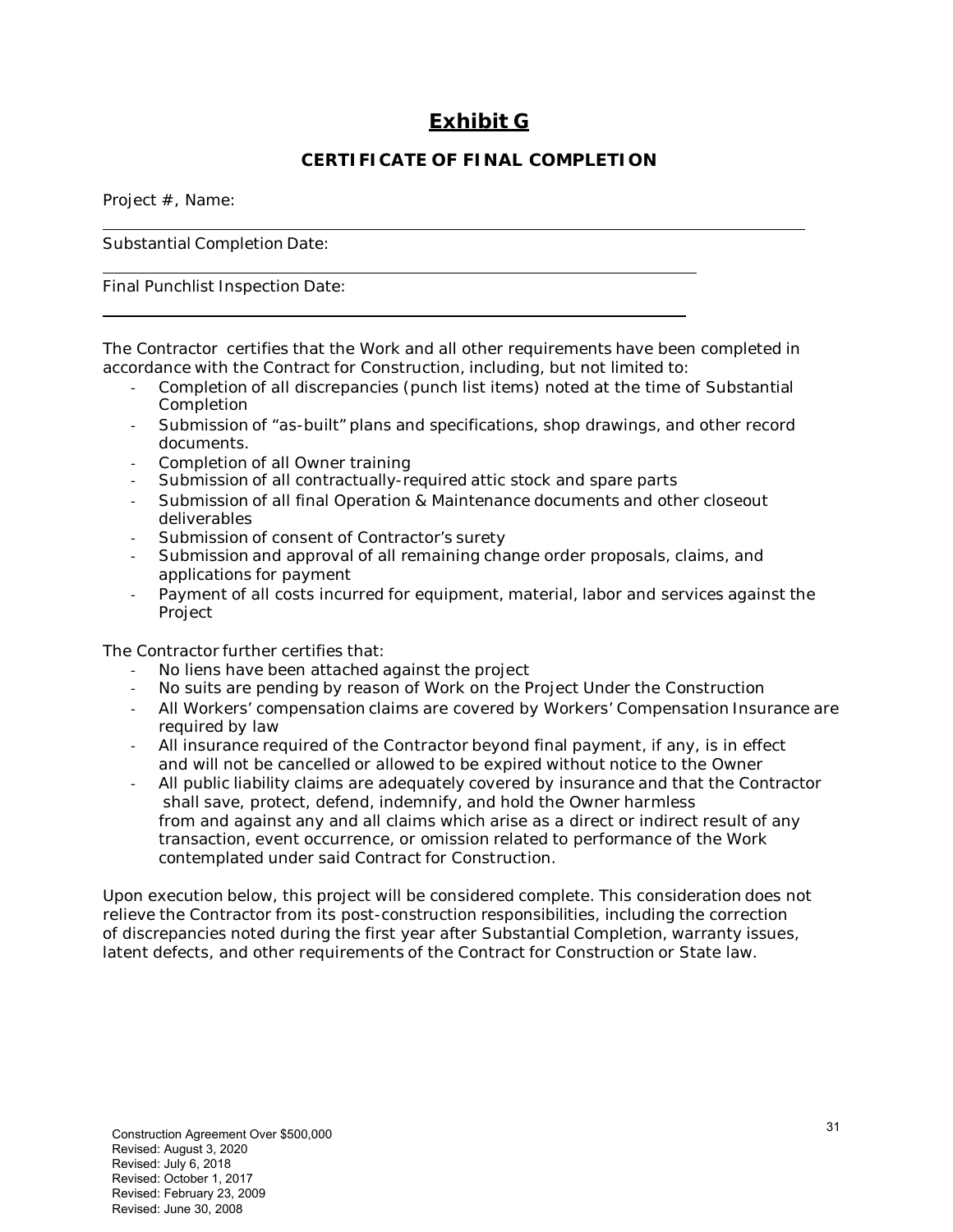# **Exhibit G**

## **CERTIFICATE OF FINAL COMPLETION**

Project #, Name:

Substantial Completion Date:

Final Punchlist Inspection Date:

The Contractor certifies that the Work and all other requirements have been completed in accordance with the Contract for Construction, including, but not limited to:

- ‐ Completion of all discrepancies (punch list items) noted at the time of Substantial **Completion**
- ‐ Submission of "as-built" plans and specifications, shop drawings, and other record documents.
- ‐ Completion of all Owner training
- ‐ Submission of all contractually-required attic stock and spare parts
- ‐ Submission of all final Operation & Maintenance documents and other closeout deliverables
- Submission of consent of Contractor's surety
- Submission and approval of all remaining change order proposals, claims, and applications for payment
- ‐ Payment of all costs incurred for equipment, material, labor and services against the Project

The Contractor further certifies that:

- No liens have been attached against the project
- ‐ No suits are pending by reason of Work on the Project Under the Construction
- ‐ All Workers' compensation claims are covered by Workers' Compensation Insurance are required by law
- All insurance required of the Contractor beyond final payment, if any, is in effect and will not be cancelled or allowed to be expired without notice to the Owner
- ‐ All public liability claims are adequately covered by insurance and that the Contractor shall save, protect, defend, indemnify, and hold the Owner harmless from and against any and all claims which arise as a direct or indirect result of any transaction, event occurrence, or omission related to performance of the Work contemplated under said Contract for Construction.

Upon execution below, this project will be considered complete. This consideration does not relieve the Contractor from its post-construction responsibilities, including the correction of discrepancies noted during the first year after Substantial Completion, warranty issues, latent defects, and other requirements of the Contract for Construction or State law.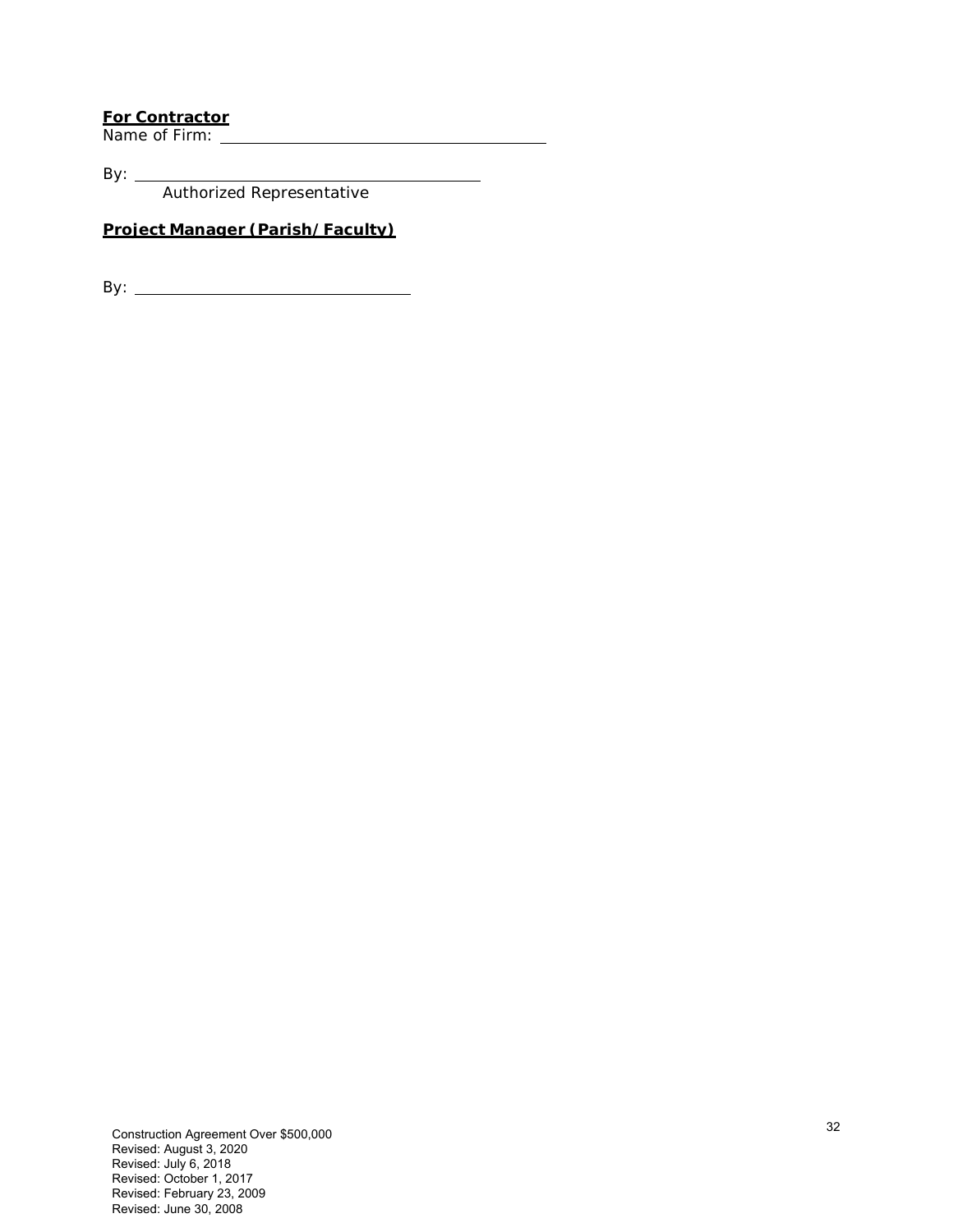# **For Contractor**

Name of Firm:

By:  $\_\_$ Authorized Representative

#### **Project Manager (Parish/Faculty)**

By: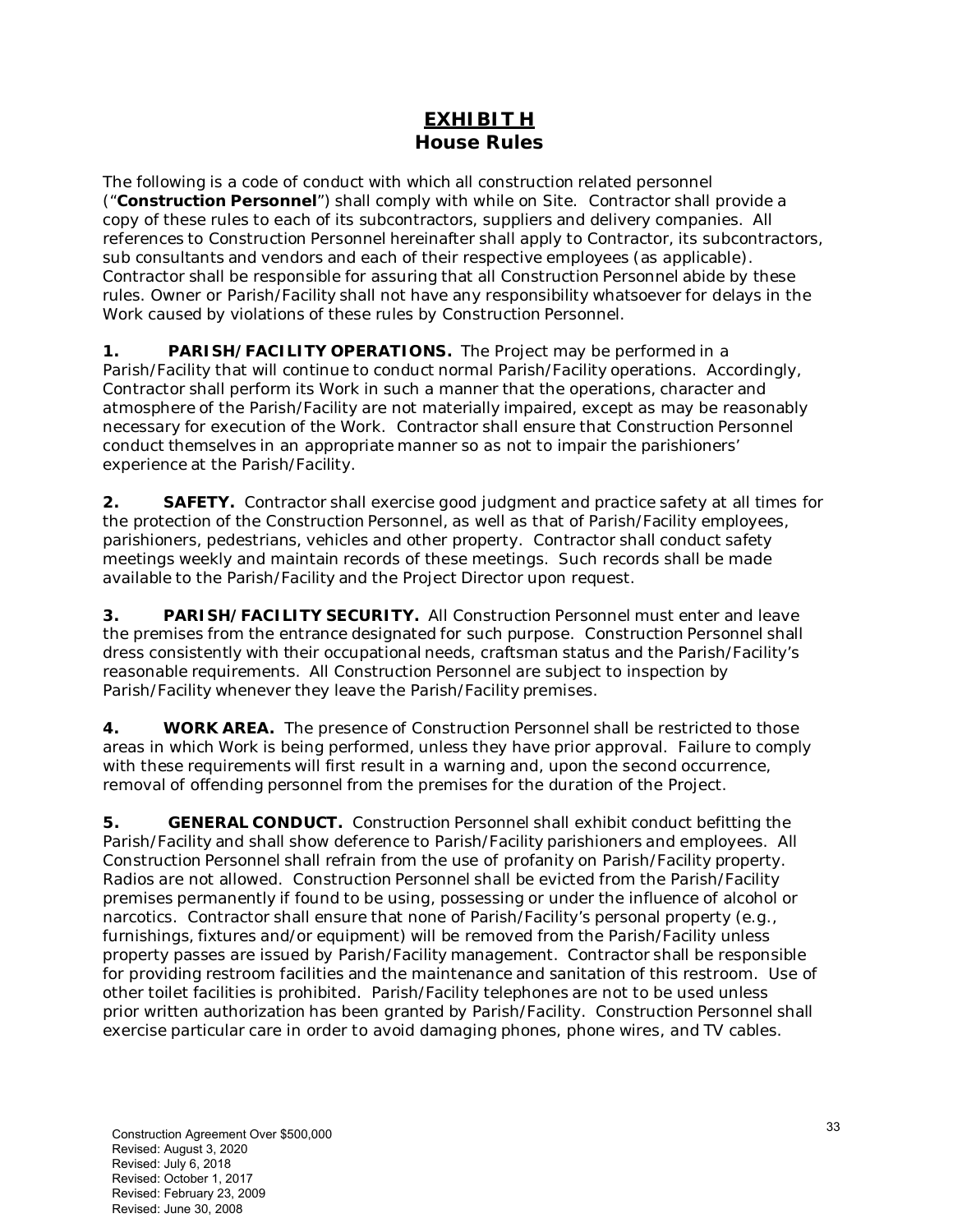## **EXHIBIT H House Rules**

The following is a code of conduct with which all construction related personnel ("**Construction Personnel**") shall comply with while on Site. Contractor shall provide a copy of these rules to each of its subcontractors, suppliers and delivery companies. All references to Construction Personnel hereinafter shall apply to Contractor, its subcontractors, sub consultants and vendors and each of their respective employees (as applicable). Contractor shall be responsible for assuring that all Construction Personnel abide by these rules. Owner or Parish/Facility shall not have any responsibility whatsoever for delays in the Work caused by violations of these rules by Construction Personnel.

**1. PARISH/FACILITY OPERATIONS.** The Project may be performed in a Parish/Facility that will continue to conduct normal Parish/Facility operations. Accordingly, Contractor shall perform its Work in such a manner that the operations, character and atmosphere of the Parish/Facility are not materially impaired, except as may be reasonably necessary for execution of the Work. Contractor shall ensure that Construction Personnel conduct themselves in an appropriate manner so as not to impair the parishioners' experience at the Parish/Facility.

**2. SAFETY.** Contractor shall exercise good judgment and practice safety at all times for the protection of the Construction Personnel, as well as that of Parish/Facility employees, parishioners, pedestrians, vehicles and other property. Contractor shall conduct safety meetings weekly and maintain records of these meetings. Such records shall be made available to the Parish/Facility and the Project Director upon request.

**3. PARISH/FACILITY SECURITY.** All Construction Personnel must enter and leave the premises from the entrance designated for such purpose. Construction Personnel shall dress consistently with their occupational needs, craftsman status and the Parish/Facility's reasonable requirements. All Construction Personnel are subject to inspection by Parish/Facility whenever they leave the Parish/Facility premises.

**4. WORK AREA.** The presence of Construction Personnel shall be restricted to those areas in which Work is being performed, unless they have prior approval. Failure to comply with these requirements will first result in a warning and, upon the second occurrence, removal of offending personnel from the premises for the duration of the Project.

**5. GENERAL CONDUCT.** Construction Personnel shall exhibit conduct befitting the Parish/Facility and shall show deference to Parish/Facility parishioners and employees. All Construction Personnel shall refrain from the use of profanity on Parish/Facility property. Radios are not allowed. Construction Personnel shall be evicted from the Parish/Facility premises permanently if found to be using, possessing or under the influence of alcohol or narcotics. Contractor shall ensure that none of Parish/Facility's personal property (*e.g.,*  furnishings, fixtures and/or equipment) will be removed from the Parish/Facility unless property passes are issued by Parish/Facility management. Contractor shall be responsible for providing restroom facilities and the maintenance and sanitation of this restroom. Use of other toilet facilities is prohibited. Parish/Facility telephones are not to be used unless prior written authorization has been granted by Parish/Facility. Construction Personnel shall exercise particular care in order to avoid damaging phones, phone wires, and TV cables.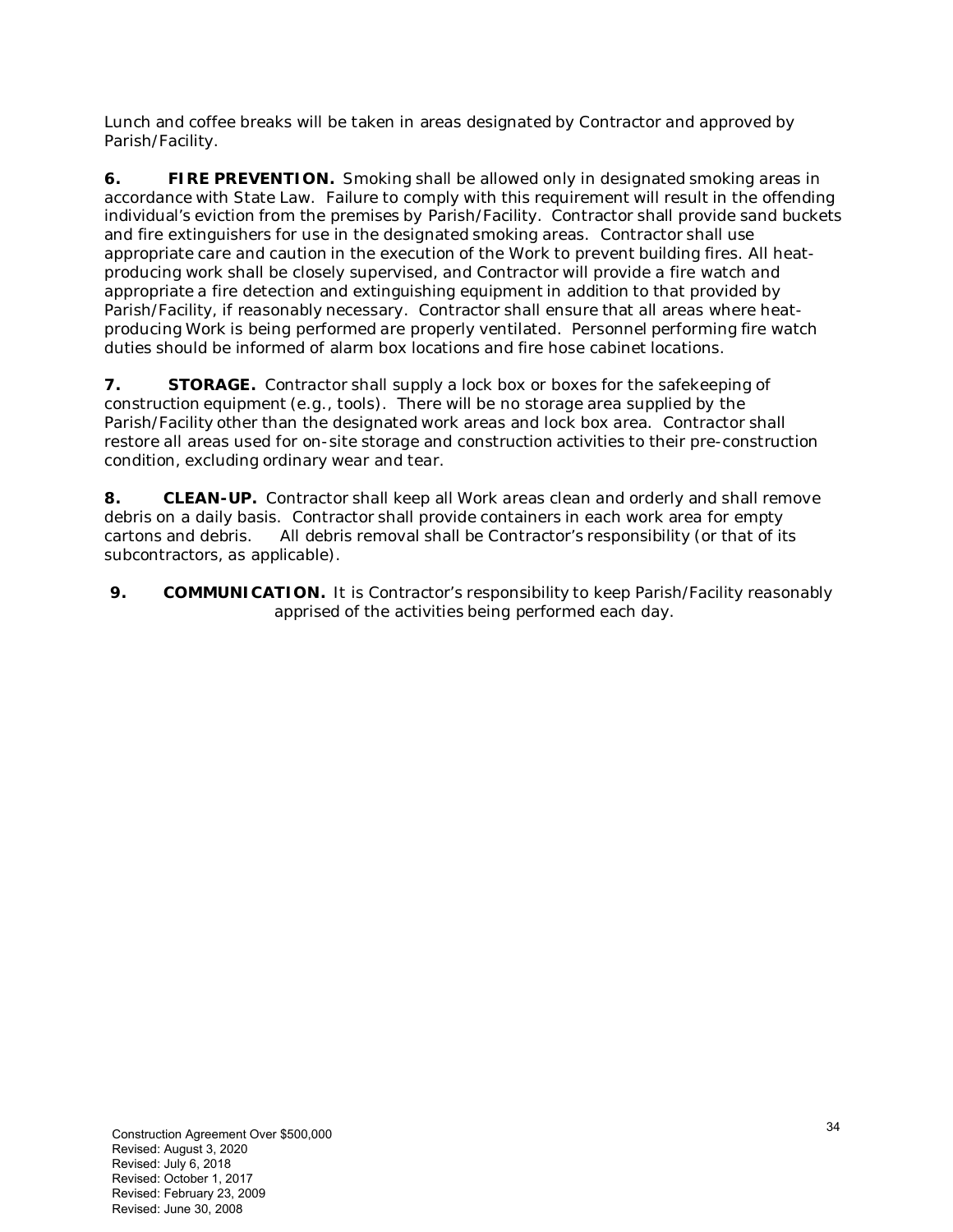Lunch and coffee breaks will be taken in areas designated by Contractor and approved by Parish/Facility.

**6.** FIRE PREVENTION. Smoking shall be allowed only in designated smoking areas in accordance with State Law. Failure to comply with this requirement will result in the offending individual's eviction from the premises by Parish/Facility. Contractor shall provide sand buckets and fire extinguishers for use in the designated smoking areas. Contractor shall use appropriate care and caution in the execution of the Work to prevent building fires. All heatproducing work shall be closely supervised, and Contractor will provide a fire watch and appropriate a fire detection and extinguishing equipment in addition to that provided by Parish/Facility, if reasonably necessary. Contractor shall ensure that all areas where heatproducing Work is being performed are properly ventilated. Personnel performing fire watch duties should be informed of alarm box locations and fire hose cabinet locations.

**7.** STORAGE. Contractor shall supply a lock box or boxes for the safekeeping of construction equipment (*e.g.*, tools). There will be no storage area supplied by the Parish/Facility other than the designated work areas and lock box area. Contractor shall restore all areas used for on-site storage and construction activities to their pre-construction condition, excluding ordinary wear and tear.

**8. CLEAN-UP.** Contractor shall keep all Work areas clean and orderly and shall remove debris on a daily basis. Contractor shall provide containers in each work area for empty cartons and debris. All debris removal shall be Contractor's responsibility (or that of its subcontractors, as applicable).

**9.** COMMUNICATION. It is Contractor's responsibility to keep Parish/Facility reasonably apprised of the activities being performed each day.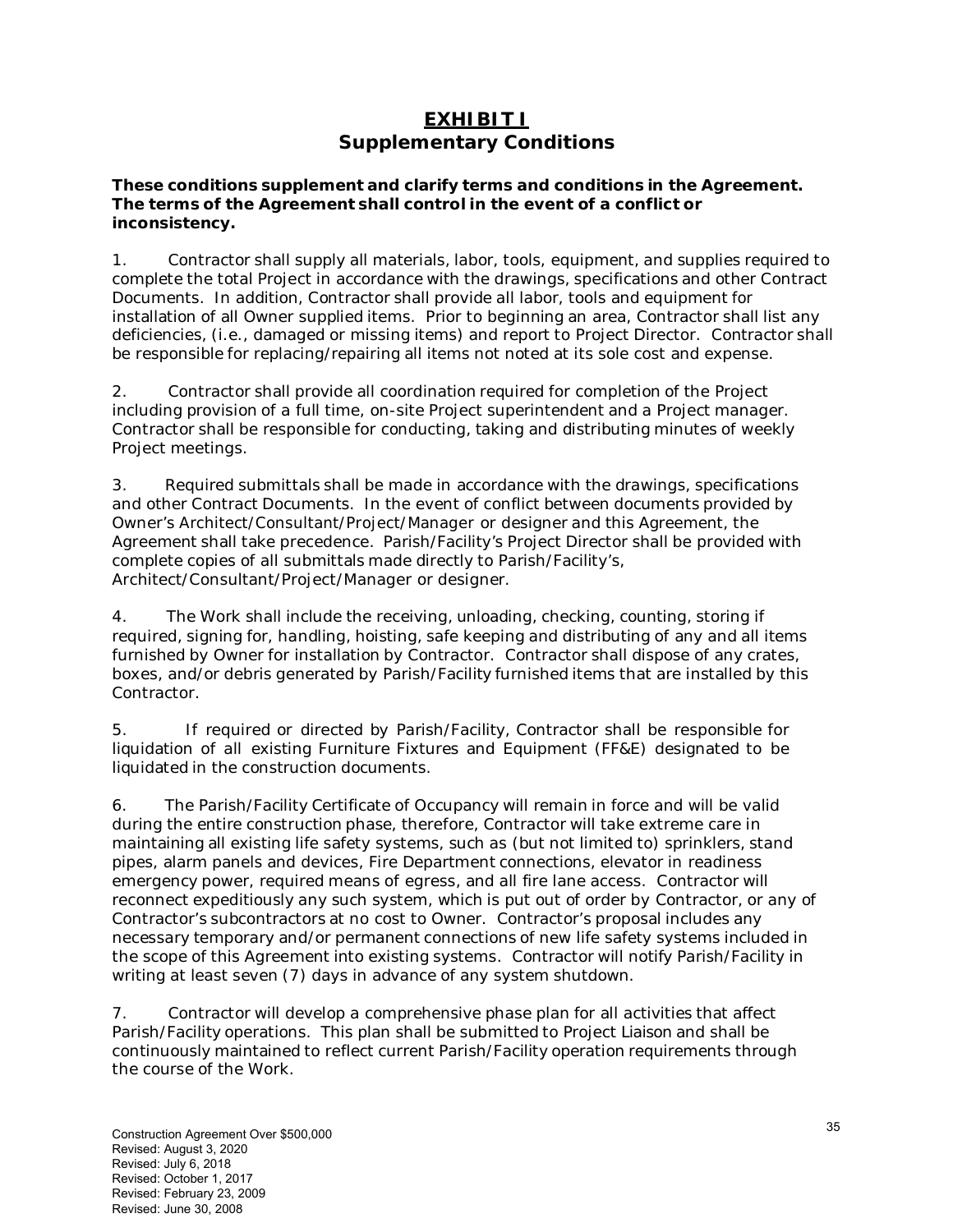## **EXHIBIT I Supplementary Conditions**

#### **These conditions supplement and clarify terms and conditions in the Agreement. The terms of the Agreement shall control in the event of a conflict or inconsistency.**

1. Contractor shall supply all materials, labor, tools, equipment, and supplies required to complete the total Project in accordance with the drawings, specifications and other Contract Documents. In addition, Contractor shall provide all labor, tools and equipment for installation of all Owner supplied items. Prior to beginning an area, Contractor shall list any deficiencies, (i.e., damaged or missing items) and report to Project Director. Contractor shall be responsible for replacing/repairing all items not noted at its sole cost and expense.

2. Contractor shall provide all coordination required for completion of the Project including provision of a full time, on-site Project superintendent and a Project manager. Contractor shall be responsible for conducting, taking and distributing minutes of weekly Project meetings.

3. Required submittals shall be made in accordance with the drawings, specifications and other Contract Documents. In the event of conflict between documents provided by Owner's Architect/Consultant/Project/Manager or designer and this Agreement, the Agreement shall take precedence. Parish/Facility's Project Director shall be provided with complete copies of all submittals made directly to Parish/Facility's, Architect/Consultant/Project/Manager or designer.

4. The Work shall include the receiving, unloading, checking, counting, storing if required, signing for, handling, hoisting, safe keeping and distributing of any and all items furnished by Owner for installation by Contractor. Contractor shall dispose of any crates, boxes, and/or debris generated by Parish/Facility furnished items that are installed by this Contractor.

5. If required or directed by Parish/Facility, Contractor shall be responsible for liquidation of all existing Furniture Fixtures and Equipment (FF&E) designated to be liquidated in the construction documents.

6. The Parish/Facility Certificate of Occupancy will remain in force and will be valid during the entire construction phase, therefore, Contractor will take extreme care in maintaining all existing life safety systems, such as (but not limited to) sprinklers, stand pipes, alarm panels and devices, Fire Department connections, elevator in readiness emergency power, required means of egress, and all fire lane access. Contractor will reconnect expeditiously any such system, which is put out of order by Contractor, or any of Contractor's subcontractors at no cost to Owner. Contractor's proposal includes any necessary temporary and/or permanent connections of new life safety systems included in the scope of this Agreement into existing systems. Contractor will notify Parish/Facility in writing at least seven (7) days in advance of any system shutdown.

7. Contractor will develop a comprehensive phase plan for all activities that affect Parish/Facility operations. This plan shall be submitted to Project Liaison and shall be continuously maintained to reflect current Parish/Facility operation requirements through the course of the Work.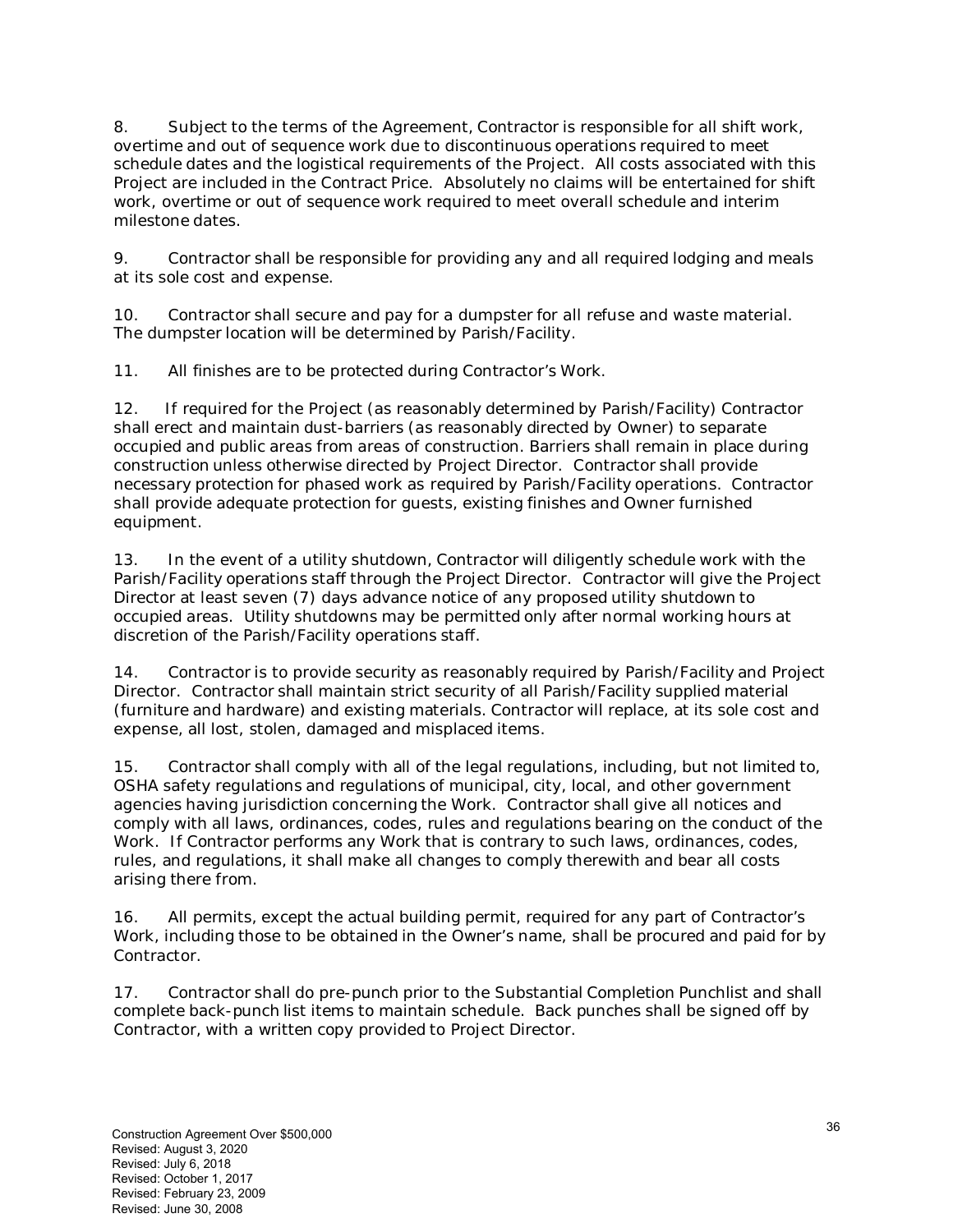8. Subject to the terms of the Agreement, Contractor is responsible for all shift work, overtime and out of sequence work due to discontinuous operations required to meet schedule dates and the logistical requirements of the Project. All costs associated with this Project are included in the Contract Price. Absolutely no claims will be entertained for shift work, overtime or out of sequence work required to meet overall schedule and interim milestone dates.

9. Contractor shall be responsible for providing any and all required lodging and meals at its sole cost and expense.

10. Contractor shall secure and pay for a dumpster for all refuse and waste material. The dumpster location will be determined by Parish/Facility.

11. All finishes are to be protected during Contractor's Work.

12. If required for the Project (as reasonably determined by Parish/Facility) Contractor shall erect and maintain dust-barriers (as reasonably directed by Owner) to separate occupied and public areas from areas of construction. Barriers shall remain in place during construction unless otherwise directed by Project Director. Contractor shall provide necessary protection for phased work as required by Parish/Facility operations. Contractor shall provide adequate protection for guests, existing finishes and Owner furnished equipment.

13. In the event of a utility shutdown, Contractor will diligently schedule work with the Parish/Facility operations staff through the Project Director. Contractor will give the Project Director at least seven (7) days advance notice of any proposed utility shutdown to occupied areas. Utility shutdowns may be permitted only after normal working hours at discretion of the Parish/Facility operations staff.

14. Contractor is to provide security as reasonably required by Parish/Facility and Project Director. Contractor shall maintain strict security of all Parish/Facility supplied material (furniture and hardware) and existing materials. Contractor will replace, at its sole cost and expense, all lost, stolen, damaged and misplaced items.

15. Contractor shall comply with all of the legal regulations, including, but not limited to, OSHA safety regulations and regulations of municipal, city, local, and other government agencies having jurisdiction concerning the Work. Contractor shall give all notices and comply with all laws, ordinances, codes, rules and regulations bearing on the conduct of the Work. If Contractor performs any Work that is contrary to such laws, ordinances, codes, rules, and regulations, it shall make all changes to comply therewith and bear all costs arising there from.

16. All permits, except the actual building permit, required for any part of Contractor's Work, including those to be obtained in the Owner's name, shall be procured and paid for by Contractor.

17. Contractor shall do pre-punch prior to the Substantial Completion Punchlist and shall complete back-punch list items to maintain schedule. Back punches shall be signed off by Contractor, with a written copy provided to Project Director.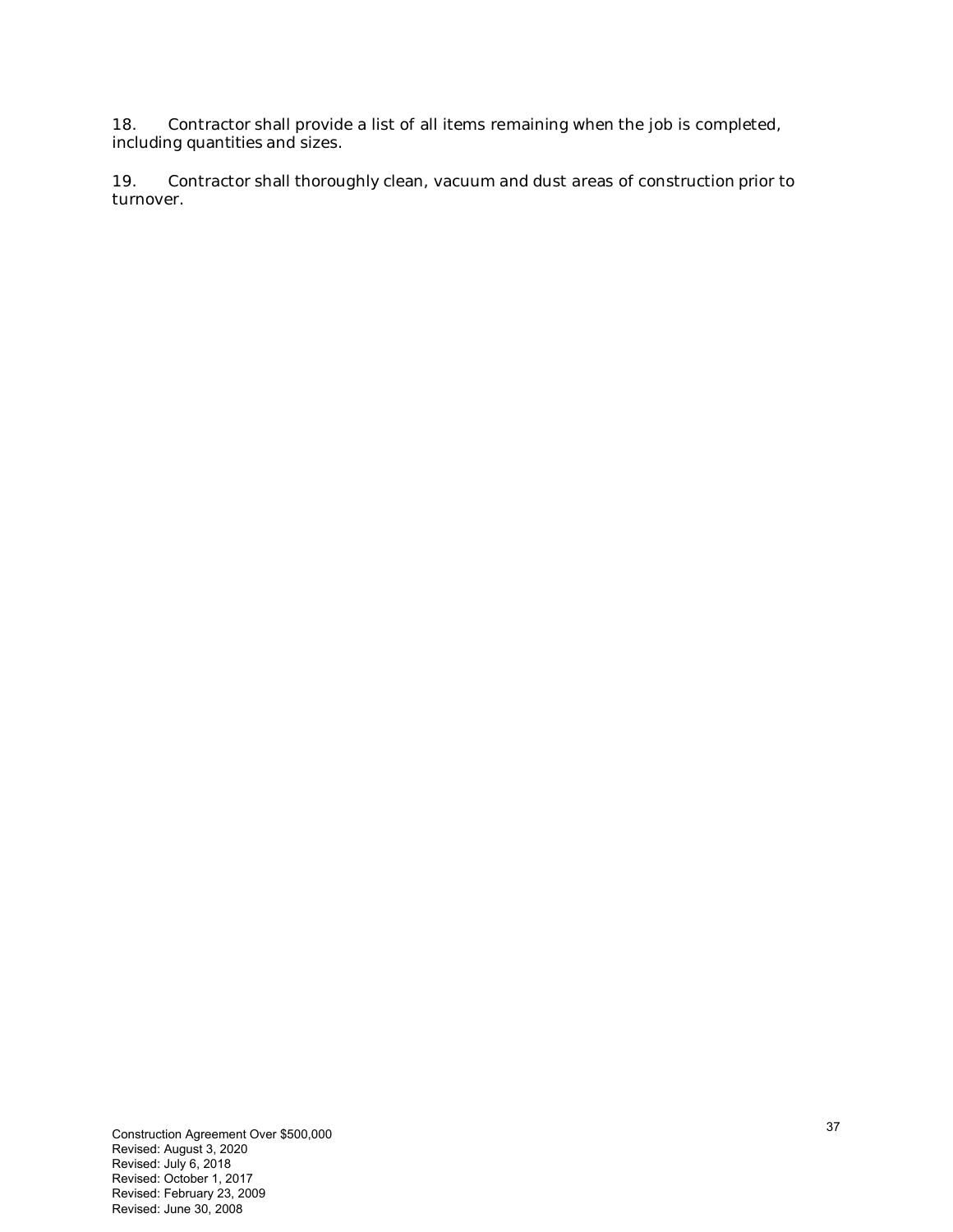18. Contractor shall provide a list of all items remaining when the job is completed, including quantities and sizes.

19. Contractor shall thoroughly clean, vacuum and dust areas of construction prior to turnover.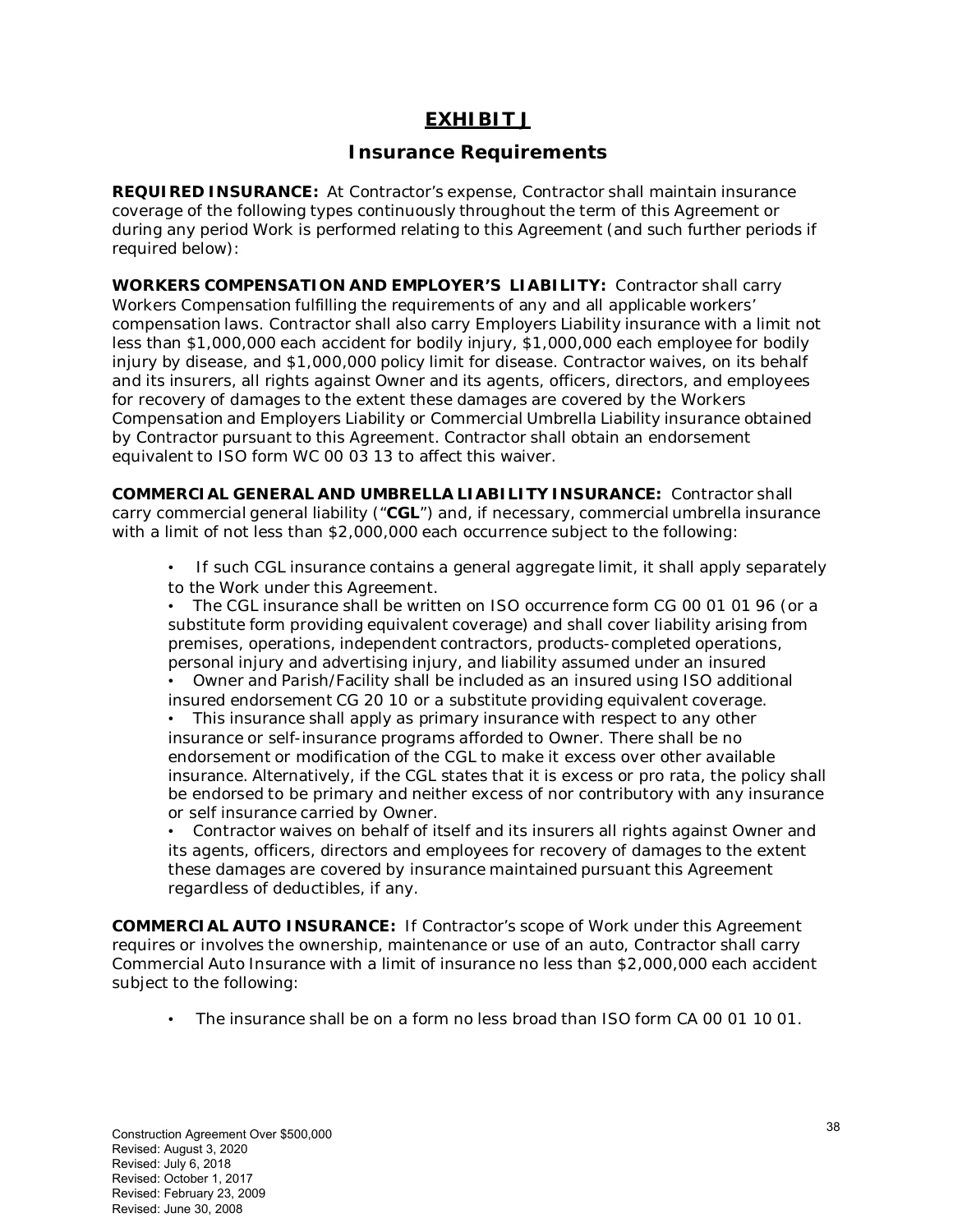# **EXHIBIT J**

### **Insurance Requirements**

**REQUIRED INSURANCE:** At Contractor's expense, Contractor shall maintain insurance coverage of the following types continuously throughout the term of this Agreement or during any period Work is performed relating to this Agreement (and such further periods if required below):

**WORKERS COMPENSATION AND EMPLOYER'S LIABILITY:** Contractor shall carry Workers Compensation fulfilling the requirements of any and all applicable workers' compensation laws. Contractor shall also carry Employers Liability insurance with a limit not less than \$1,000,000 each accident for bodily injury, \$1,000,000 each employee for bodily injury by disease, and \$1,000,000 policy limit for disease. Contractor waives, on its behalf and its insurers, all rights against Owner and its agents, officers, directors, and employees for recovery of damages to the extent these damages are covered by the Workers Compensation and Employers Liability or Commercial Umbrella Liability insurance obtained by Contractor pursuant to this Agreement. Contractor shall obtain an endorsement equivalent to ISO form WC 00 03 13 to affect this waiver.

**COMMERCIAL GENERAL AND UMBRELLA LIABILITY INSURANCE:** Contractor shall carry commercial general liability ("**CGL**") and, if necessary, commercial umbrella insurance with a limit of not less than \$2,000,000 each occurrence subject to the following:

• If such CGL insurance contains a general aggregate limit, it shall apply separately to the Work under this Agreement.

• The CGL insurance shall be written on ISO occurrence form CG 00 01 01 96 (or a substitute form providing equivalent coverage) and shall cover liability arising from premises, operations, independent contractors, products-completed operations, personal injury and advertising injury, and liability assumed under an insured

• Owner and Parish/Facility shall be included as an insured using ISO additional insured endorsement CG 20 10 or a substitute providing equivalent coverage.

This insurance shall apply as primary insurance with respect to any other insurance or self-insurance programs afforded to Owner. There shall be no endorsement or modification of the CGL to make it excess over other available insurance. Alternatively, if the CGL states that it is excess or pro rata, the policy shall be endorsed to be primary and neither excess of nor contributory with any insurance or self insurance carried by Owner.

• Contractor waives on behalf of itself and its insurers all rights against Owner and its agents, officers, directors and employees for recovery of damages to the extent these damages are covered by insurance maintained pursuant this Agreement regardless of deductibles, if any.

**COMMERCIAL AUTO INSURANCE:** If Contractor's scope of Work under this Agreement requires or involves the ownership, maintenance or use of an auto, Contractor shall carry Commercial Auto Insurance with a limit of insurance no less than \$2,000,000 each accident subject to the following:

• The insurance shall be on a form no less broad than ISO form CA 00 01 10 01.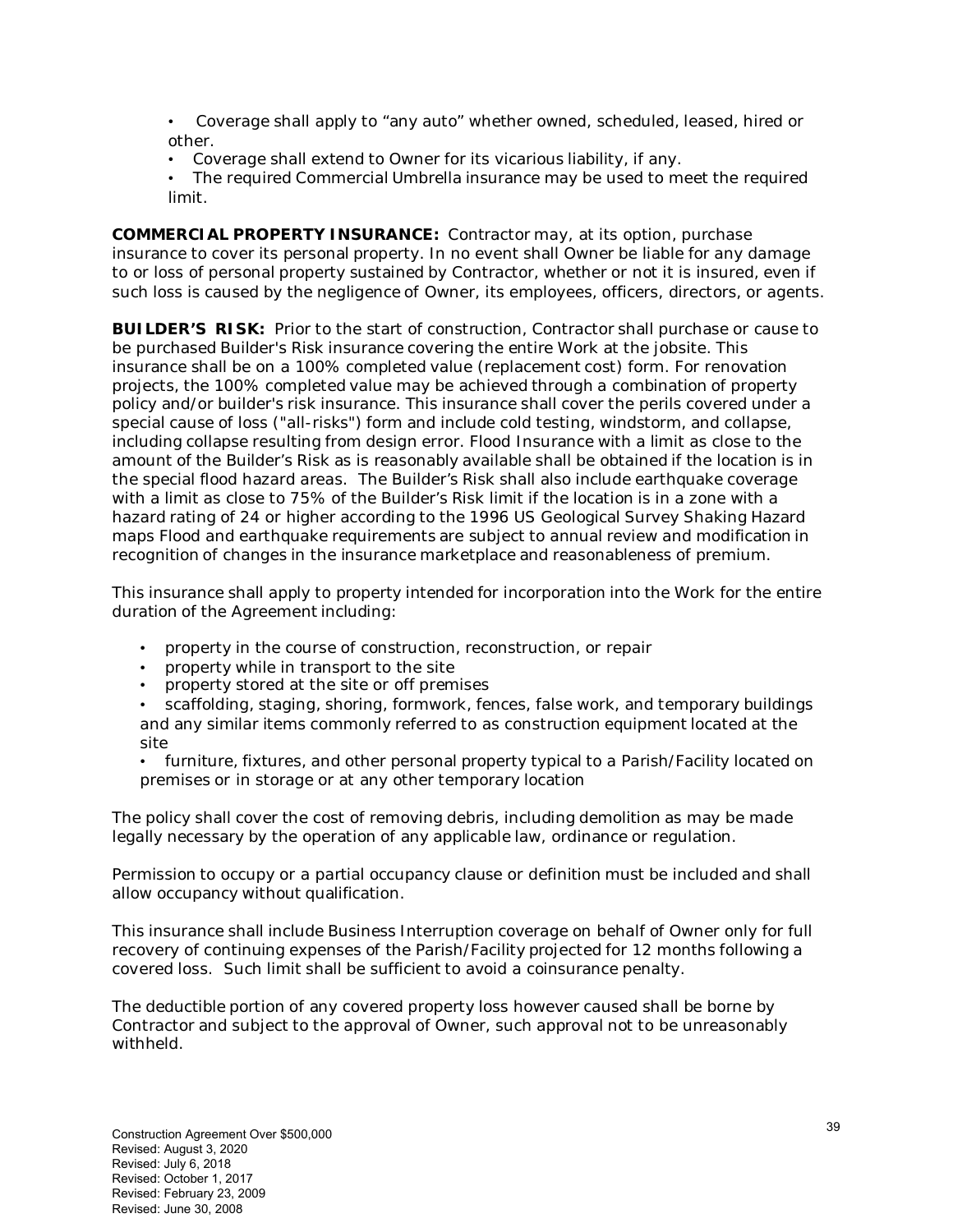- Coverage shall apply to "any auto" whether owned, scheduled, leased, hired or other.
- Coverage shall extend to Owner for its vicarious liability, if any.
- The required Commercial Umbrella insurance may be used to meet the required limit.

**COMMERCIAL PROPERTY INSURANCE:** Contractor may, at its option, purchase insurance to cover its personal property. In no event shall Owner be liable for any damage to or loss of personal property sustained by Contractor, whether or not it is insured, even if such loss is caused by the negligence of Owner, its employees, officers, directors, or agents.

**BUILDER'S RISK:** Prior to the start of construction, Contractor shall purchase or cause to be purchased Builder's Risk insurance covering the entire Work at the jobsite. This insurance shall be on a 100% completed value (replacement cost) form. For renovation projects, the 100% completed value may be achieved through a combination of property policy and/or builder's risk insurance. This insurance shall cover the perils covered under a special cause of loss ("all-risks") form and include cold testing, windstorm, and collapse, including collapse resulting from design error. Flood Insurance with a limit as close to the amount of the Builder's Risk as is reasonably available shall be obtained if the location is in the special flood hazard areas. The Builder's Risk shall also include earthquake coverage with a limit as close to 75% of the Builder's Risk limit if the location is in a zone with a hazard rating of 24 or higher according to the 1996 US Geological Survey Shaking Hazard maps Flood and earthquake requirements are subject to annual review and modification in recognition of changes in the insurance marketplace and reasonableness of premium.

This insurance shall apply to property intended for incorporation into the Work for the entire duration of the Agreement including:

- property in the course of construction, reconstruction, or repair
- property while in transport to the site
- property stored at the site or off premises
- scaffolding, staging, shoring, formwork, fences, false work, and temporary buildings and any similar items commonly referred to as construction equipment located at the site

• furniture, fixtures, and other personal property typical to a Parish/Facility located on premises or in storage or at any other temporary location

The policy shall cover the cost of removing debris, including demolition as may be made legally necessary by the operation of any applicable law, ordinance or regulation.

Permission to occupy or a partial occupancy clause or definition must be included and shall allow occupancy without qualification.

This insurance shall include Business Interruption coverage on behalf of Owner only for full recovery of continuing expenses of the Parish/Facility projected for 12 months following a covered loss. Such limit shall be sufficient to avoid a coinsurance penalty.

The deductible portion of any covered property loss however caused shall be borne by Contractor and subject to the approval of Owner, such approval not to be unreasonably withheld.